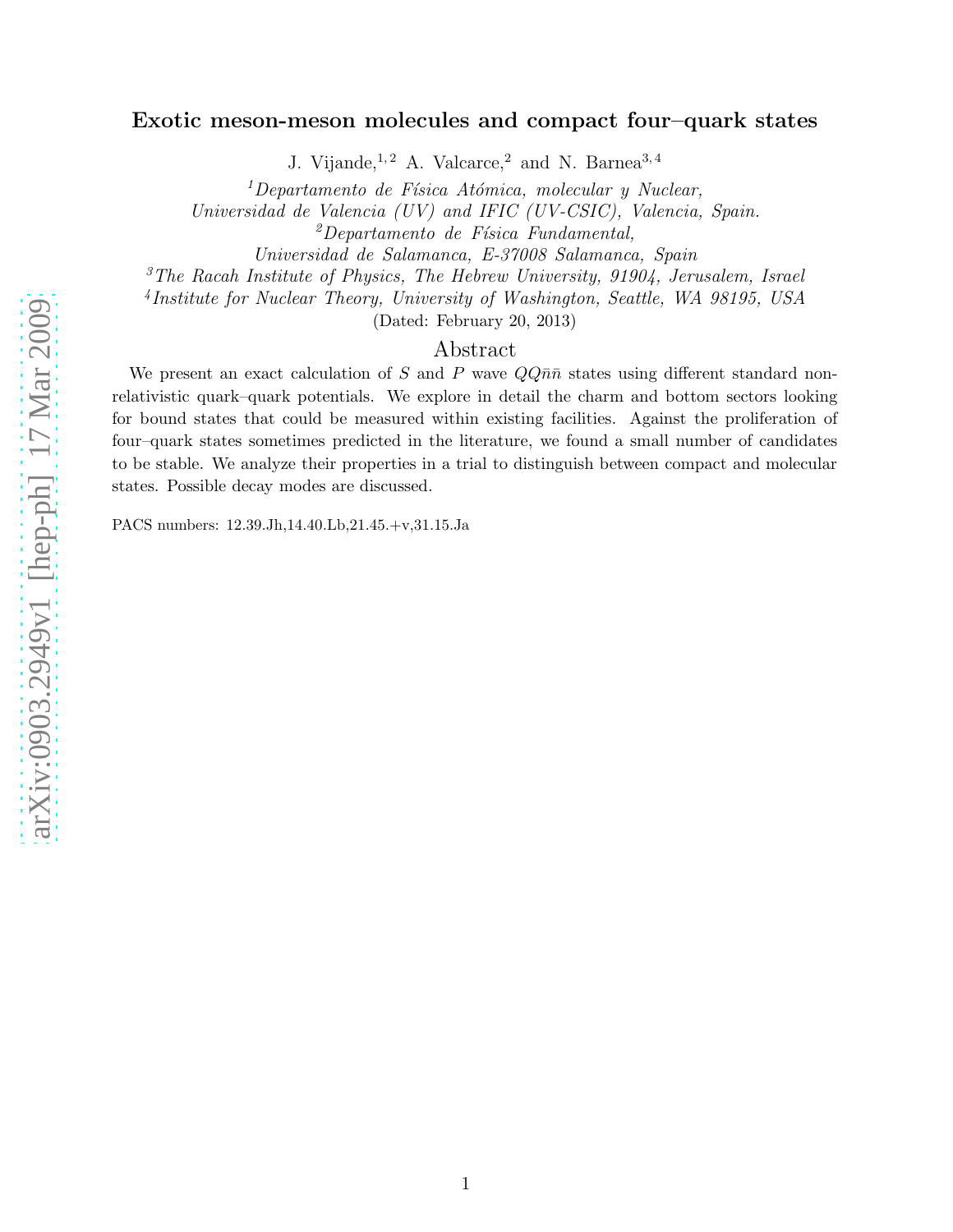# Exotic meson-meson molecules and compact four–quark state s

J. Vijande,  $1, 2$  A. Valcarce, 2 and N. Barnea<sup>3, 4</sup>

 $1$ Departamento de Física Atómica, molecular y Nuclear, Universidad de Valencia (UV) and IFIC (UV-CSIC), Valencia, Spain.  $^{2}$ Departamento de Física Fundamental,

Universidad de Salamanca, E-37008 Salamanca, Spain

<sup>3</sup>The Racah Institute of Physics, The Hebrew University, 91904, Jerusalem, Israel

4 Institute for Nuclear Theory, University of Washington, Seattle, WA 98195, USA

(Dated: February 20, 2013)

### Abstract

We present an exact calculation of S and P wave  $QQ\bar{n}\bar{n}$  states using different standard nonrelativistic quark–quark potentials. We explore in detail the charm and bottom sectors looking for bound states that could be measured within existing facilities. Against the proliferation of four–quark states sometimes predicted in the literature, we found a small number of candidates to be stable. We analyze their properties in a trial to distinguish between compact and molecular states. Possible decay modes are discussed.

PACS numbers: 12.39.Jh,14.40.Lb,21.45.+v,31.15.Ja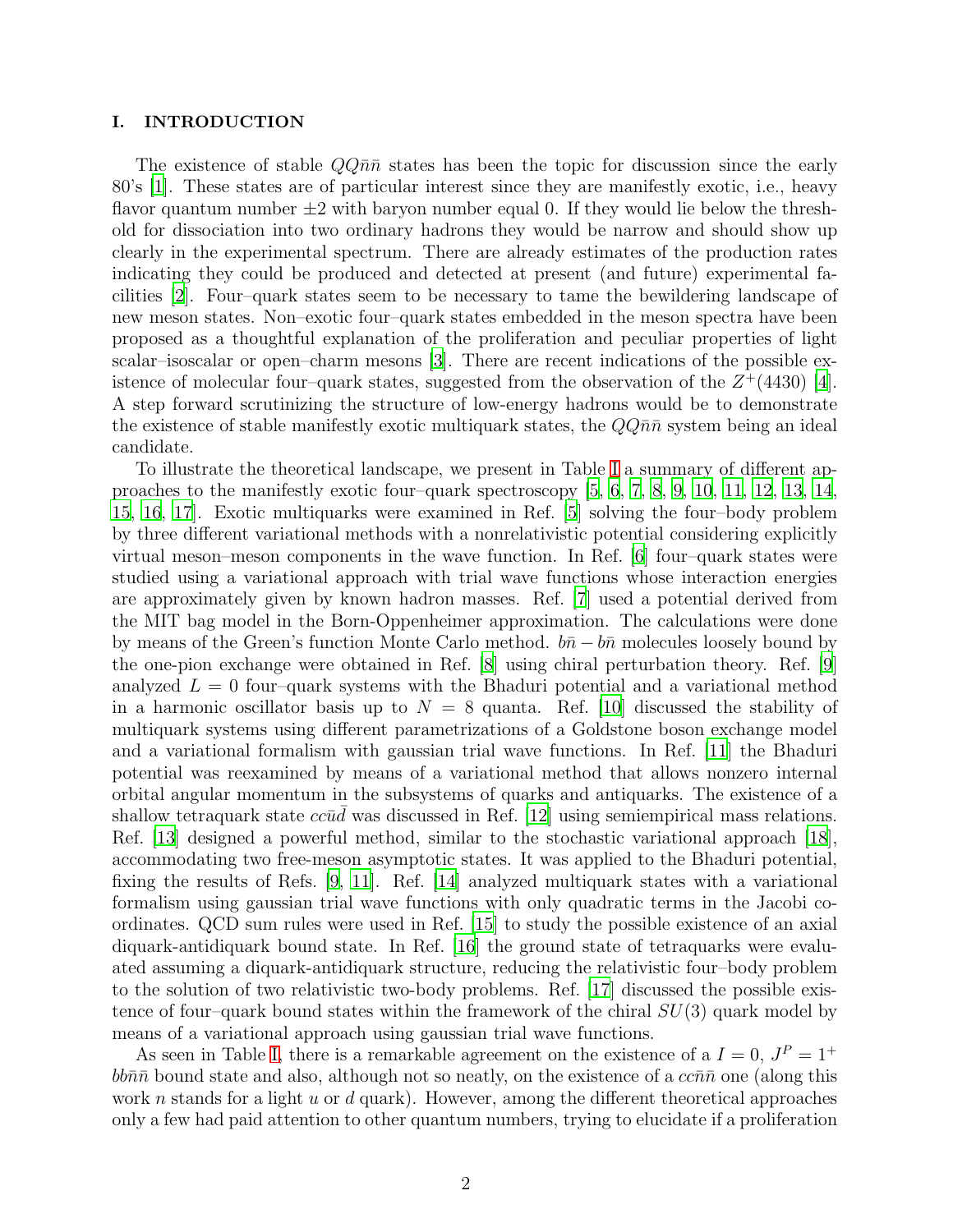### <span id="page-1-0"></span>I. INTRODUCTION

The existence of stable  $QQ\bar{n}\bar{n}$  states has been the topic for discussion since the early 80's [\[1\]](#page-15-0). These states are of particular interest since they are manifestly exotic, i.e., heavy flavor quantum number  $\pm 2$  with baryon number equal 0. If they would lie below the threshold for dissociation into two ordinary hadrons they would be narrow and should show up clearly in the experimental spectrum. There are already estimates of the production rates indicating they could be produced and detected at present (and future) experimental facilities [\[2](#page-15-1)]. Four–quark states seem to be necessary to tame the bewildering landscape of new meson states. Non–exotic four–quark states embedded in the meson spectra have been proposed as a thoughtful explanation of the proliferation and peculiar properties of light scalar–isoscalar or open–charm mesons [\[3\]](#page-15-2). There are recent indications of the possible existence of molecular four-quark states, suggested from the observation of the  $Z^+(4430)$  [\[4\]](#page-15-3). A step forward scrutinizing the structure of low-energy hadrons would be to demonstrate the existence of stable manifestly exotic multiquark states, the  $QQ\bar{n}\bar{n}$  system being an ideal candidate.

To illustrate the theoretical landscape, we present in Table [I](#page-17-0) a summary of different approaches to the manifestly exotic four–quark spectroscopy [\[5,](#page-15-4) [6](#page-15-5), [7,](#page-15-6) [8](#page-15-7), [9,](#page-15-8) [10,](#page-15-9) [11](#page-15-10), [12](#page-15-11), [13,](#page-15-12) [14](#page-15-13), [15,](#page-15-14) [16,](#page-15-15) [17](#page-15-16)]. Exotic multiquarks were examined in Ref. [\[5\]](#page-15-4) solving the four–body problem by three different variational methods with a nonrelativistic potential considering explicitly virtual meson–meson components in the wave function. In Ref. [\[6\]](#page-15-5) four–quark states were studied using a variational approach with trial wave functions whose interaction energies are approximately given by known hadron masses. Ref. [\[7\]](#page-15-6) used a potential derived from the MIT bag model in the Born-Oppenheimer approximation. The calculations were done by means of the Green's function Monte Carlo method.  $b\bar{n} - b\bar{n}$  molecules loosely bound by the one-pion exchange were obtained in Ref. [\[8\]](#page-15-7) using chiral perturbation theory. Ref. [\[9\]](#page-15-8) analyzed  $L = 0$  four-quark systems with the Bhaduri potential and a variational method in a harmonic oscillator basis up to  $N = 8$  quanta. Ref. [\[10](#page-15-9)] discussed the stability of multiquark systems using different parametrizations of a Goldstone boson exchange model and a variational formalism with gaussian trial wave functions. In Ref. [\[11](#page-15-10)] the Bhaduri potential was reexamined by means of a variational method that allows nonzero internal orbital angular momentum in the subsystems of quarks and antiquarks. The existence of a shallow tetraquark state  $cc\bar{u}\bar{d}$  was discussed in Ref. [\[12\]](#page-15-11) using semiempirical mass relations. Ref. [\[13\]](#page-15-12) designed a powerful method, similar to the stochastic variational approach [\[18\]](#page-15-17), accommodating two free-meson asymptotic states. It was applied to the Bhaduri potential, fixing the results of Refs. [\[9,](#page-15-8) [11\]](#page-15-10). Ref. [\[14\]](#page-15-13) analyzed multiquark states with a variational formalism using gaussian trial wave functions with only quadratic terms in the Jacobi coordinates. QCD sum rules were used in Ref. [\[15](#page-15-14)] to study the possible existence of an axial diquark-antidiquark bound state. In Ref. [\[16](#page-15-15)] the ground state of tetraquarks were evaluated assuming a diquark-antidiquark structure, reducing the relativistic four–body problem to the solution of two relativistic two-body problems. Ref. [\[17](#page-15-16)] discussed the possible existence of four–quark bound states within the framework of the chiral  $SU(3)$  quark model by means of a variational approach using gaussian trial wave functions.

As seen in Table [I,](#page-17-0) there is a remarkable agreement on the existence of a  $I = 0$ ,  $J<sup>P</sup> = 1<sup>+</sup>$  $bb\bar{n}\bar{n}$  bound state and also, although not so neatly, on the existence of a  $cc\bar{n}\bar{n}$  one (along this work n stands for a light u or d quark). However, among the different theoretical approaches only a few had paid attention to other quantum numbers, trying to elucidate if a proliferation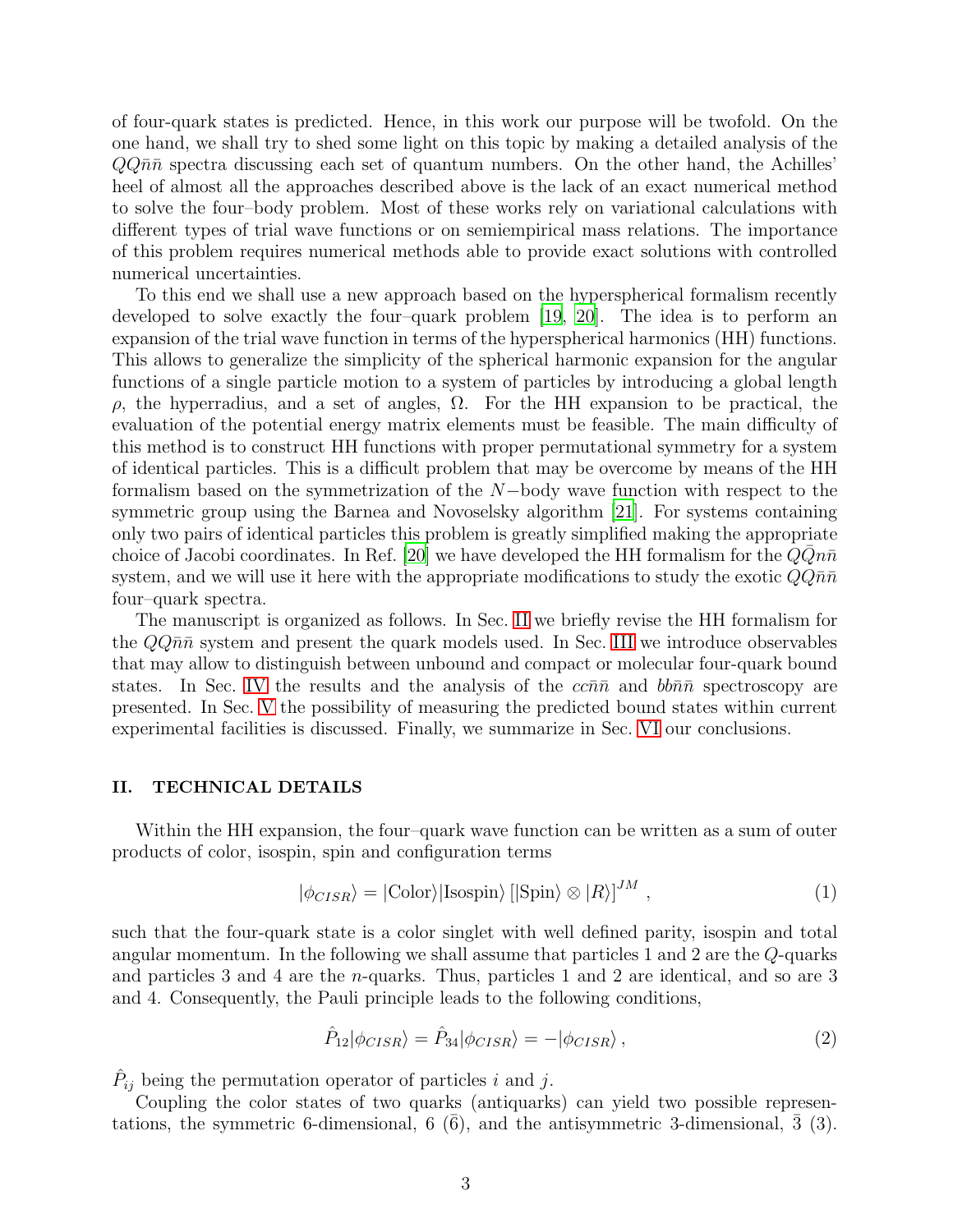of four-quark states is predicted. Hence, in this work our purpose will be twofold. On the one hand, we shall try to shed some light on this topic by making a detailed analysis of the  $QQ\bar{n}\bar{n}$  spectra discussing each set of quantum numbers. On the other hand, the Achilles' heel of almost all the approaches described above is the lack of an exact numerical method to solve the four–body problem. Most of these works rely on variational calculations with different types of trial wave functions or on semiempirical mass relations. The importance of this problem requires numerical methods able to provide exact solutions with controlled numerical uncertainties.

To this end we shall use a new approach based on the hyperspherical formalism recently developed to solve exactly the four–quark problem [\[19](#page-16-0), [20](#page-16-1)]. The idea is to perform an expansion of the trial wave function in terms of the hyperspherical harmonics (HH) functions. This allows to generalize the simplicity of the spherical harmonic expansion for the angular functions of a single particle motion to a system of particles by introducing a global length ρ, the hyperradius, and a set of angles, Ω. For the HH expansion to be practical, the evaluation of the potential energy matrix elements must be feasible. The main difficulty of this method is to construct HH functions with proper permutational symmetry for a system of identical particles. This is a difficult problem that may be overcome by means of the HH formalism based on the symmetrization of the N−body wave function with respect to the symmetric group using the Barnea and Novoselsky algorithm [\[21](#page-16-2)]. For systems containing only two pairs of identical particles this problem is greatly simplified making the appropriate choice of Jacobi coordinates. In Ref. [\[20](#page-16-1)] we have developed the HH formalism for the  $Q\overline{Q}n\bar{n}$ system, and we will use it here with the appropriate modifications to study the exotic  $Q\bar{q}\bar{n}$ four–quark spectra.

The manuscript is organized as follows. In Sec. [II](#page-2-0) we briefly revise the HH formalism for the  $QQ\bar{n}\bar{n}$  system and present the quark models used. In Sec. [III](#page-4-0) we introduce observables that may allow to distinguish between unbound and compact or molecular four-quark bound states. In Sec. [IV](#page-8-0) the results and the analysis of the  $cc\bar{n}\bar{n}$  and  $bb\bar{n}\bar{n}$  spectroscopy are presented. In Sec. [V](#page-14-0) the possibility of measuring the predicted bound states within current experimental facilities is discussed. Finally, we summarize in Sec. [VI](#page-14-1) our conclusions.

### <span id="page-2-0"></span>II. TECHNICAL DETAILS

Within the HH expansion, the four–quark wave function can be written as a sum of outer products of color, isospin, spin and configuration terms

$$
|\phi_{CISR}\rangle = |\text{Color}\rangle|\text{Isospin}\rangle[|\text{Spin}\rangle \otimes |R\rangle]^{JM},\qquad(1)
$$

such that the four-quark state is a color singlet with well defined parity, isospin and total angular momentum. In the following we shall assume that particles 1 and 2 are the Q-quarks and particles 3 and 4 are the n-quarks. Thus, particles 1 and 2 are identical, and so are 3 and 4. Consequently, the Pauli principle leads to the following conditions,

<span id="page-2-1"></span>
$$
\hat{P}_{12}|\phi_{CISR}\rangle = \hat{P}_{34}|\phi_{CISR}\rangle = -|\phi_{CISR}\rangle, \qquad (2)
$$

 $\hat{P}_{ij}$  being the permutation operator of particles i and j.

Coupling the color states of two quarks (antiquarks) can yield two possible representations, the symmetric 6-dimensional,  $6\,(6)$ , and the antisymmetric 3-dimensional,  $\bar{3}\,(3)$ .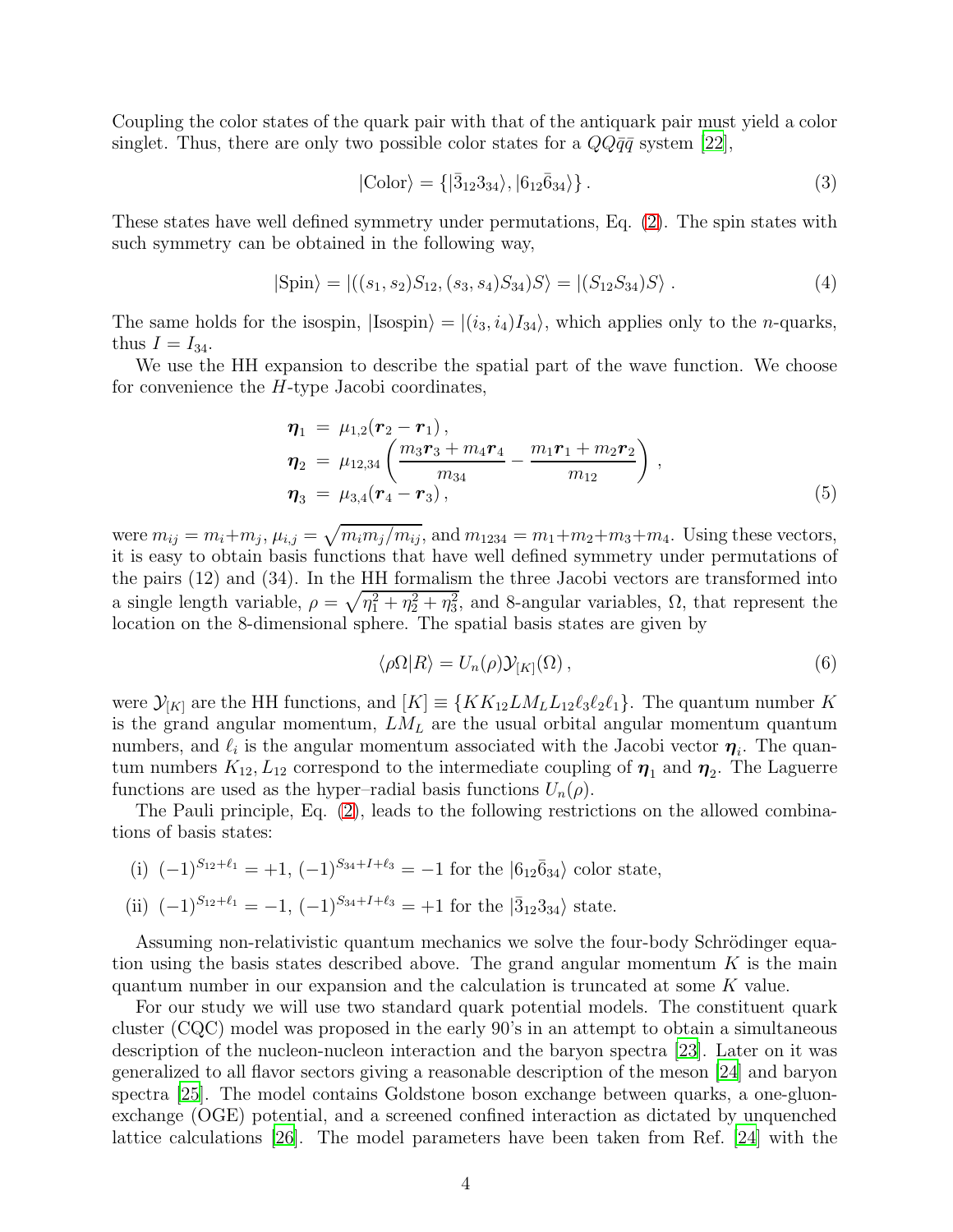Coupling the color states of the quark pair with that of the antiquark pair must yield a color singlet. Thus, there are only two possible color states for a  $QQ\bar{q}\bar{q}$  system [\[22\]](#page-16-3),

$$
|\text{Color}\rangle = \{|\bar{3}_{12}3_{34}\rangle, |6_{12}\bar{6}_{34}\rangle\}.
$$
 (3)

These states have well defined symmetry under permutations, Eq. [\(2\)](#page-2-1). The spin states with such symmetry can be obtained in the following way,

$$
|\text{Spin}\rangle = |((s_1, s_2)S_{12}, (s_3, s_4)S_{34})S\rangle = |(S_{12}S_{34})S\rangle. \tag{4}
$$

The same holds for the isospin,  $|\text{Isospin}\rangle = |(i_3, i_4)I_{34}\rangle$ , which applies only to the *n*-quarks, thus  $I = I_{34}$ .

We use the HH expansion to describe the spatial part of the wave function. We choose for convenience the H-type Jacobi coordinates,

$$
\eta_1 = \mu_{1,2}(\mathbf{r}_2 - \mathbf{r}_1), \n\eta_2 = \mu_{12,34} \left( \frac{m_3 \mathbf{r}_3 + m_4 \mathbf{r}_4}{m_{34}} - \frac{m_1 \mathbf{r}_1 + m_2 \mathbf{r}_2}{m_{12}} \right), \n\eta_3 = \mu_{3,4}(\mathbf{r}_4 - \mathbf{r}_3),
$$
\n(5)

were  $m_{ij} = m_i + m_j$ ,  $\mu_{i,j} = \sqrt{m_i m_j / m_{ij}}$ , and  $m_{1234} = m_1 + m_2 + m_3 + m_4$ . Using these vectors, it is easy to obtain basis functions that have well defined symmetry under permutations of the pairs (12) and (34). In the HH formalism the three Jacobi vectors are transformed into a single length variable,  $\rho = \sqrt{\eta_1^2 + \eta_2^2 + \eta_3^2}$ , and 8-angular variables,  $\Omega$ , that represent the location on the 8-dimensional sphere. The spatial basis states are given by

$$
\langle \rho \Omega | R \rangle = U_n(\rho) \mathcal{Y}_{[K]}(\Omega) \,, \tag{6}
$$

were  $\mathcal{Y}_{[K]}$  are the HH functions, and  $[K] \equiv \{KK_{12}LM_LL_{12}\ell_3\ell_2\ell_1\}$ . The quantum number K is the grand angular momentum,  $LM<sub>L</sub>$  are the usual orbital angular momentum quantum numbers, and  $\ell_i$  is the angular momentum associated with the Jacobi vector  $\eta_i$ . The quantum numbers  $K_{12}, L_{12}$  correspond to the intermediate coupling of  $\eta_1$  and  $\eta_2$ . The Laguerre functions are used as the hyper–radial basis functions  $U_n(\rho)$ .

The Pauli principle, Eq. [\(2\)](#page-2-1), leads to the following restrictions on the allowed combinations of basis states:

- (i)  $(-1)^{S_{12}+\ell_1} = +1$ ,  $(-1)^{S_{34}+I+\ell_3} = -1$  for the  $|6_{12}\bar{6}_{34}\rangle$  color state,
- (ii)  $(-1)^{S_{12}+\ell_1} = -1$ ,  $(-1)^{S_{34}+I+\ell_3} = +1$  for the  $|\bar{3}_{12}3_{34}\rangle$  state.

Assuming non-relativistic quantum mechanics we solve the four-body Schrödinger equation using the basis states described above. The grand angular momentum  $K$  is the main quantum number in our expansion and the calculation is truncated at some K value.

For our study we will use two standard quark potential models. The constituent quark cluster (CQC) model was proposed in the early 90's in an attempt to obtain a simultaneous description of the nucleon-nucleon interaction and the baryon spectra [\[23\]](#page-16-4). Later on it was generalized to all flavor sectors giving a reasonable description of the meson [\[24](#page-16-5)] and baryon spectra [\[25](#page-16-6)]. The model contains Goldstone boson exchange between quarks, a one-gluonexchange (OGE) potential, and a screened confined interaction as dictated by unquenched lattice calculations [\[26\]](#page-16-7). The model parameters have been taken from Ref. [\[24\]](#page-16-5) with the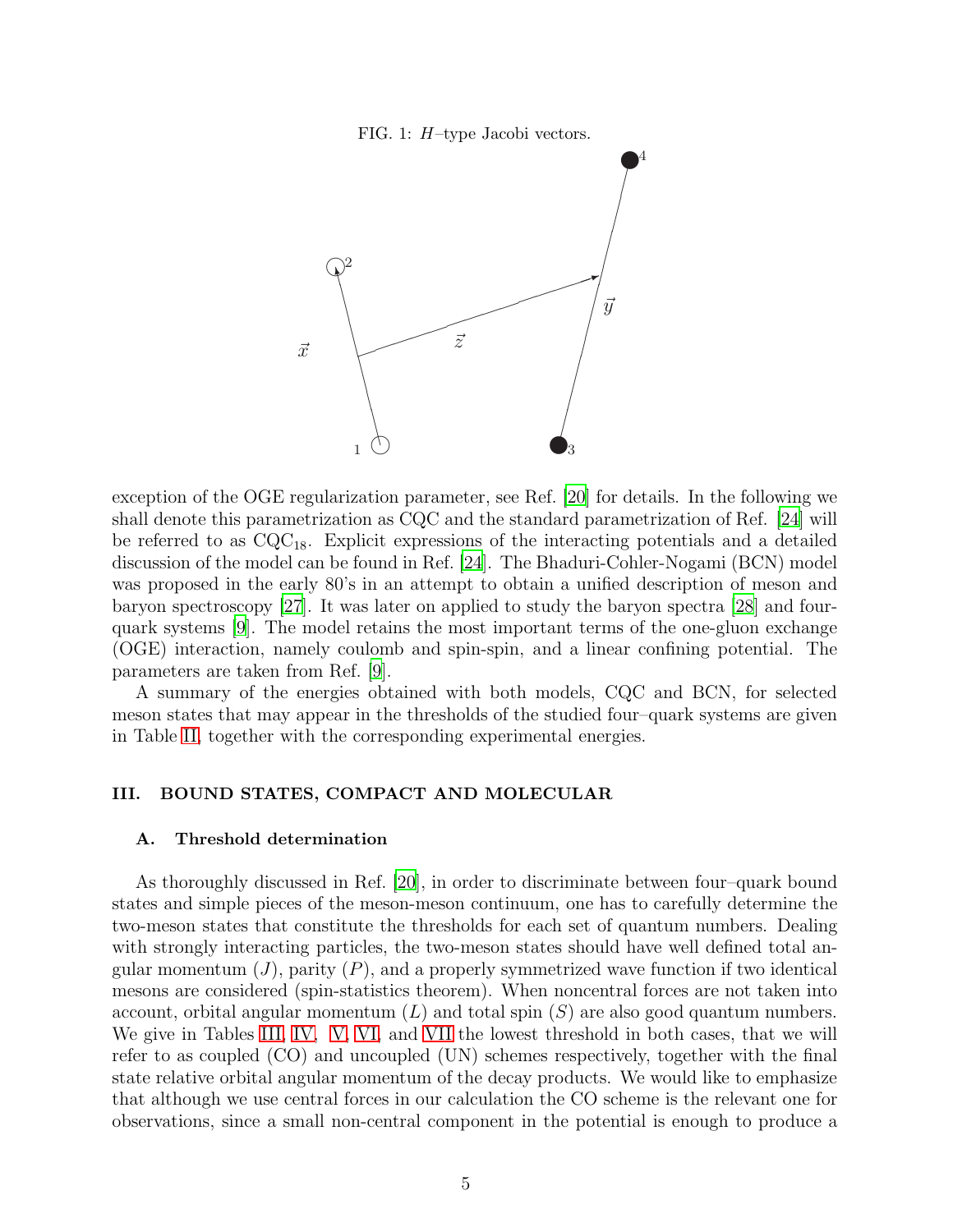FIG. 1: H–type Jacobi vectors.



exception of the OGE regularization parameter, see Ref. [\[20](#page-16-1)] for details. In the following we shall denote this parametrization as CQC and the standard parametrization of Ref. [\[24\]](#page-16-5) will be referred to as  $CQC_{18}$ . Explicit expressions of the interacting potentials and a detailed discussion of the model can be found in Ref. [\[24\]](#page-16-5). The Bhaduri-Cohler-Nogami (BCN) model was proposed in the early 80's in an attempt to obtain a unified description of meson and baryon spectroscopy [\[27](#page-16-8)]. It was later on applied to study the baryon spectra [\[28](#page-16-9)] and fourquark systems [\[9\]](#page-15-8). The model retains the most important terms of the one-gluon exchange (OGE) interaction, namely coulomb and spin-spin, and a linear confining potential. The parameters are taken from Ref. [\[9](#page-15-8)].

A summary of the energies obtained with both models, CQC and BCN, for selected meson states that may appear in the thresholds of the studied four–quark systems are given in Table [II,](#page-18-0) together with the corresponding experimental energies.

### <span id="page-4-0"></span>III. BOUND STATES, COMPACT AND MOLECULAR

### <span id="page-4-1"></span>A. Threshold determination

As thoroughly discussed in Ref. [\[20](#page-16-1)], in order to discriminate between four–quark bound states and simple pieces of the meson-meson continuum, one has to carefully determine the two-meson states that constitute the thresholds for each set of quantum numbers. Dealing with strongly interacting particles, the two-meson states should have well defined total angular momentum  $(J)$ , parity  $(P)$ , and a properly symmetrized wave function if two identical mesons are considered (spin-statistics theorem). When noncentral forces are not taken into account, orbital angular momentum  $(L)$  and total spin  $(S)$  are also good quantum numbers. We give in Tables [III,](#page-19-0) [IV,](#page-20-0) [V,](#page-21-0) [VI,](#page-22-0) and [VII](#page-23-0) the lowest threshold in both cases, that we will refer to as coupled (CO) and uncoupled (UN) schemes respectively, together with the final state relative orbital angular momentum of the decay products. We would like to emphasize that although we use central forces in our calculation the CO scheme is the relevant one for observations, since a small non-central component in the potential is enough to produce a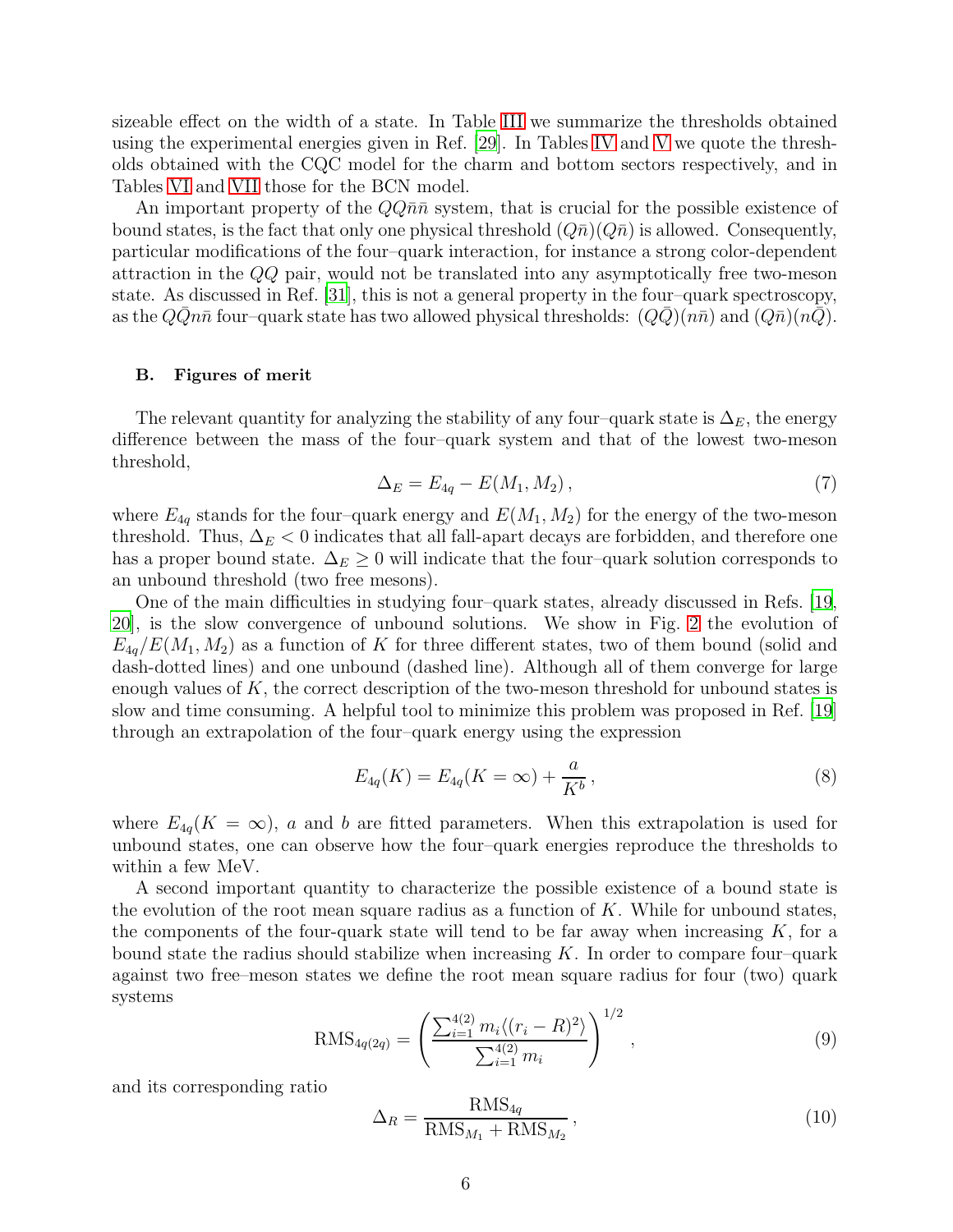sizeable effect on the width of a state. In Table [III](#page-19-0) we summarize the thresholds obtained using the experimental energies given in Ref. [\[29](#page-16-10)]. In Tables [IV](#page-20-0) and [V](#page-21-0) we quote the thresholds obtained with the CQC model for the charm and bottom sectors respectively, and in Tables [VI](#page-22-0) and [VII](#page-23-0) those for the BCN model.

An important property of the  $Q\bar{q}\bar{n}$  system, that is crucial for the possible existence of bound states, is the fact that only one physical threshold  $(Q\bar{n})(Q\bar{n})$  is allowed. Consequently, particular modifications of the four–quark interaction, for instance a strong color-dependent attraction in the QQ pair, would not be translated into any asymptotically free two-meson state. As discussed in Ref. [\[31\]](#page-16-11), this is not a general property in the four–quark spectroscopy, as the  $QQn\bar{n}$  four–quark state has two allowed physical thresholds:  $(QQ)(n\bar{n})$  and  $(Q\bar{n})(nQ)$ .

### B. Figures of merit

The relevant quantity for analyzing the stability of any four–quark state is  $\Delta_E$ , the energy difference between the mass of the four–quark system and that of the lowest two-meson threshold,

<span id="page-5-1"></span>
$$
\Delta_E = E_{4q} - E(M_1, M_2),\tag{7}
$$

where  $E_{4q}$  stands for the four-quark energy and  $E(M_1, M_2)$  for the energy of the two-meson threshold. Thus,  $\Delta_E$  < 0 indicates that all fall-apart decays are forbidden, and therefore one has a proper bound state.  $\Delta_E \geq 0$  will indicate that the four–quark solution corresponds to an unbound threshold (two free mesons).

One of the main difficulties in studying four–quark states, already discussed in Refs. [\[19,](#page-16-0) [20\]](#page-16-1), is the slow convergence of unbound solutions. We show in Fig. [2](#page-6-0) the evolution of  $E_{4q}/E(M_1, M_2)$  as a function of K for three different states, two of them bound (solid and dash-dotted lines) and one unbound (dashed line). Although all of them converge for large enough values of  $K$ , the correct description of the two-meson threshold for unbound states is slow and time consuming. A helpful tool to minimize this problem was proposed in Ref. [\[19\]](#page-16-0) through an extrapolation of the four–quark energy using the expression

<span id="page-5-0"></span>
$$
E_{4q}(K) = E_{4q}(K = \infty) + \frac{a}{K^b},
$$
\n(8)

where  $E_{4q}(K = \infty)$ , a and b are fitted parameters. When this extrapolation is used for unbound states, one can observe how the four–quark energies reproduce the thresholds to within a few MeV.

A second important quantity to characterize the possible existence of a bound state is the evolution of the root mean square radius as a function of  $K$ . While for unbound states, the components of the four-quark state will tend to be far away when increasing  $K$ , for a bound state the radius should stabilize when increasing  $K$ . In order to compare four–quark against two free–meson states we define the root mean square radius for four (two) quark systems

$$
RMS_{4q(2q)} = \left(\frac{\sum_{i=1}^{4(2)} m_i \langle (r_i - R)^2 \rangle}{\sum_{i=1}^{4(2)} m_i}\right)^{1/2},\tag{9}
$$

and its corresponding ratio

<span id="page-5-2"></span>
$$
\Delta_R = \frac{\text{RMS}_{4q}}{\text{RMS}_{M_1} + \text{RMS}_{M_2}},\tag{10}
$$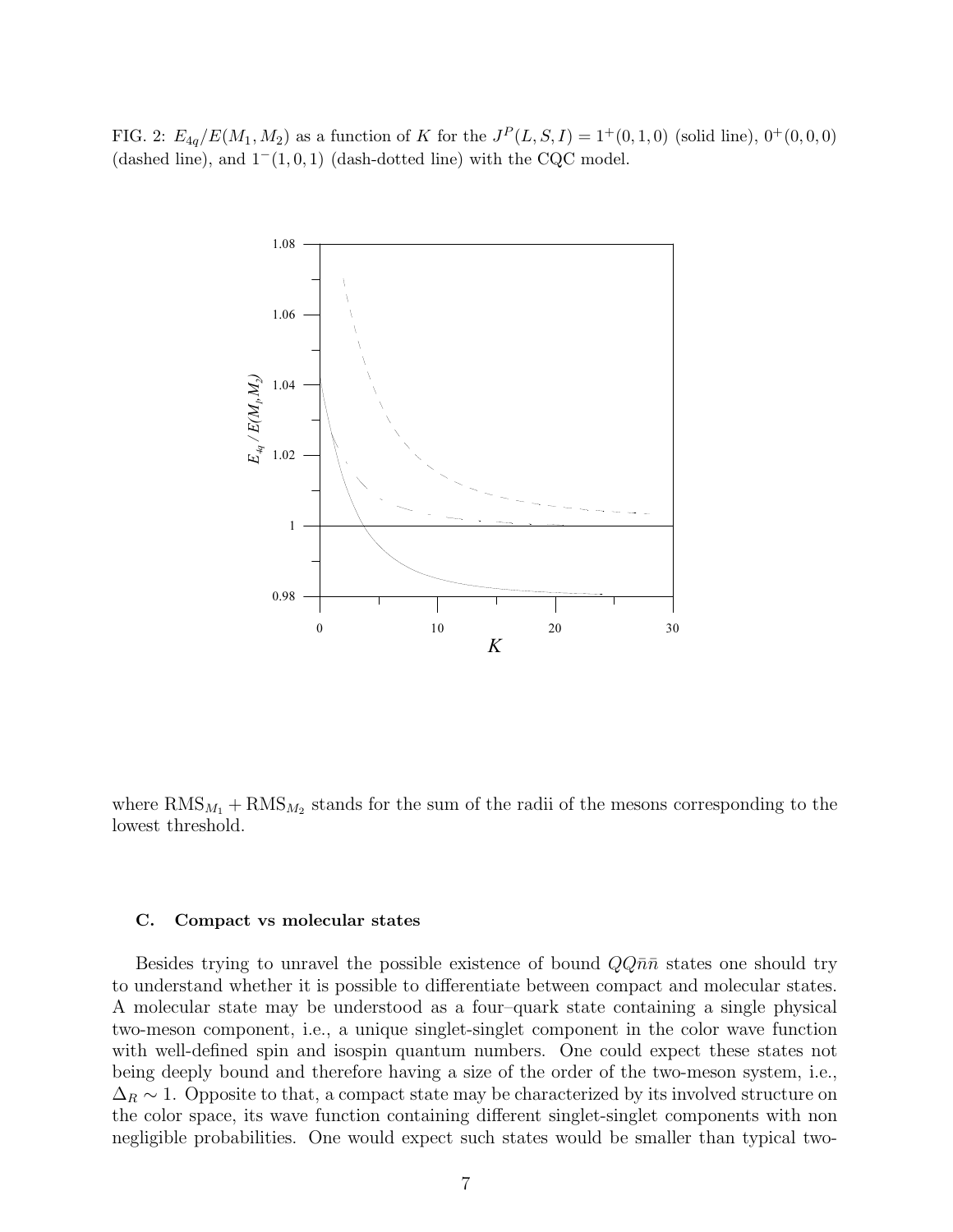<span id="page-6-0"></span>FIG. 2:  $E_{4q}/E(M_1, M_2)$  as a function of K for the  $J^P(L, S, I) = 1^+(0, 1, 0)$  (solid line),  $0^+(0, 0, 0)$ (dashed line), and  $1^-(1, 0, 1)$  (dash-dotted line) with the CQC model.



where  $\text{RMS}_{M_1} + \text{RMS}_{M_2}$  stands for the sum of the radii of the mesons corresponding to the lowest threshold.

#### C. Compact vs molecular states

Besides trying to unravel the possible existence of bound  $Q\bar{Q}\bar{n}\bar{n}$  states one should try to understand whether it is possible to differentiate between compact and molecular states. A molecular state may be understood as a four–quark state containing a single physical two-meson component, i.e., a unique singlet-singlet component in the color wave function with well-defined spin and isospin quantum numbers. One could expect these states not being deeply bound and therefore having a size of the order of the two-meson system, i.e.,  $\Delta_R \sim 1$ . Opposite to that, a compact state may be characterized by its involved structure on the color space, its wave function containing different singlet-singlet components with non negligible probabilities. One would expect such states would be smaller than typical two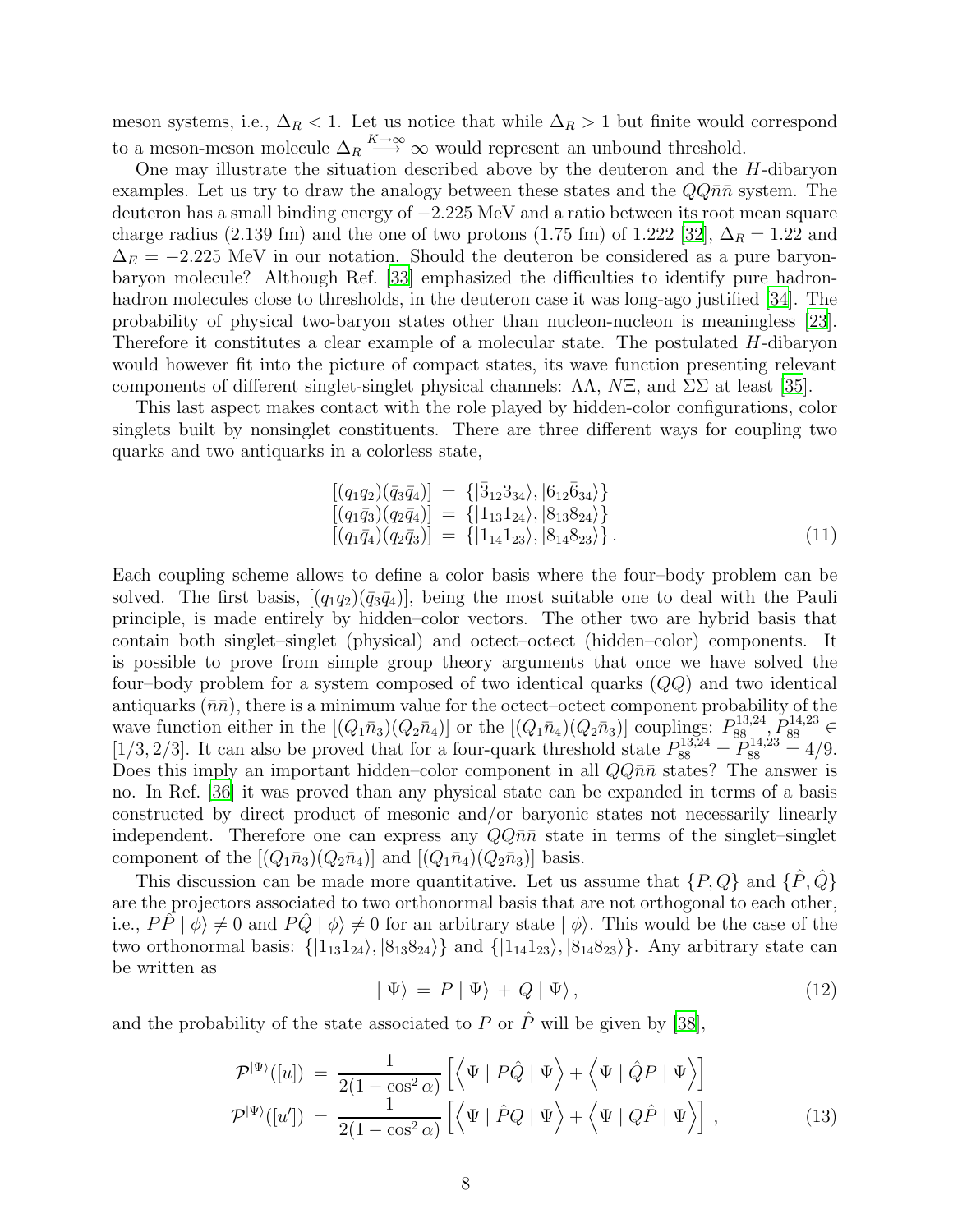meson systems, i.e.,  $\Delta_R$  < 1. Let us notice that while  $\Delta_R$  > 1 but finite would correspond to a meson-meson molecule  $\Delta_R \stackrel{K\to\infty}{\longrightarrow} \infty$  would represent an unbound threshold.

One may illustrate the situation described above by the deuteron and the  $H$ -dibaryon examples. Let us try to draw the analogy between these states and the  $QQ\bar{n}\bar{n}$  system. The deuteron has a small binding energy of −2.225 MeV and a ratio between its root mean square charge radius (2.139 fm) and the one of two protons (1.75 fm) of 1.222 [\[32\]](#page-16-12),  $\Delta_R = 1.22$  and  $\Delta_E = -2.225$  MeV in our notation. Should the deuteron be considered as a pure baryonbaryon molecule? Although Ref. [\[33\]](#page-16-13) emphasized the difficulties to identify pure hadron-hadron molecules close to thresholds, in the deuteron case it was long-ago justified [\[34\]](#page-16-14). The probability of physical two-baryon states other than nucleon-nucleon is meaningless [\[23\]](#page-16-4). Therefore it constitutes a clear example of a molecular state. The postulated H-dibaryon would however fit into the picture of compact states, its wave function presenting relevant components of different singlet-singlet physical channels:  $\Lambda\Lambda$ ,  $N\Xi$ , and  $\Sigma\Sigma$  at least [\[35](#page-16-15)].

This last aspect makes contact with the role played by hidden-color configurations, color singlets built by nonsinglet constituents. There are three different ways for coupling two quarks and two antiquarks in a colorless state,

$$
\begin{array}{rcl}\n[(q_1q_2)(\bar{q}_3\bar{q}_4)] &= \{|\bar{3}_{12}3_{34}\rangle, |6_{12}\bar{6}_{34}\rangle\} \\
[(q_1\bar{q}_3)(q_2\bar{q}_4)] &= \{|1_{13}1_{24}\rangle, |8_{13}8_{24}\rangle\} \\
[(q_1\bar{q}_4)(q_2\bar{q}_3)] &= \{|1_{14}1_{23}\rangle, |8_{14}8_{23}\rangle\}.\n\end{array} \tag{11}
$$

Each coupling scheme allows to define a color basis where the four–body problem can be solved. The first basis,  $[(q_1q_2)(\bar{q}_3\bar{q}_4)]$ , being the most suitable one to deal with the Pauli principle, is made entirely by hidden–color vectors. The other two are hybrid basis that contain both singlet–singlet (physical) and octect–octect (hidden–color) components. It is possible to prove from simple group theory arguments that once we have solved the four–body problem for a system composed of two identical quarks (QQ) and two identical antiquarks  $(\bar{n}\bar{n})$ , there is a minimum value for the octect–octect component probability of the wave function either in the  $[(Q_1\bar{n}_3)(Q_2\bar{n}_4)]$  or the  $[(Q_1\bar{n}_4)(Q_2\bar{n}_3)]$  couplings:  $P_{88}^{13,24}$ ,  $P_{88}^{14,23}$   $\in$ [1/3, 2/3]. It can also be proved that for a four-quark threshold state  $P_{88}^{13,24} = P_{88}^{14,23} = 4/9$ . Does this imply an important hidden–color component in all  $QQ\bar{n}\bar{n}$  states? The answer is no. In Ref. [\[36](#page-16-16)] it was proved than any physical state can be expanded in terms of a basis constructed by direct product of mesonic and/or baryonic states not necessarily linearly independent. Therefore one can express any  $Q\overline{q}n\overline{n}$  state in terms of the singlet–singlet component of the  $[(Q_1\bar{n}_3)(Q_2\bar{n}_4)]$  and  $[(Q_1\bar{n}_4)(Q_2\bar{n}_3)]$  basis.

This discussion can be made more quantitative. Let us assume that  $\{P, Q\}$  and  $\{\hat{P}, \hat{Q}\}$ are the projectors associated to two orthonormal basis that are not orthogonal to each other, i.e.,  $P\hat{P} | \phi \rangle \neq 0$  and  $P\hat{Q} | \phi \rangle \neq 0$  for an arbitrary state  $| \phi \rangle$ . This would be the case of the two orthonormal basis:  $\{|1_{13}1_{24}\rangle, |8_{13}8_{24}\rangle\}$  and  $\{|1_{14}1_{23}\rangle, |8_{14}8_{23}\rangle\}$ . Any arbitrary state can be written as

$$
|\Psi\rangle = P |\Psi\rangle + Q |\Psi\rangle, \qquad (12)
$$

and the probability of the state associated to P or  $\hat{P}$  will be given by [\[38](#page-16-17)],

<span id="page-7-0"></span>
$$
\mathcal{P}^{|\Psi\rangle}([u]) = \frac{1}{2(1 - \cos^2 \alpha)} \left[ \left\langle \Psi \mid P\hat{Q} \mid \Psi \right\rangle + \left\langle \Psi \mid \hat{Q}P \mid \Psi \right\rangle \right] \n\mathcal{P}^{|\Psi\rangle}([u']) = \frac{1}{2(1 - \cos^2 \alpha)} \left[ \left\langle \Psi \mid \hat{P}Q \mid \Psi \right\rangle + \left\langle \Psi \mid Q\hat{P} \mid \Psi \right\rangle \right],
$$
\n(13)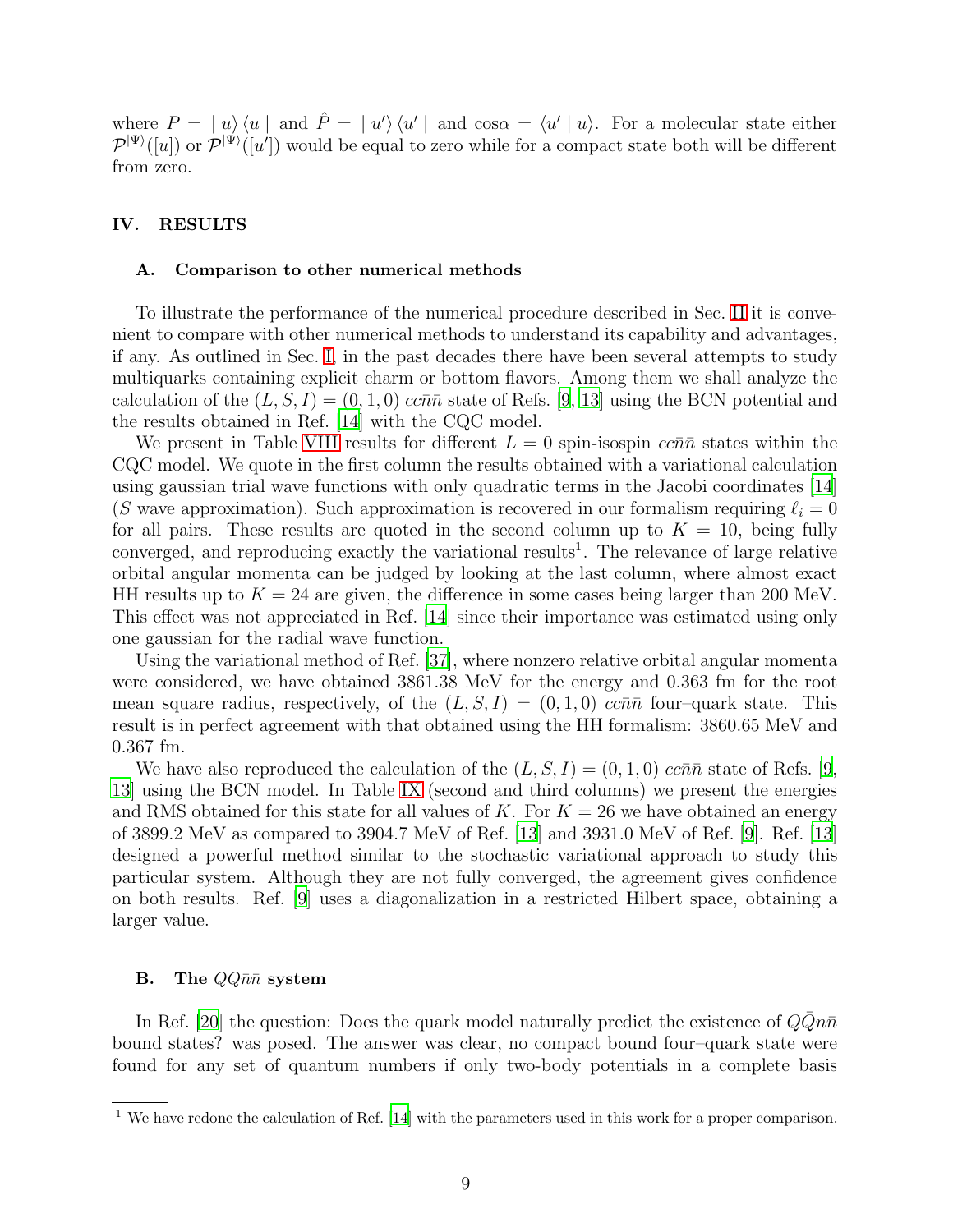where  $P = |u\rangle \langle u |$  and  $\hat{P} = |u'\rangle \langle u' |$  and  $\cos \alpha = \langle u' | u \rangle$ . For a molecular state either  $\mathcal{P}^{|\Psi\rangle}([u])$  or  $\mathcal{P}^{|\Psi\rangle}([u'])$  would be equal to zero while for a compact state both will be different from zero.

### <span id="page-8-0"></span>IV. RESULTS

#### A. Comparison to other numerical methods

To illustrate the performance of the numerical procedure described in Sec. [II](#page-2-0) it is convenient to compare with other numerical methods to understand its capability and advantages, if any. As outlined in Sec. [I,](#page-1-0) in the past decades there have been several attempts to study multiquarks containing explicit charm or bottom flavors. Among them we shall analyze the calculation of the  $(L, S, I) = (0, 1, 0)$  ccn $\bar{n}$  state of Refs. [\[9,](#page-15-8) [13](#page-15-12)] using the BCN potential and the results obtained in Ref. [\[14\]](#page-15-13) with the CQC model.

We present in Table [VIII](#page-23-1) results for different  $L = 0$  spin-isospin  $cc\bar{n}\bar{n}$  states within the CQC model. We quote in the first column the results obtained with a variational calculation using gaussian trial wave functions with only quadratic terms in the Jacobi coordinates [\[14\]](#page-15-13) (S wave approximation). Such approximation is recovered in our formalism requiring  $\ell_i = 0$ for all pairs. These results are quoted in the second column up to  $K = 10$ , being fully converged, and reproducing exactly the variational results 1 . The relevance of large relative orbital angular momenta can be judged by looking at the last column, where almost exact HH results up to  $K = 24$  are given, the difference in some cases being larger than 200 MeV. This effect was not appreciated in Ref. [\[14\]](#page-15-13) since their importance was estimated using only one gaussian for the radial wave function.

Using the variational method of Ref. [\[37\]](#page-16-18), where nonzero relative orbital angular momenta were considered, we have obtained 3861.38 MeV for the energy and 0.363 fm for the root mean square radius, respectively, of the  $(L, S, I) = (0, 1, 0)$  cc $\bar{n}\bar{n}$  four–quark state. This result is in perfect agreement with that obtained using the HH formalism: 3860.65 MeV and 0.367 fm.

We have also reproduced the calculation of the  $(L, S, I) = (0, 1, 0)$  cc $\bar{n}\bar{n}$  state of Refs. [\[9,](#page-15-8) [13\]](#page-15-12) using the BCN model. In Table [IX](#page-24-0) (second and third columns) we present the energies and RMS obtained for this state for all values of K. For  $K = 26$  we have obtained an energy of 3899.2 MeV as compared to 3904.7 MeV of Ref. [\[13](#page-15-12)] and 3931.0 MeV of Ref. [\[9](#page-15-8)]. Ref. [\[13\]](#page-15-12) designed a powerful method similar to the stochastic variational approach to study this particular system. Although they are not fully converged, the agreement gives confidence on both results. Ref. [\[9](#page-15-8)] uses a diagonalization in a restricted Hilbert space, obtaining a larger value.

### <span id="page-8-1"></span>**B.** The  $QQ\bar{n}\bar{n}$  system

In Ref. [\[20\]](#page-16-1) the question: Does the quark model naturally predict the existence of  $QQn\bar{n}$ bound states? was posed. The answer was clear, no compact bound four–quark state were found for any set of quantum numbers if only two-body potentials in a complete basis

<sup>1</sup> We have redone the calculation of Ref. [\[14](#page-15-13)] with the parameters used in this work for a proper comparison.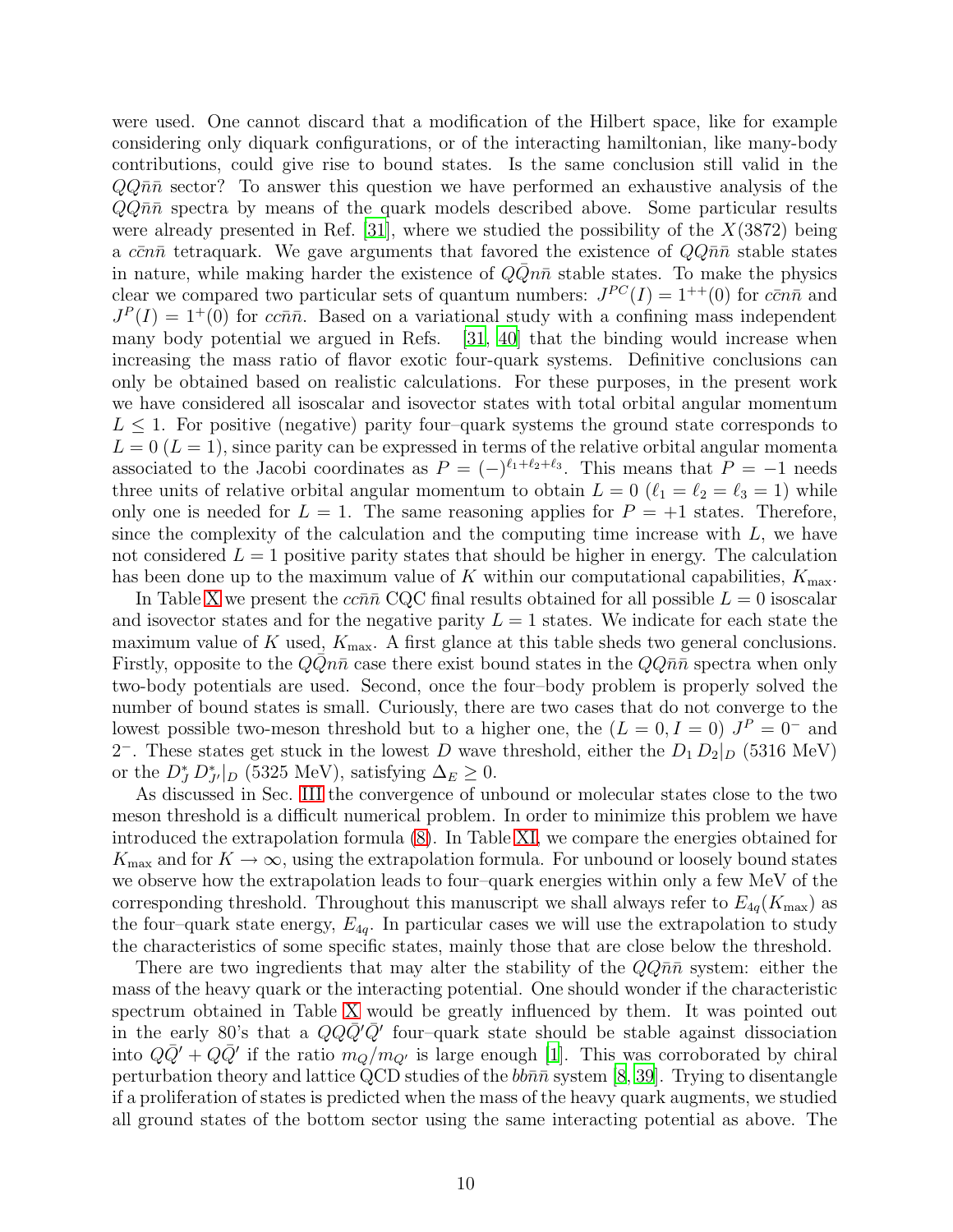were used. One cannot discard that a modification of the Hilbert space, like for example considering only diquark configurations, or of the interacting hamiltonian, like many-body contributions, could give rise to bound states. Is the same conclusion still valid in the  $QQ\bar{n}\bar{n}$  sector? To answer this question we have performed an exhaustive analysis of the  $QQn\bar{n}$  spectra by means of the quark models described above. Some particular results were already presented in Ref.  $[31]$ , where we studied the possibility of the  $X(3872)$  being a c $\bar{c}$  n and tetraquark. We gave arguments that favored the existence of  $QQ\bar{n}\bar{n}$  stable states in nature, while making harder the existence of  $Q\overline{Q}n\overline{n}$  stable states. To make the physics clear we compared two particular sets of quantum numbers:  $J^{PC}(I) = 1^{++}(0)$  for  $c\bar{c}n\bar{n}$  and  $J<sup>P</sup>(I) = 1<sup>+</sup>(0)$  for ccnn<sup>n</sup>. Based on a variational study with a confining mass independent many body potential we argued in Refs. [\[31,](#page-16-11) [40](#page-16-19)] that the binding would increase when increasing the mass ratio of flavor exotic four-quark systems. Definitive conclusions can only be obtained based on realistic calculations. For these purposes, in the present work we have considered all isoscalar and isovector states with total orbital angular momentum  $L \leq 1$ . For positive (negative) parity four-quark systems the ground state corresponds to  $L = 0$  ( $L = 1$ ), since parity can be expressed in terms of the relative orbital angular momenta associated to the Jacobi coordinates as  $P = (-)^{\ell_1+\ell_2+\ell_3}$ . This means that  $P = -1$  needs three units of relative orbital angular momentum to obtain  $L = 0$  ( $\ell_1 = \ell_2 = \ell_3 = 1$ ) while only one is needed for  $L = 1$ . The same reasoning applies for  $P = +1$  states. Therefore, since the complexity of the calculation and the computing time increase with  $L$ , we have not considered  $L = 1$  positive parity states that should be higher in energy. The calculation has been done up to the maximum value of K within our computational capabilities,  $K_{\text{max}}$ .

In Table [X](#page-25-0) we present the  $cc\bar{n}\bar{n}$  CQC final results obtained for all possible  $L = 0$  isoscalar and isovector states and for the negative parity  $L = 1$  states. We indicate for each state the maximum value of K used,  $K_{\text{max}}$ . A first glance at this table sheds two general conclusions. Firstly, opposite to the  $QQn\bar{n}$  case there exist bound states in the  $QQn\bar{n}$  spectra when only two-body potentials are used. Second, once the four–body problem is properly solved the number of bound states is small. Curiously, there are two cases that do not converge to the lowest possible two-meson threshold but to a higher one, the  $(L = 0, I = 0)$   $J<sup>P</sup> = 0^-$  and 2<sup>-</sup>. These states get stuck in the lowest D wave threshold, either the  $D_1 D_2|_D$  (5316 MeV) or the  $D_J^* D_{J'}^*|_D$  (5325 MeV), satisfying  $\Delta_E \geq 0$ .

As discussed in Sec. [III](#page-4-0) the convergence of unbound or molecular states close to the two meson threshold is a difficult numerical problem. In order to minimize this problem we have introduced the extrapolation formula [\(8\)](#page-5-0). In Table [XI,](#page-26-0) we compare the energies obtained for  $K_{\text{max}}$  and for  $K \to \infty$ , using the extrapolation formula. For unbound or loosely bound states we observe how the extrapolation leads to four–quark energies within only a few MeV of the corresponding threshold. Throughout this manuscript we shall always refer to  $E_{4q}(K_{\text{max}})$  as the four-quark state energy,  $E_{4g}$ . In particular cases we will use the extrapolation to study the characteristics of some specific states, mainly those that are close below the threshold.

There are two ingredients that may alter the stability of the  $QQ\bar{n}\bar{n}$  system: either the mass of the heavy quark or the interacting potential. One should wonder if the characteristic spectrum obtained in Table [X](#page-25-0) would be greatly influenced by them. It was pointed out in the early 80's that a  $QQ\bar{Q}'\bar{Q}'$  four-quark state should be stable against dissociation into  $Q\bar{Q}'+Q\bar{Q}'$  if the ratio  $m_Q/m_{Q'}$  is large enough [\[1](#page-15-0)]. This was corroborated by chiral perturbation theory and lattice QCD studies of the  $bb\bar{n}\bar{n}$  system [\[8](#page-15-7), [39](#page-16-20)]. Trying to disentangle if a proliferation of states is predicted when the mass of the heavy quark augments, we studied all ground states of the bottom sector using the same interacting potential as above. The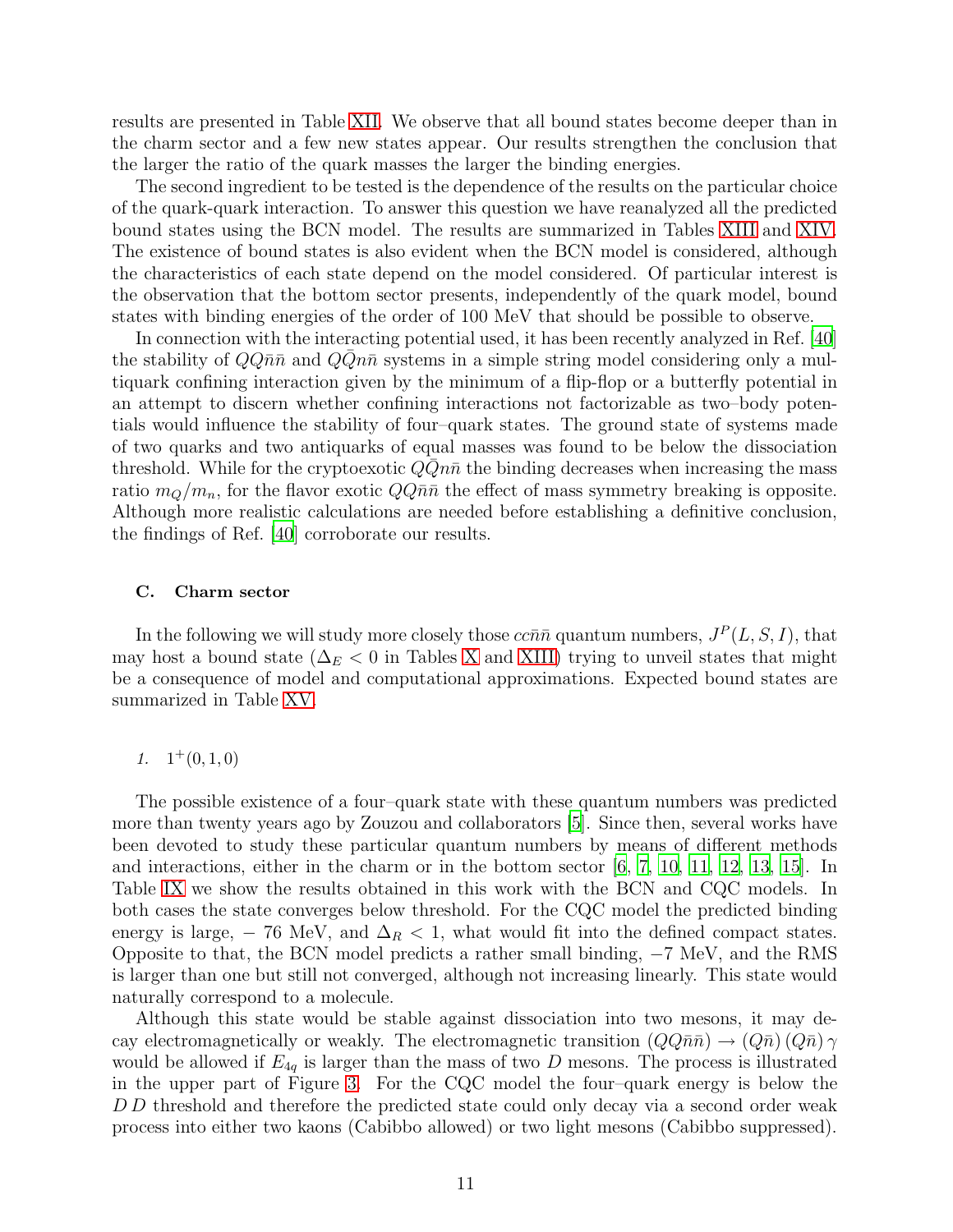results are presented in Table [XII.](#page-26-1) We observe that all bound states become deeper than in the charm sector and a few new states appear. Our results strengthen the conclusion that the larger the ratio of the quark masses the larger the binding energies.

The second ingredient to be tested is the dependence of the results on the particular choice of the quark-quark interaction. To answer this question we have reanalyzed all the predicted bound states using the BCN model. The results are summarized in Tables [XIII](#page-27-0) and [XIV.](#page-27-1) The existence of bound states is also evident when the BCN model is considered, although the characteristics of each state depend on the model considered. Of particular interest is the observation that the bottom sector presents, independently of the quark model, bound states with binding energies of the order of 100 MeV that should be possible to observe.

In connection with the interacting potential used, it has been recently analyzed in Ref. [\[40\]](#page-16-19) the stability of  $Q\bar{Q}n\bar{n}$  and  $\bar{Q}Qn\bar{n}$  systems in a simple string model considering only a multiquark confining interaction given by the minimum of a flip-flop or a butterfly potential in an attempt to discern whether confining interactions not factorizable as two–body potentials would influence the stability of four–quark states. The ground state of systems made of two quarks and two antiquarks of equal masses was found to be below the dissociation threshold. While for the cryptoexotic  $Q\overline{Q}n\overline{n}$  the binding decreases when increasing the mass ratio  $m_Q/m_n$ , for the flavor exotic  $QQ\bar{n}\bar{n}$  the effect of mass symmetry breaking is opposite. Although more realistic calculations are needed before establishing a definitive conclusion, the findings of Ref. [\[40\]](#page-16-19) corroborate our results.

### C. Charm sector

In the following we will study more closely those  $cc\bar{n}\bar{n}$  quantum numbers,  $J^P(L, S, I)$ , that may host a bound state ( $\Delta_E$  < 0 in Tables [X](#page-25-0) and [XIII\)](#page-27-0) trying to unveil states that might be a consequence of model and computational approximations. Expected bound states are summarized in Table [XV.](#page-27-2)

# 1.  $1^+(0,1,0)$

The possible existence of a four–quark state with these quantum numbers was predicted more than twenty years ago by Zouzou and collaborators [\[5](#page-15-4)]. Since then, several works have been devoted to study these particular quantum numbers by means of different methods and interactions, either in the charm or in the bottom sector [\[6,](#page-15-5) [7](#page-15-6), [10,](#page-15-9) [11,](#page-15-10) [12](#page-15-11), [13,](#page-15-12) [15](#page-15-14)]. In Table [IX](#page-24-0) we show the results obtained in this work with the BCN and CQC models. In both cases the state converges below threshold. For the CQC model the predicted binding energy is large,  $-76$  MeV, and  $\Delta_R < 1$ , what would fit into the defined compact states. Opposite to that, the BCN model predicts a rather small binding, −7 MeV, and the RMS is larger than one but still not converged, although not increasing linearly. This state would naturally correspond to a molecule.

Although this state would be stable against dissociation into two mesons, it may decay electromagnetically or weakly. The electromagnetic transition  $(QQ\bar{n}\bar{n}) \rightarrow (Q\bar{n}) (Q\bar{n}) \gamma$ would be allowed if  $E_{4q}$  is larger than the mass of two D mesons. The process is illustrated in the upper part of Figure [3.](#page-29-0) For the CQC model the four–quark energy is below the D D threshold and therefore the predicted state could only decay via a second order weak process into either two kaons (Cabibbo allowed) or two light mesons (Cabibbo suppressed).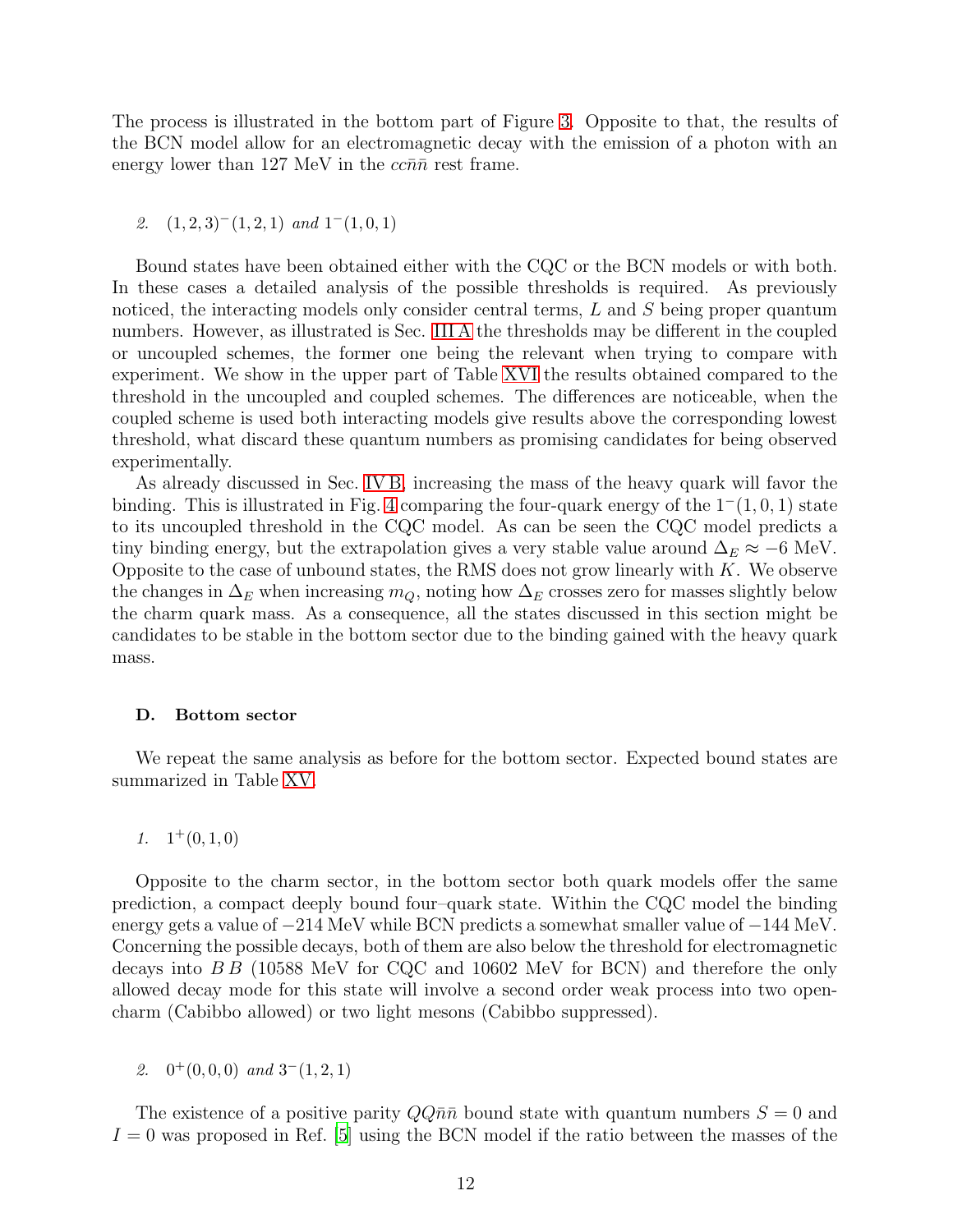The process is illustrated in the bottom part of Figure [3.](#page-29-0) Opposite to that, the results of the BCN model allow for an electromagnetic decay with the emission of a photon with an energy lower than 127 MeV in the  $cc\bar{n}\bar{n}$  rest frame.

2.  $(1, 2, 3)$ <sup>-</sup> $(1, 2, 1)$  and  $1$ <sup>-</sup> $(1, 0, 1)$ 

Bound states have been obtained either with the CQC or the BCN models or with both. In these cases a detailed analysis of the possible thresholds is required. As previously noticed, the interacting models only consider central terms, L and S being proper quantum numbers. However, as illustrated is Sec. [III A](#page-4-1) the thresholds may be different in the coupled or uncoupled schemes, the former one being the relevant when trying to compare with experiment. We show in the upper part of Table [XVI](#page-27-3) the results obtained compared to the threshold in the uncoupled and coupled schemes. The differences are noticeable, when the coupled scheme is used both interacting models give results above the corresponding lowest threshold, what discard these quantum numbers as promising candidates for being observed experimentally.

As already discussed in Sec. [IV B,](#page-8-1) increasing the mass of the heavy quark will favor the binding. This is illustrated in Fig. [4](#page-30-0) comparing the four-quark energy of the  $1^-(1, 0, 1)$  state to its uncoupled threshold in the CQC model. As can be seen the CQC model predicts a tiny binding energy, but the extrapolation gives a very stable value around  $\Delta_E \approx -6$  MeV. Opposite to the case of unbound states, the RMS does not grow linearly with  $K$ . We observe the changes in  $\Delta_E$  when increasing  $m_Q$ , noting how  $\Delta_E$  crosses zero for masses slightly below the charm quark mass. As a consequence, all the states discussed in this section might be candidates to be stable in the bottom sector due to the binding gained with the heavy quark mass.

### D. Bottom sector

We repeat the same analysis as before for the bottom sector. Expected bound states are summarized in Table [XV.](#page-27-2)

1.  $1^+(0,1,0)$ 

Opposite to the charm sector, in the bottom sector both quark models offer the same prediction, a compact deeply bound four–quark state. Within the CQC model the binding energy gets a value of −214 MeV while BCN predicts a somewhat smaller value of −144 MeV. Concerning the possible decays, both of them are also below the threshold for electromagnetic decays into  $B\bar{B}$  (10588 MeV for CQC and 10602 MeV for BCN) and therefore the only allowed decay mode for this state will involve a second order weak process into two opencharm (Cabibbo allowed) or two light mesons (Cabibbo suppressed).

2.  $0^+(0,0,0)$  and  $3^-(1,2,1)$ 

The existence of a positive parity  $QQ\bar{n}\bar{n}$  bound state with quantum numbers  $S = 0$  and  $I = 0$  was proposed in Ref. [\[5](#page-15-4)] using the BCN model if the ratio between the masses of the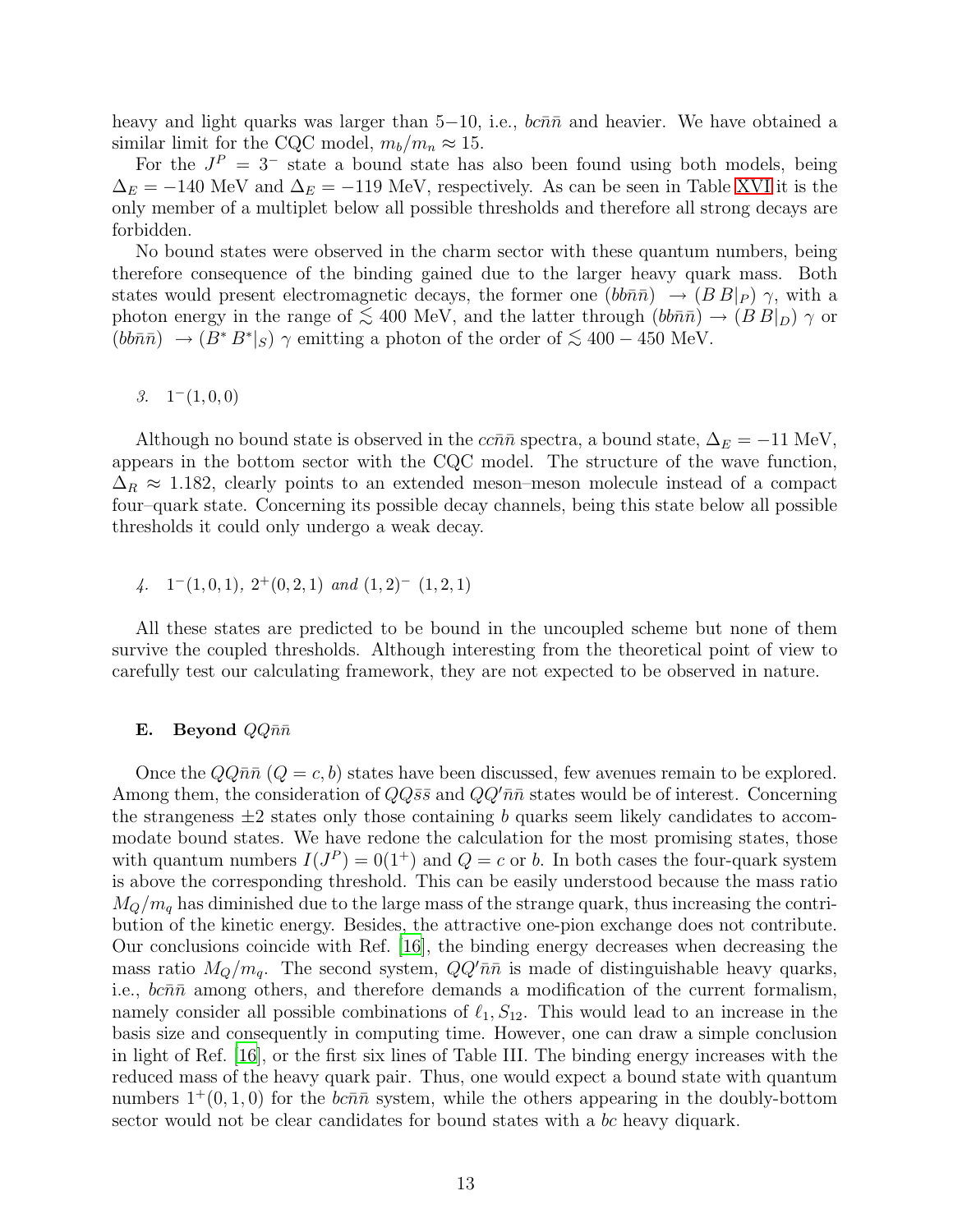heavy and light quarks was larger than  $5-10$ , i.e.,  $bc\overline{n}\overline{n}$  and heavier. We have obtained a similar limit for the CQC model,  $m_b/m_n \approx 15$ .

For the  $J^P = 3^-$  state a bound state has also been found using both models, being  $\Delta_E = -140$  MeV and  $\Delta_E = -119$  MeV, respectively. As can be seen in Table [XVI](#page-27-3) it is the only member of a multiplet below all possible thresholds and therefore all strong decays are forbidden.

No bound states were observed in the charm sector with these quantum numbers, being therefore consequence of the binding gained due to the larger heavy quark mass. Both states would present electromagnetic decays, the former one  $(bb\bar{n}\bar{n}$   $\rightarrow$   $(BB|_P)$   $\gamma$ , with a photon energy in the range of  $\lesssim 400$  MeV, and the latter through  $(bb\bar{n}\bar{n}) \rightarrow (BB|_D) \gamma$  or  $(bb\bar{n}\bar{n}) \rightarrow (\bar{B}^* B^*|_S)$   $\gamma$  emitting a photon of the order of  $\lesssim 400 - 450$  MeV.

# 3.  $1^-(1,0,0)$

Although no bound state is observed in the  $c\bar{c}n\bar{n}$  spectra, a bound state,  $\Delta_E = -11$  MeV, appears in the bottom sector with the CQC model. The structure of the wave function,  $\Delta_R \approx 1.182$ , clearly points to an extended meson–meson molecule instead of a compact four–quark state. Concerning its possible decay channels, being this state below all possible thresholds it could only undergo a weak decay.

# 4.  $1^-(1,0,1), 2^+(0,2,1)$  and  $(1,2)^ (1,2,1)$

All these states are predicted to be bound in the uncoupled scheme but none of them survive the coupled thresholds. Although interesting from the theoretical point of view to carefully test our calculating framework, they are not expected to be observed in nature.

### **E.** Beyond  $QQ\bar{n}\bar{n}$

Once the  $QQ\bar{n}\bar{n}$  ( $Q = c, b$ ) states have been discussed, few avenues remain to be explored. Among them, the consideration of  $QQ\bar{s}\bar{s}$  and  $QQ'\bar{n}\bar{n}$  states would be of interest. Concerning the strangeness  $\pm 2$  states only those containing b quarks seem likely candidates to accommodate bound states. We have redone the calculation for the most promising states, those with quantum numbers  $I(J^P) = 0(1^+)$  and  $Q = c$  or b. In both cases the four-quark system is above the corresponding threshold. This can be easily understood because the mass ratio  $M_O/m_g$  has diminished due to the large mass of the strange quark, thus increasing the contribution of the kinetic energy. Besides, the attractive one-pion exchange does not contribute. Our conclusions coincide with Ref. [\[16\]](#page-15-15), the binding energy decreases when decreasing the mass ratio  $M_Q/m_q$ . The second system,  $QQ'\bar{n}\bar{n}$  is made of distinguishable heavy quarks, i.e.,  $bc\bar{n}\bar{n}$  among others, and therefore demands a modification of the current formalism, namely consider all possible combinations of  $\ell_1, S_{12}$ . This would lead to an increase in the basis size and consequently in computing time. However, one can draw a simple conclusion in light of Ref. [\[16\]](#page-15-15), or the first six lines of Table III. The binding energy increases with the reduced mass of the heavy quark pair. Thus, one would expect a bound state with quantum numbers  $1^+(0, 1, 0)$  for the bcn $\bar{n}$  system, while the others appearing in the doubly-bottom sector would not be clear candidates for bound states with a bc heavy diquark.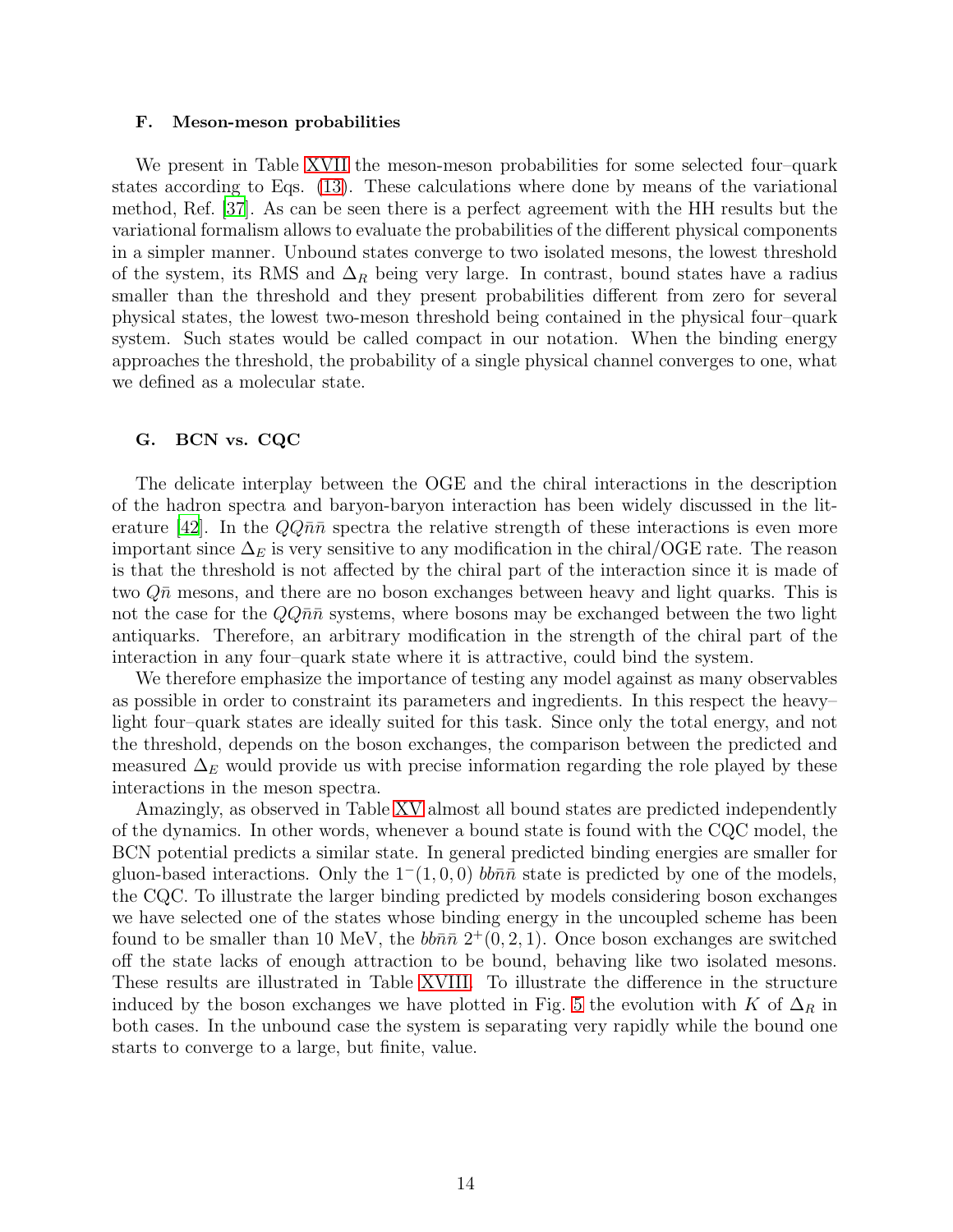#### F. Meson-meson probabilities

We present in Table [XVII](#page-28-0) the meson-meson probabilities for some selected four–quark states according to Eqs. [\(13\)](#page-7-0). These calculations where done by means of the variational method, Ref. [\[37](#page-16-18)]. As can be seen there is a perfect agreement with the HH results but the variational formalism allows to evaluate the probabilities of the different physical components in a simpler manner. Unbound states converge to two isolated mesons, the lowest threshold of the system, its RMS and  $\Delta_R$  being very large. In contrast, bound states have a radius smaller than the threshold and they present probabilities different from zero for several physical states, the lowest two-meson threshold being contained in the physical four–quark system. Such states would be called compact in our notation. When the binding energy approaches the threshold, the probability of a single physical channel converges to one, what we defined as a molecular state.

### G. BCN vs. CQC

The delicate interplay between the OGE and the chiral interactions in the description of the hadron spectra and baryon-baryon interaction has been widely discussed in the lit-erature [\[42\]](#page-16-21). In the  $QQ\bar{n}\bar{n}$  spectra the relative strength of these interactions is even more important since  $\Delta_E$  is very sensitive to any modification in the chiral/OGE rate. The reason is that the threshold is not affected by the chiral part of the interaction since it is made of two  $\overline{Q}$  m mesons, and there are no boson exchanges between heavy and light quarks. This is not the case for the  $QQ\bar{n}\bar{n}$  systems, where bosons may be exchanged between the two light antiquarks. Therefore, an arbitrary modification in the strength of the chiral part of the interaction in any four–quark state where it is attractive, could bind the system.

We therefore emphasize the importance of testing any model against as many observables as possible in order to constraint its parameters and ingredients. In this respect the heavy– light four–quark states are ideally suited for this task. Since only the total energy, and not the threshold, depends on the boson exchanges, the comparison between the predicted and measured  $\Delta_E$  would provide us with precise information regarding the role played by these interactions in the meson spectra.

Amazingly, as observed in Table [XV](#page-27-2) almost all bound states are predicted independently of the dynamics. In other words, whenever a bound state is found with the CQC model, the BCN potential predicts a similar state. In general predicted binding energies are smaller for gluon-based interactions. Only the  $1^-(1, 0, 0)$  bb $\bar{n}\bar{n}$  state is predicted by one of the models, the CQC. To illustrate the larger binding predicted by models considering boson exchanges we have selected one of the states whose binding energy in the uncoupled scheme has been found to be smaller than 10 MeV, the  $bb\bar{n}\bar{n}$   $2^+(0, 2, 1)$ . Once boson exchanges are switched off the state lacks of enough attraction to be bound, behaving like two isolated mesons. These results are illustrated in Table [XVIII.](#page-28-1) To illustrate the difference in the structure induced by the boson exchanges we have plotted in Fig. [5](#page-31-0) the evolution with K of  $\Delta_R$  in both cases. In the unbound case the system is separating very rapidly while the bound one starts to converge to a large, but finite, value.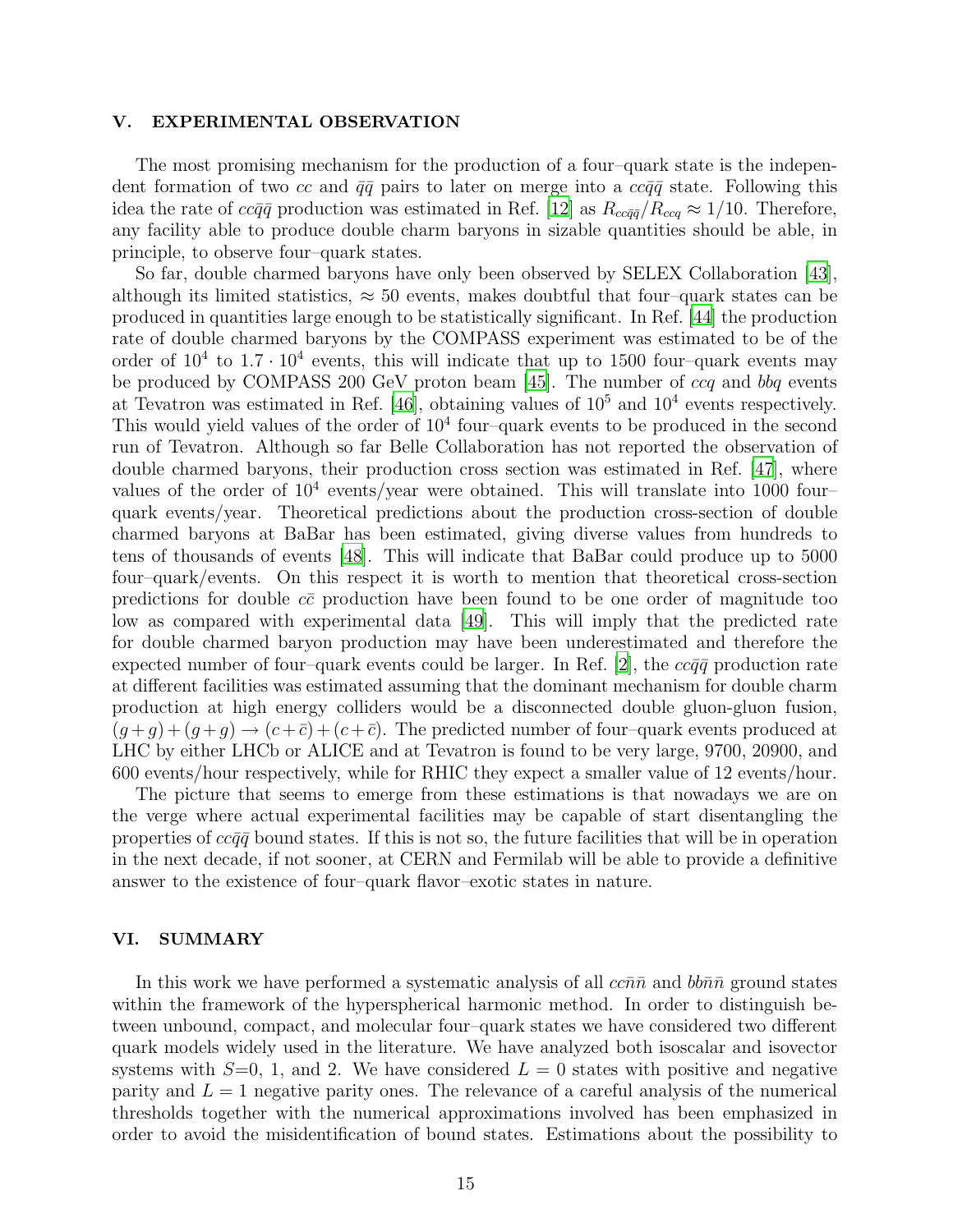### <span id="page-14-0"></span>V. EXPERIMENTAL OBSERVATION

The most promising mechanism for the production of a four–quark state is the independent formation of two cc and  $\bar{q}\bar{q}$  pairs to later on merge into a  $cc\bar{q}\bar{q}$  state. Following this idea the rate of  $cc\bar{q}\bar{q}$  production was estimated in Ref. [\[12\]](#page-15-11) as  $R_{cc\bar{q}\bar{q}}/R_{ccq} \approx 1/10$ . Therefore, any facility able to produce double charm baryons in sizable quantities should be able, in principle, to observe four–quark states.

So far, double charmed baryons have only been observed by SELEX Collaboration [\[43\]](#page-16-22), although its limited statistics,  $\approx 50$  events, makes doubtful that four–quark states can be produced in quantities large enough to be statistically significant. In Ref. [\[44](#page-16-23)] the production rate of double charmed baryons by the COMPASS experiment was estimated to be of the order of  $10^4$  to  $1.7 \cdot 10^4$  events, this will indicate that up to 1500 four-quark events may be produced by COMPASS 200 GeV proton beam [\[45\]](#page-16-24). The number of ccq and bbq events at Tevatron was estimated in Ref. [\[46\]](#page-16-25), obtaining values of  $10^5$  and  $10^4$  events respectively. This would yield values of the order of  $10<sup>4</sup>$  four-quark events to be produced in the second run of Tevatron. Although so far Belle Collaboration has not reported the observation of double charmed baryons, their production cross section was estimated in Ref. [\[47\]](#page-16-26), where values of the order of  $10^4$  events/year were obtained. This will translate into 1000 fourquark events/year. Theoretical predictions about the production cross-section of double charmed baryons at BaBar has been estimated, giving diverse values from hundreds to tens of thousands of events [\[48\]](#page-16-27). This will indicate that BaBar could produce up to 5000 four–quark/events. On this respect it is worth to mention that theoretical cross-section predictions for double  $c\bar{c}$  production have been found to be one order of magnitude too low as compared with experimental data [\[49\]](#page-16-28). This will imply that the predicted rate for double charmed baryon production may have been underestimated and therefore the expected number of four–quark events could be larger. In Ref. [\[2](#page-15-1)], the  $cc\bar{q}\bar{q}$  production rate at different facilities was estimated assuming that the dominant mechanism for double charm production at high energy colliders would be a disconnected double gluon-gluon fusion,  $(g+g)+(g+g) \rightarrow (c+\bar{c})+(c+\bar{c})$ . The predicted number of four-quark events produced at LHC by either LHCb or ALICE and at Tevatron is found to be very large, 9700, 20900, and 600 events/hour respectively, while for RHIC they expect a smaller value of 12 events/hour.

The picture that seems to emerge from these estimations is that nowadays we are on the verge where actual experimental facilities may be capable of start disentangling the properties of  $cc\bar{q}\bar{q}$  bound states. If this is not so, the future facilities that will be in operation in the next decade, if not sooner, at CERN and Fermilab will be able to provide a definitive answer to the existence of four–quark flavor–exotic states in nature.

### <span id="page-14-1"></span>VI. SUMMARY

In this work we have performed a systematic analysis of all  $cc\bar{n}\bar{n}$  and  $bb\bar{n}\bar{n}$  ground states within the framework of the hyperspherical harmonic method. In order to distinguish between unbound, compact, and molecular four–quark states we have considered two different quark models widely used in the literature. We have analyzed both isoscalar and isovector systems with  $S=0, 1$ , and 2. We have considered  $L=0$  states with positive and negative parity and  $L = 1$  negative parity ones. The relevance of a careful analysis of the numerical thresholds together with the numerical approximations involved has been emphasized in order to avoid the misidentification of bound states. Estimations about the possibility to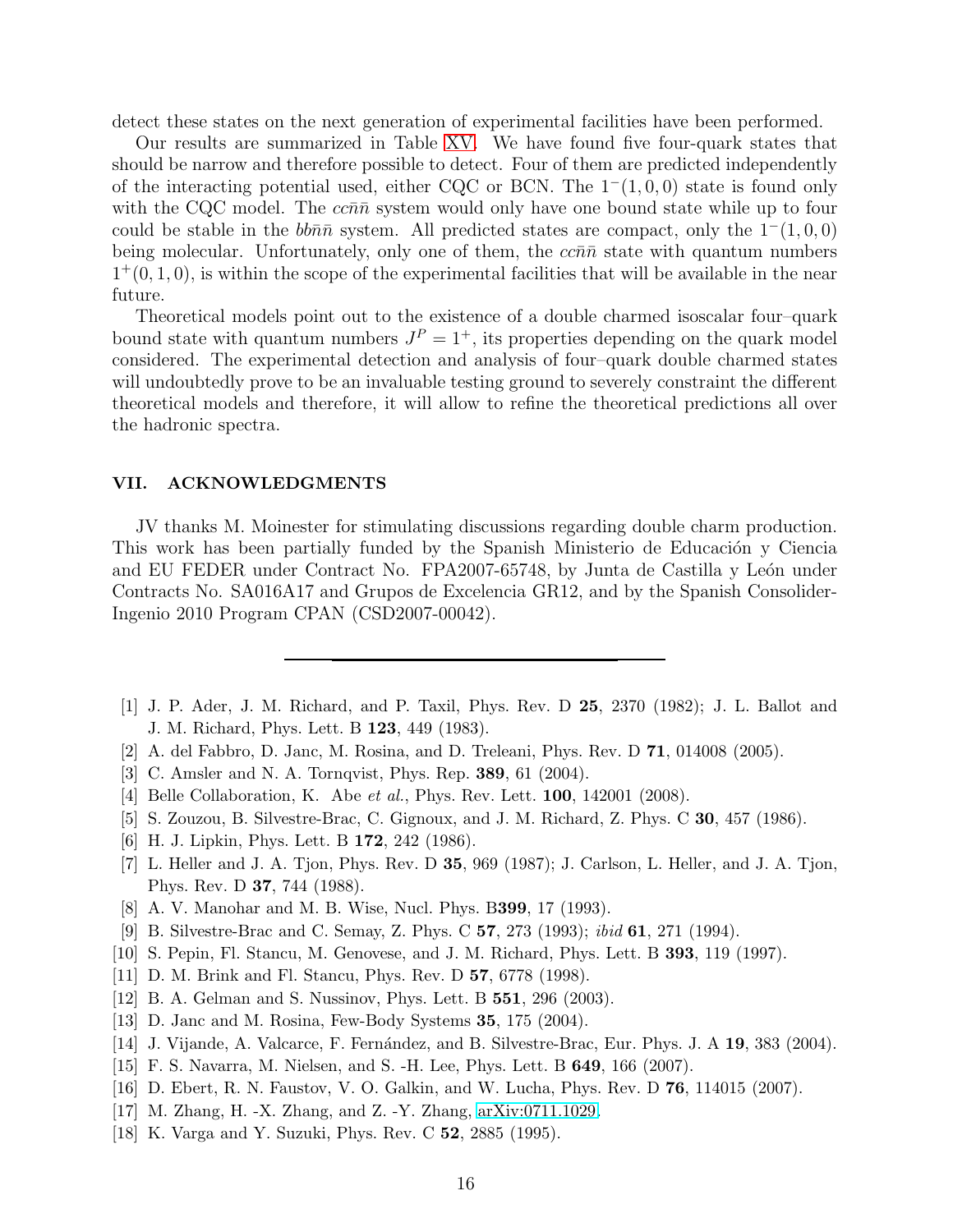detect these states on the next generation of experimental facilities have been performed.

Our results are summarized in Table [XV.](#page-27-2) We have found five four-quark states that should be narrow and therefore possible to detect. Four of them are predicted independently of the interacting potential used, either CQC or BCN. The  $1^-(1, 0, 0)$  state is found only with the CQC model. The  $c\bar{c}n\bar{n}$  system would only have one bound state while up to four could be stable in the  $bb\bar{n}\bar{n}$  system. All predicted states are compact, only the  $1^-(1, 0, 0)$ being molecular. Unfortunately, only one of them, the  $cc\bar{n}\bar{n}$  state with quantum numbers  $1^+(0, 1, 0)$ , is within the scope of the experimental facilities that will be available in the near future.

Theoretical models point out to the existence of a double charmed isoscalar four–quark bound state with quantum numbers  $J^P = 1^+$ , its properties depending on the quark model considered. The experimental detection and analysis of four–quark double charmed states will undoubtedly prove to be an invaluable testing ground to severely constraint the different theoretical models and therefore, it will allow to refine the theoretical predictions all over the hadronic spectra.

### VII. ACKNOWLEDGMENTS

JV thanks M. Moinester for stimulating discussions regarding double charm production. This work has been partially funded by the Spanish Ministerio de Educación y Ciencia and EU FEDER under Contract No. FPA2007-65748, by Junta de Castilla y León under Contracts No. SA016A17 and Grupos de Excelencia GR12, and by the Spanish Consolider-Ingenio 2010 Program CPAN (CSD2007-00042).

- <span id="page-15-0"></span>[1] J. P. Ader, J. M. Richard, and P. Taxil, Phys. Rev. D 25, 2370 (1982); J. L. Ballot and J. M. Richard, Phys. Lett. B 123, 449 (1983).
- <span id="page-15-1"></span>[2] A. del Fabbro, D. Janc, M. Rosina, and D. Treleani, Phys. Rev. D 71, 014008 (2005).
- <span id="page-15-2"></span>[3] C. Amsler and N. A. Tornqvist, Phys. Rep. 389, 61 (2004).
- <span id="page-15-3"></span>[4] Belle Collaboration, K. Abe et al., Phys. Rev. Lett. **100**, 142001 (2008).
- <span id="page-15-4"></span>[5] S. Zouzou, B. Silvestre-Brac, C. Gignoux, and J. M. Richard, Z. Phys. C 30, 457 (1986).
- <span id="page-15-5"></span>[6] H. J. Lipkin, Phys. Lett. B 172, 242 (1986).
- <span id="page-15-6"></span>[7] L. Heller and J. A. Tjon, Phys. Rev. D 35, 969 (1987); J. Carlson, L. Heller, and J. A. Tjon, Phys. Rev. D 37, 744 (1988).
- <span id="page-15-7"></span>[8] A. V. Manohar and M. B. Wise, Nucl. Phys. B399, 17 (1993).
- <span id="page-15-8"></span>[9] B. Silvestre-Brac and C. Semay, Z. Phys. C 57, 273 (1993); ibid 61, 271 (1994).
- <span id="page-15-9"></span>[10] S. Pepin, Fl. Stancu, M. Genovese, and J. M. Richard, Phys. Lett. B 393, 119 (1997).
- <span id="page-15-10"></span>[11] D. M. Brink and Fl. Stancu, Phys. Rev. D 57, 6778 (1998).
- <span id="page-15-11"></span>[12] B. A. Gelman and S. Nussinov, Phys. Lett. B 551, 296 (2003).
- <span id="page-15-12"></span>[13] D. Janc and M. Rosina, Few-Body Systems 35, 175 (2004).
- <span id="page-15-13"></span>[14] J. Vijande, A. Valcarce, F. Fernández, and B. Silvestre-Brac, Eur. Phys. J. A 19, 383 (2004).
- <span id="page-15-14"></span>[15] F. S. Navarra, M. Nielsen, and S. -H. Lee, Phys. Lett. B 649, 166 (2007).
- <span id="page-15-15"></span>[16] D. Ebert, R. N. Faustov, V. O. Galkin, and W. Lucha, Phys. Rev. D 76, 114015 (2007).
- <span id="page-15-16"></span>[17] M. Zhang, H. -X. Zhang, and Z. -Y. Zhang, [arXiv:0711.1029.](http://arxiv.org/abs/0711.1029)
- <span id="page-15-17"></span>[18] K. Varga and Y. Suzuki, Phys. Rev. C 52, 2885 (1995).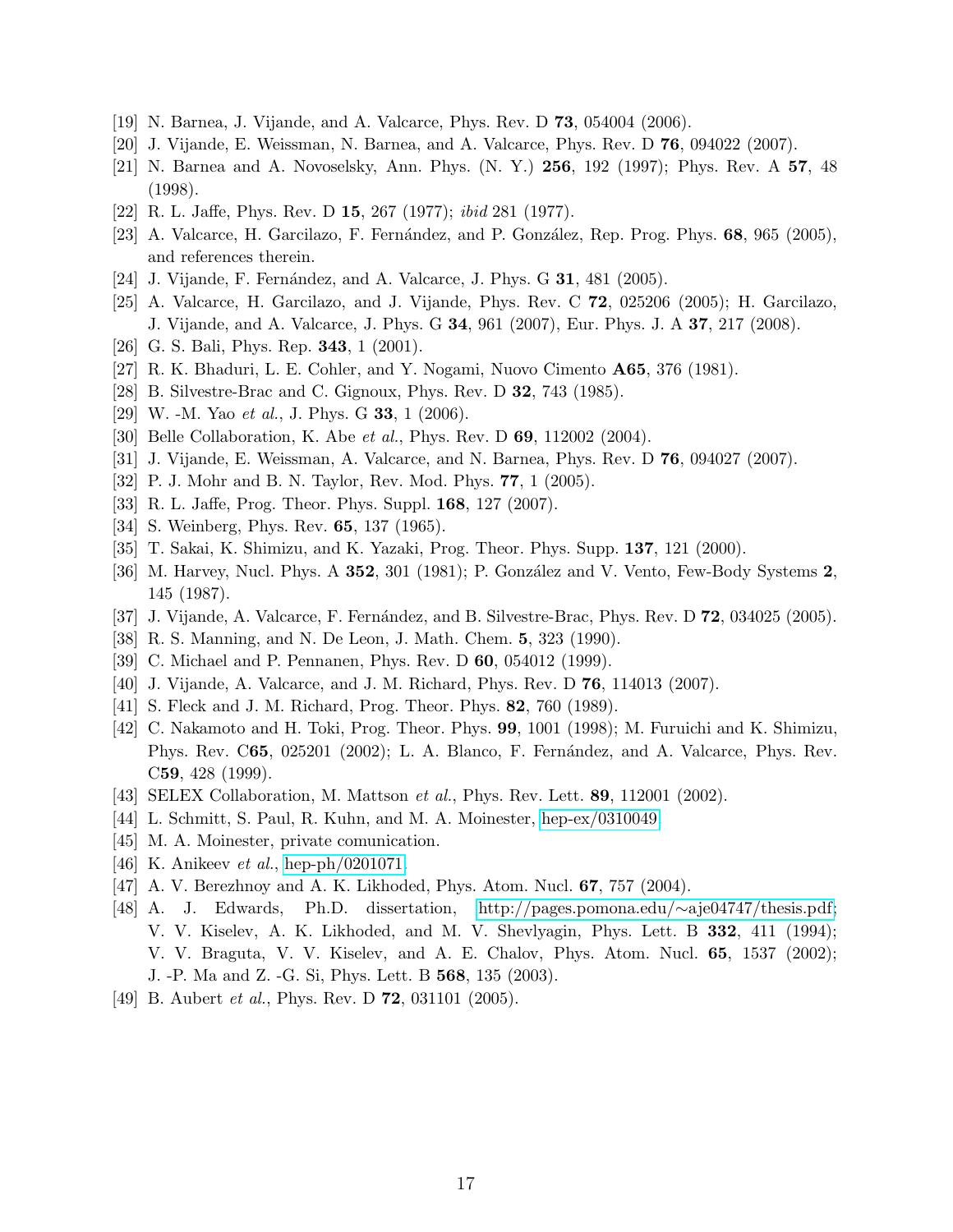- <span id="page-16-0"></span>[19] N. Barnea, J. Vijande, and A. Valcarce, Phys. Rev. D 73, 054004 (2006).
- <span id="page-16-1"></span>[20] J. Vijande, E. Weissman, N. Barnea, and A. Valcarce, Phys. Rev. D 76, 094022 (2007).
- <span id="page-16-2"></span>[21] N. Barnea and A. Novoselsky, Ann. Phys. (N. Y.) 256, 192 (1997); Phys. Rev. A 57, 48 (1998).
- <span id="page-16-3"></span>[22] R. L. Jaffe, Phys. Rev. D 15, 267 (1977); ibid 281 (1977).
- <span id="page-16-4"></span>[23] A. Valcarce, H. Garcilazo, F. Fernández, and P. González, Rep. Prog. Phys. 68, 965 (2005), and references therein.
- <span id="page-16-5"></span>[24] J. Vijande, F. Fernández, and A. Valcarce, J. Phys. G  $31$ , 481 (2005).
- <span id="page-16-6"></span>[25] A. Valcarce, H. Garcilazo, and J. Vijande, Phys. Rev. C 72, 025206 (2005); H. Garcilazo, J. Vijande, and A. Valcarce, J. Phys. G 34, 961 (2007), Eur. Phys. J. A 37, 217 (2008).
- <span id="page-16-7"></span>[26] G. S. Bali, Phys. Rep. **343**, 1 (2001).
- <span id="page-16-8"></span>[27] R. K. Bhaduri, L. E. Cohler, and Y. Nogami, Nuovo Cimento A65, 376 (1981).
- <span id="page-16-9"></span>[28] B. Silvestre-Brac and C. Gignoux, Phys. Rev. D 32, 743 (1985).
- <span id="page-16-10"></span>[29] W. -M. Yao et al., J. Phys. G 33, 1 (2006).
- <span id="page-16-29"></span>[30] Belle Collaboration, K. Abe et al., Phys. Rev. D **69**, 112002 (2004).
- <span id="page-16-11"></span>[31] J. Vijande, E. Weissman, A. Valcarce, and N. Barnea, Phys. Rev. D 76, 094027 (2007).
- <span id="page-16-12"></span>[32] P. J. Mohr and B. N. Taylor, Rev. Mod. Phys. 77, 1 (2005).
- <span id="page-16-13"></span>[33] R. L. Jaffe, Prog. Theor. Phys. Suppl. 168, 127 (2007).
- <span id="page-16-14"></span>[34] S. Weinberg, Phys. Rev. **65**, 137 (1965).
- <span id="page-16-15"></span>[35] T. Sakai, K. Shimizu, and K. Yazaki, Prog. Theor. Phys. Supp. 137, 121 (2000).
- <span id="page-16-16"></span>[36] M. Harvey, Nucl. Phys. A 352, 301 (1981); P. González and V. Vento, Few-Body Systems 2, 145 (1987).
- <span id="page-16-18"></span>[37] J. Vijande, A. Valcarce, F. Fernández, and B. Silvestre-Brac, Phys. Rev. D 72, 034025 (2005).
- <span id="page-16-17"></span>[38] R. S. Manning, and N. De Leon, J. Math. Chem. 5, 323 (1990).
- <span id="page-16-20"></span>[39] C. Michael and P. Pennanen, Phys. Rev. D **60**, 054012 (1999).
- <span id="page-16-19"></span>[40] J. Vijande, A. Valcarce, and J. M. Richard, Phys. Rev. D 76, 114013 (2007).
- <span id="page-16-30"></span>[41] S. Fleck and J. M. Richard, Prog. Theor. Phys. 82, 760 (1989).
- <span id="page-16-21"></span>[42] C. Nakamoto and H. Toki, Prog. Theor. Phys. 99, 1001 (1998); M. Furuichi and K. Shimizu, Phys. Rev. C65, 025201 (2002); L. A. Blanco, F. Fernández, and A. Valcarce, Phys. Rev. C59, 428 (1999).
- <span id="page-16-22"></span>[43] SELEX Collaboration, M. Mattson et al., Phys. Rev. Lett. 89, 112001 (2002).
- <span id="page-16-23"></span>[44] L. Schmitt, S. Paul, R. Kuhn, and M. A. Moinester, [hep-ex/0310049.](http://arxiv.org/abs/hep-ex/0310049)
- <span id="page-16-24"></span>[45] M. A. Moinester, private comunication.
- <span id="page-16-25"></span>[46] K. Anikeev *et al.*, [hep-ph/0201071.](http://arxiv.org/abs/hep-ph/0201071)
- <span id="page-16-26"></span>[47] A. V. Berezhnoy and A. K. Likhoded, Phys. Atom. Nucl. 67, 757 (2004).
- <span id="page-16-27"></span>[48] A. J. Edwards, Ph.D. dissertation, [http://pages.pomona.edu/](http://pages.pomona.edu/~aje04747/thesis.pdf)∼aje04747/thesis.pdf; V. V. Kiselev, A. K. Likhoded, and M. V. Shevlyagin, Phys. Lett. B 332, 411 (1994); V. V. Braguta, V. V. Kiselev, and A. E. Chalov, Phys. Atom. Nucl. 65, 1537 (2002); J. -P. Ma and Z. -G. Si, Phys. Lett. B 568, 135 (2003).
- <span id="page-16-28"></span>[49] B. Aubert *et al.*, Phys. Rev. D **72**, 031101 (2005).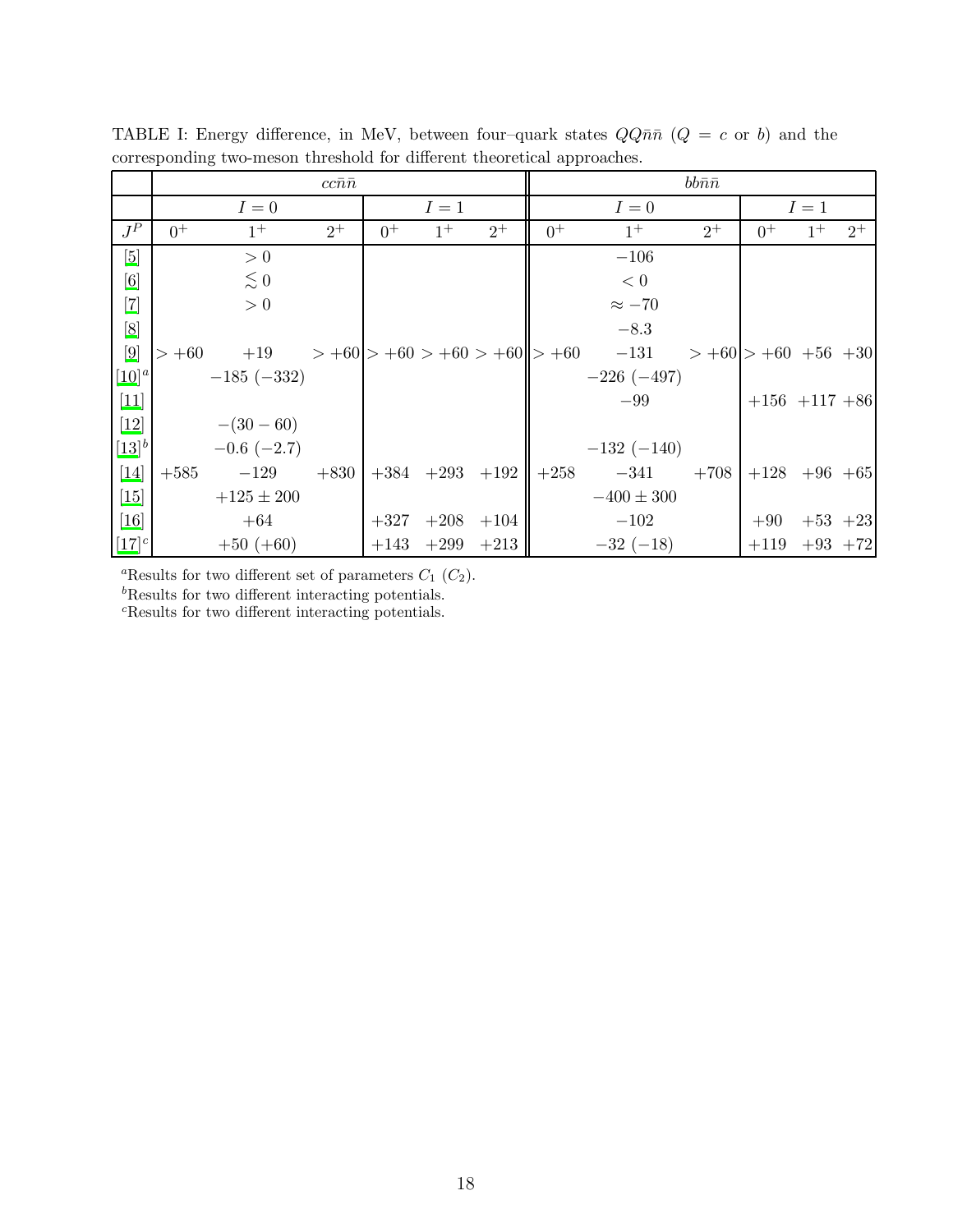|                                                                                                                                                                                                                                                                                                                                                                                                                                                                                                                            |        |                                                            | $cc\bar{n}\bar{n}$ |       |       |                             |       |                | $bb\bar n\bar n$            |                     |             |       |
|----------------------------------------------------------------------------------------------------------------------------------------------------------------------------------------------------------------------------------------------------------------------------------------------------------------------------------------------------------------------------------------------------------------------------------------------------------------------------------------------------------------------------|--------|------------------------------------------------------------|--------------------|-------|-------|-----------------------------|-------|----------------|-----------------------------|---------------------|-------------|-------|
|                                                                                                                                                                                                                                                                                                                                                                                                                                                                                                                            |        | $I=0$                                                      |                    |       | $I=1$ |                             | $I=0$ |                |                             | $I=1$               |             |       |
| $J^P$                                                                                                                                                                                                                                                                                                                                                                                                                                                                                                                      | $0^+$  | $1^+$                                                      | $2^+$              | $0^+$ | $1^+$ | $2^+$                       | $0^+$ | $1^{+}$        | $2^+$                       | $0^+$               | $1^+$       | $2^+$ |
| [5]                                                                                                                                                                                                                                                                                                                                                                                                                                                                                                                        |        | > 0                                                        |                    |       |       |                             |       | $-106$         |                             |                     |             |       |
| [6]                                                                                                                                                                                                                                                                                                                                                                                                                                                                                                                        |        | $\lesssim 0$                                               |                    |       |       |                             |       | < 0            |                             |                     |             |       |
| $[7]$                                                                                                                                                                                                                                                                                                                                                                                                                                                                                                                      |        | > 0                                                        |                    |       |       |                             |       | $\approx -70$  |                             |                     |             |       |
| $[8] % \begin{center} \includegraphics[width=0.3\textwidth]{images/Trigers.png} \end{center} % \vspace*{-1em} \caption{The figure shows the \textit{Stab} model. The \textit{Stab} model is the \textit{Stab} model. The \textit{Stab} model is the \textit{Stab} model. The \textit{Stab} model is the \textit{Stab} model. The \textit{Stab} model is the \textit{Stab} model. The \textit{Stab} model is the \textit{Stab} model. The \textit{Stab} model is the \textit{Stab} model.} \vspace*{-1em} \label{fig:Stab}$ |        |                                                            |                    |       |       |                             |       | $-8.3$         |                             |                     |             |       |
| $\left[9\right]$                                                                                                                                                                                                                                                                                                                                                                                                                                                                                                           |        | $> +60$ $+19$ $> +60$ $> +60$ $> +60$ $> +60$ $+60$ $-131$ |                    |       |       |                             |       |                | $> +60$ $> +60$ $+56$ $+30$ |                     |             |       |
| $[10]$ <sup>a</sup>                                                                                                                                                                                                                                                                                                                                                                                                                                                                                                        |        | $-185 (-332)$                                              |                    |       |       |                             |       | $-226(-497)$   |                             |                     |             |       |
| $[11]$                                                                                                                                                                                                                                                                                                                                                                                                                                                                                                                     |        |                                                            |                    |       |       |                             |       | $-99$          |                             | $+156$ $+117$ $+86$ |             |       |
| $[12]$                                                                                                                                                                                                                                                                                                                                                                                                                                                                                                                     |        | $-(30-60)$                                                 |                    |       |       |                             |       |                |                             |                     |             |       |
| $[13]^{b}$                                                                                                                                                                                                                                                                                                                                                                                                                                                                                                                 |        | $-0.6$ $(-2.7)$                                            |                    |       |       |                             |       | $-132(-140)$   |                             |                     |             |       |
| $[14]$                                                                                                                                                                                                                                                                                                                                                                                                                                                                                                                     | $+585$ | $-129$                                                     | $+830$             |       |       | $+384$ $+293$ $+192$ $+258$ |       | $-341$         | $+708$                      | $+128$ +96 +65      |             |       |
| $\left[15\right]$                                                                                                                                                                                                                                                                                                                                                                                                                                                                                                          |        | $+125 \pm 200$                                             |                    |       |       |                             |       | $-400 \pm 300$ |                             |                     |             |       |
| $[16]$                                                                                                                                                                                                                                                                                                                                                                                                                                                                                                                     |        | $+64$                                                      |                    |       |       | $+327 +208 +104$            |       | $-102$         |                             | $+90$               | $+53$ $+23$ |       |
| $[17]$ <sup>c</sup>                                                                                                                                                                                                                                                                                                                                                                                                                                                                                                        |        | $+50 (+60)$                                                |                    |       |       | $+143$ $+299$ $+213$        |       | $-32(-18)$     |                             | $+119 +93 +72$      |             |       |

<span id="page-17-0"></span>TABLE I: Energy difference, in MeV, between four-quark states  $QQ\bar{n}\bar{n}$  ( $Q = c$  or b) and the corresponding two-meson threshold for different theoretical approaches.

<sup>a</sup>Results for two different set of parameters  $C_1$  ( $C_2$ ).

 ${}^{b}$ Results for two different interacting potentials.

 ${}^{c}$ Results for two different interacting potentials.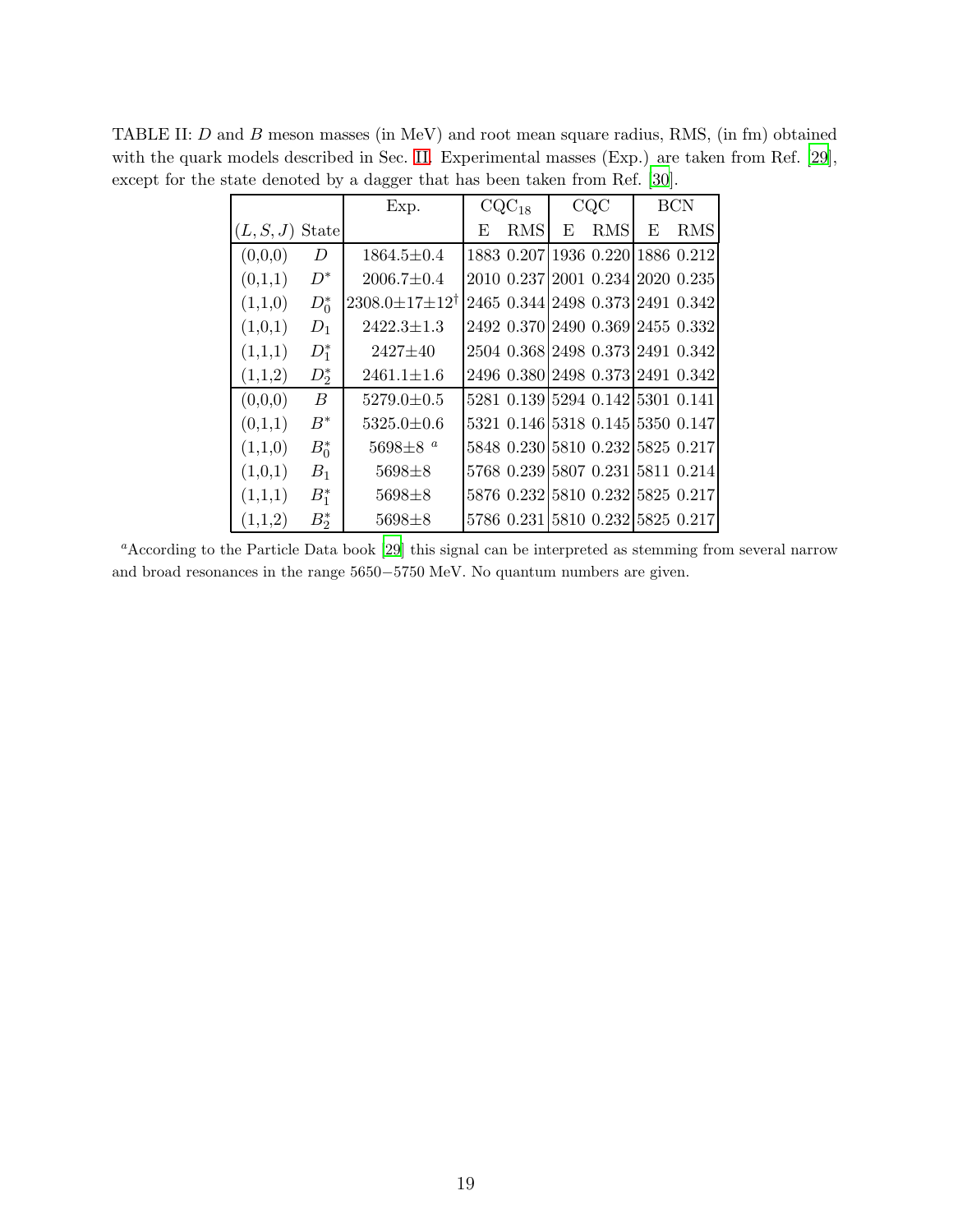<span id="page-18-0"></span>

|           |                  | Exp.                                |   | $CQC_{18}$                       |   | CQC        |   | <b>BCN</b> |
|-----------|------------------|-------------------------------------|---|----------------------------------|---|------------|---|------------|
| (L, S, J) | State            |                                     | E | RMS                              | E | <b>RMS</b> | E | <b>RMS</b> |
| (0,0,0)   | D                | $1864.5 \pm 0.4$                    |   | 1883 0.207 1936 0.220 1886 0.212 |   |            |   |            |
| (0,1,1)   | $D^*$            | $2006.7 \pm 0.4$                    |   | 2010 0.237 2001 0.234 2020 0.235 |   |            |   |            |
| (1,1,0)   | $D_0^*$          | $2308.0 \pm 17 \pm 12$ <sup>†</sup> |   | 2465 0.344 2498 0.373 2491 0.342 |   |            |   |            |
| (1,0,1)   | $D_1$            | $2422.3 \pm 1.3$                    |   | 2492 0.370 2490 0.369 2455 0.332 |   |            |   |            |
| (1,1,1)   | $D_1^*$          | $2427 \pm 40$                       |   | 2504 0.368 2498 0.373 2491 0.342 |   |            |   |            |
| (1,1,2)   | $D_2^*$          | $2461.1 \pm 1.6$                    |   | 2496 0.380 2498 0.373 2491 0.342 |   |            |   |            |
| (0,0,0)   | $\boldsymbol{B}$ | $5279.0 \pm 0.5$                    |   | 5281 0.139 5294 0.142 5301 0.141 |   |            |   |            |
| (0,1,1)   | $B^*$            | $5325.0 \pm 0.6$                    |   | 5321 0.146 5318 0.145 5350 0.147 |   |            |   |            |
| (1,1,0)   | $B_0^*$          | $5698\pm8~^a$                       |   | 5848 0.230 5810 0.232 5825 0.217 |   |            |   |            |
| (1,0,1)   | $B_1$            | $5698 + 8$                          |   | 5768 0.239 5807 0.231 5811 0.214 |   |            |   |            |
| (1,1,1)   | $B_1^*$          | $5698 \pm 8$                        |   | 5876 0.232 5810 0.232 5825 0.217 |   |            |   |            |
| (1,1,2)   | $B_2^*$          | $5698 \pm 8$                        |   | 5786 0.231 5810 0.232 5825 0.217 |   |            |   |            |

TABLE II: D and B meson masses (in MeV) and root mean square radius, RMS, (in fm) obtained with the quark models described in Sec. [II.](#page-2-0) Experimental masses (Exp.) are taken from Ref. [\[29](#page-16-10)], except for the state denoted by a dagger that has been taken from Ref. [\[30](#page-16-29)].

<sup>a</sup>According to the Particle Data book [\[29\]](#page-16-10) this signal can be interpreted as stemming from several narrow and broad resonances in the range 5650−5750 MeV. No quantum numbers are given.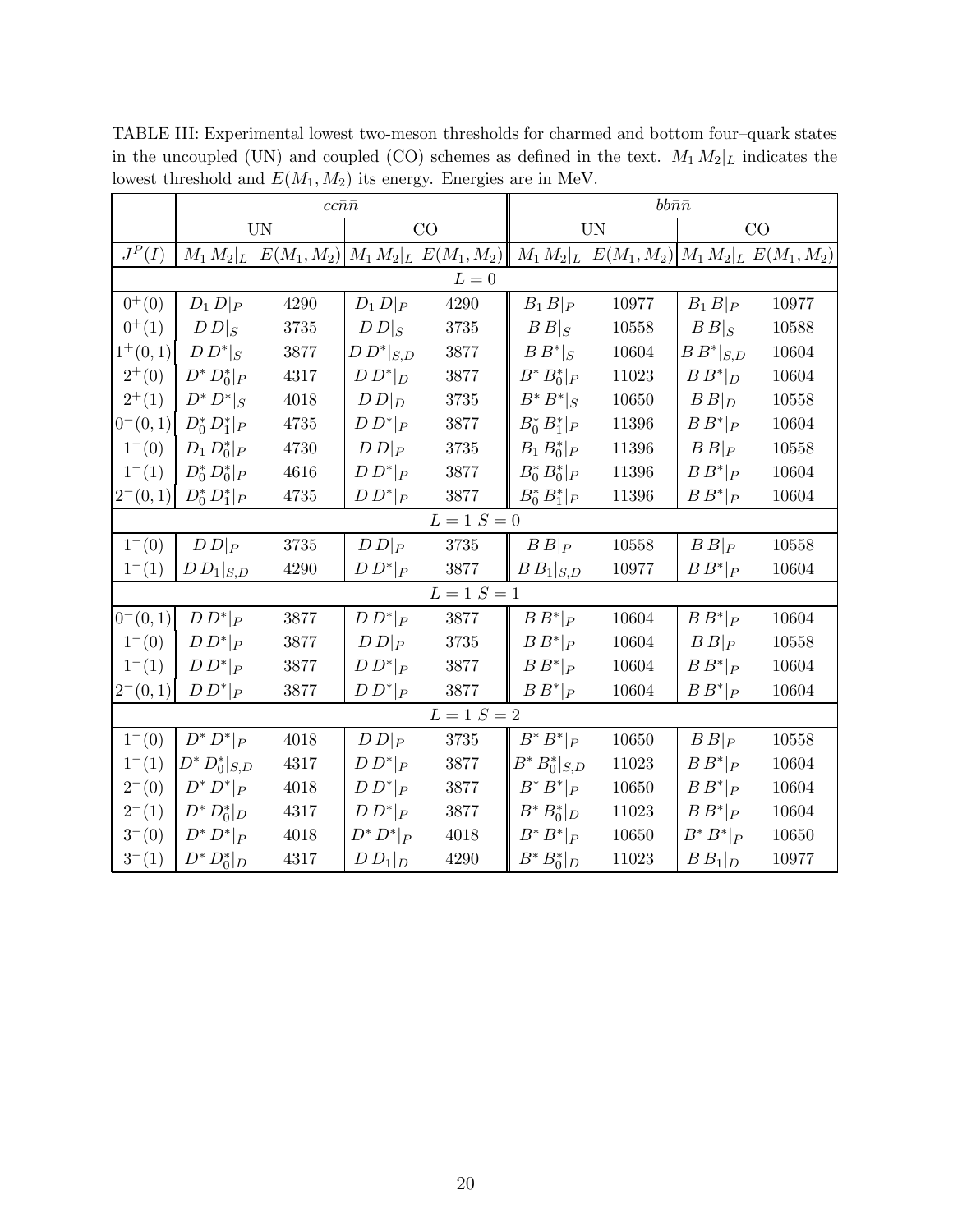|                 |                    | $cc\bar{n}\bar{n}$ |                |                                                  | $bb\bar n\bar n$    |                                                  |                |       |  |
|-----------------|--------------------|--------------------|----------------|--------------------------------------------------|---------------------|--------------------------------------------------|----------------|-------|--|
|                 |                    | <b>UN</b>          |                | CO                                               |                     | <b>UN</b>                                        |                | CO    |  |
| $J^P({\cal I})$ |                    |                    |                | $M_1 M_2 _L E(M_1, M_2)  M_1 M_2 _L E(M_1, M_2)$ |                     | $M_1 M_2 _L E(M_1, M_2)  M_1 M_2 _L E(M_1, M_2)$ |                |       |  |
|                 |                    |                    |                | $L=0$                                            |                     |                                                  |                |       |  |
| $0^{+}(0)$      | $D_1 D _P$         | 4290               | $D_1 D _P$     | 4290                                             | $B_1B _P$           | 10977                                            | $B_1B _P$      | 10977 |  |
| $0^{+}(1)$      | $D\,D _S$          | 3735               | $D\,D _S$      | $3735\,$                                         | $B B _S$            | 10558                                            | $B _S$         | 10588 |  |
| $1^+(0,1)$      | $D D^* _S$         | 3877               | $D D^* _{S,D}$ | 3877                                             | $B B^* _S$          | 10604                                            | $B B^* _{S,D}$ | 10604 |  |
| $2^{+}(0)$      | $D^* D_0^*  _{P}$  | 4317               | $D D^* _D$     | 3877                                             | $B^* B_0^* _P$      | 11023                                            | $B B^* _D$     | 10604 |  |
| $2^{+}(1)$      | $D^* D^* _S$       | 4018               | $D D _D$       | 3735                                             | $B^*B^* _S$         | 10650                                            | $B B _D$       | 10558 |  |
| $0^-(0,1)$      | $D_0^* D_1^* _P$   | 4735               | $D D^* _P$     | 3877                                             | $B_0^* B_1^*  _{P}$ | 11396                                            | $B B^* _P$     | 10604 |  |
| $1^-(0)$        | $D_1 D_0^* _P$     | 4730               | $D D _P$       | 3735                                             | $B_1 B_0^* _P$      | 11396                                            | $B B _P$       | 10558 |  |
| $1^-(1)$        | $D_0^* D_0^* _P$   | 4616               | $D D^* _P$     | 3877                                             | $B_0^* B_0^* _P$    | 11396                                            | $B B^* _P$     | 10604 |  |
| $2^-(0,1)$      | $D_0^* D_1^* _P$   | 4735               | $D D^* _P$     | 3877                                             | $B_0^* B_1^* _P$    | 11396                                            | $B B^* _P$     | 10604 |  |
|                 |                    |                    |                | $L=1\,\,S=0$                                     |                     |                                                  |                |       |  |
| $1^-(0)$        | $D D _P$           | $3735\,$           | $D D _P$       | $3735\,$                                         | $B B _P$            | 10558                                            | $B B _P$       | 10558 |  |
| $1^-(1)$        | $D\ D_1 _{S,D}$    | 4290               | $D D^* _P$     | 3877                                             | $B B_1 _{S,D}$      | 10977                                            | $B B^* _P$     | 10604 |  |
|                 |                    |                    |                | $L=1$ $S=1$                                      |                     |                                                  |                |       |  |
| $0^-(0,1)$      | $D D^* _P$         | 3877               | $D D^* _P$     | 3877                                             | $B B^* _P$          | 10604                                            | $B B^* _P$     | 10604 |  |
| $1^-(0)$        | $D D^* _P$         | 3877               | $D D _P$       | 3735                                             | $B B^* _P$          | 10604                                            | $B B _P$       | 10558 |  |
| $1^{-}(1)$      | $D D^* _P$         | 3877               | $D D^* _P$     | 3877                                             | $B B^* _P$          | 10604                                            | $B B^* _P$     | 10604 |  |
| $2^-(0,1)$      | $D D^* _P$         | 3877               | $D D^* _P$     | 3877                                             | $B B^* _P$          | 10604                                            | $B B^* _P$     | 10604 |  |
|                 |                    |                    |                | $L = 1 S = 2$                                    |                     |                                                  |                |       |  |
| $1^-(0)$        | $D^* D^* _P$       | 4018               | $D D _P$       | $3735\,$                                         | $B^*B^* _P$         | 10650                                            | $B B _P$       | 10558 |  |
| $1^-(1)$        | $D^* D_0^* _{S,D}$ | 4317               | $D D^* _P$     | $3877\,$                                         | $B^* B_0^* _{S,D}$  | 11023                                            | $B B^* _P$     | 10604 |  |
| $2^-(0)$        | $D^* D^* _P$       | 4018               | $D D^* _P$     | 3877                                             | $B^*B^* _P$         | 10650                                            | $B B^* _P$     | 10604 |  |
| $2^-(1)$        | $D^* D_0^* _D$     | 4317               | $D D^* _P$     | 3877                                             | $B^* B_0^* _D$      | 11023                                            | $B B^* _P$     | 10604 |  |
| $3^-(0)$        | $D^* D^* _P$       | 4018               | $D^* D^* _P$   | 4018                                             | $B^*B^* _P$         | 10650                                            | $B^*B^* _P$    | 10650 |  |
| $3^-(1)$        | $D^* D_0^* _{D}$   | 4317               | $D D_1 _D$     | 4290                                             | $B^* B_0^* _{D}$    | 11023                                            | $B B_1 _D$     | 10977 |  |

<span id="page-19-0"></span>TABLE III: Experimental lowest two-meson thresholds for charmed and bottom four–quark states in the uncoupled (UN) and coupled (CO) schemes as defined in the text.  $M_1 M_2|_L$  indicates the lowest threshold and  ${\cal E}(M_1,M_2)$  its energy. Energies are in MeV.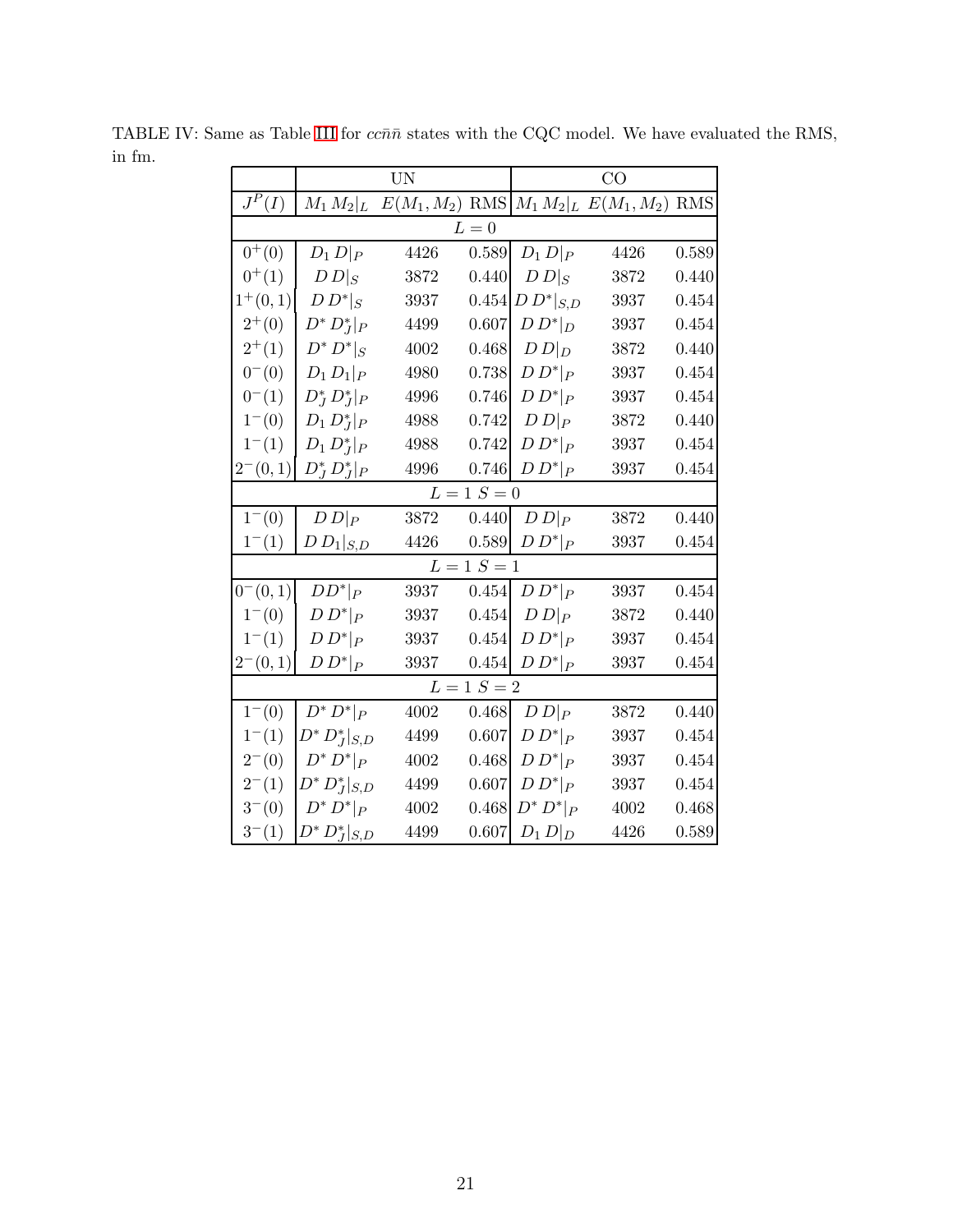<span id="page-20-0"></span>

|            |                    | <b>UN</b> |               |                 | CO                                              |       |
|------------|--------------------|-----------|---------------|-----------------|-------------------------------------------------|-------|
| $J^P(I)$   | $M_1 M_2 _L$       |           |               |                 | $E(M_1, M_2)$ RMS $M_1 M_2$ $L E(M_1, M_2)$ RMS |       |
|            |                    |           | $L=0$         |                 |                                                 |       |
| $0^{+}(0)$ | $D_1 D _P$         | 4426      | 0.589         | $D_1 D _P$      | 4426                                            | 0.589 |
| $0^{+}(1)$ | $D\,D _S$          | 3872      | 0.440         | $D\,D _S$       | 3872                                            | 0.440 |
| $1^+(0,1)$ | $D D^* _S$         | 3937      | 0.454         | $D\,D^* _{S,D}$ | 3937                                            | 0.454 |
| $2^{+}(0)$ | $D^* D_I^* _P$     | 4499      | 0.607         | $D D^* _D$      | 3937                                            | 0.454 |
| $2^{+}(1)$ | $D^* D^* _S$       | 4002      | 0.468         | $D D _D$        | 3872                                            | 0.440 |
| $0^-(0)$   | $D_1 D_1 _P$       | 4980      | 0.738         | $D D^* _P$      | 3937                                            | 0.454 |
| $0^{-}(1)$ | $D_J^* D_J^* _P$   | 4996      | 0.746         | $D D^* _P$      | 3937                                            | 0.454 |
| $1^-(0)$   | $D_1 D_I^* _P$     | 4988      | 0.742         | $D D _P$        | 3872                                            | 0.440 |
| $1^-(1)$   | $D_1 D_I^* _P$     | 4988      | 0.742         | $D D^* _P$      | 3937                                            | 0.454 |
| $2^-(0,1)$ | $D_J^* D_J^* _P$   | 4996      | 0.746         | $D D^* _P$      | 3937                                            | 0.454 |
|            |                    |           | $L = 1 S = 0$ |                 |                                                 |       |
| $1^-(0)$   | $D D _P$           | 3872      | 0.440         | $D D _P$        | 3872                                            | 0.440 |
| $1^-(1)$   | $D\,D_1 _{S,D}$    | 4426      | 0.589         | $D D^* _P$      | 3937                                            | 0.454 |
|            |                    |           | $L = 1 S = 1$ |                 |                                                 |       |
| $0^-(0,1)$ | $DD^* _P$          | 3937      | 0.454         | $D D^* _P$      | 3937                                            | 0.454 |
| $1^-(0)$   | $D D^* _P$         | 3937      | 0.454         | $D D _P$        | 3872                                            | 0.440 |
| $1^{-}(1)$ | $D D^* _P$         | 3937      | 0.454         | $D D^* _P$      | 3937                                            | 0.454 |
| $2^-(0,1)$ | $D D^* _P$         | 3937      | 0.454         | $D D^* _P$      | 3937                                            | 0.454 |
|            |                    |           | $L = 1 S = 2$ |                 |                                                 |       |
| $1^-(0)$   | $D^* D^* _P$       | 4002      | 0.468         | $D D _P$        | 3872                                            | 0.440 |
| $1^-(1)$   | $D^* D_J^* _{S,D}$ | 4499      | 0.607         | $D D^* _P$      | 3937                                            | 0.454 |
| $2^-(0)$   | $D^* D^* _P$       | 4002      | 0.468         | $D D^* _P$      | 3937                                            | 0.454 |
| $2^-(1)$   | $D^* D_J^* _{S,D}$ | 4499      | 0.607         | $D D^* _P$      | 3937                                            | 0.454 |
| $3^-(0)$   | $D^* D^* _P$       | $4002\,$  | 0.468         | $D^* D^* _P$    | $4002\,$                                        | 0.468 |
| $3^-(1)$   | $D^* D_J^* _{S,D}$ | 4499      | 0.607         | $D_1 D _D$      | 4426                                            | 0.589 |

TABLE IV: Same as Table [III](#page-19-0) for  $cc\bar{n}\bar{n}$  states with the CQC model. We have evaluated the RMS, in fm.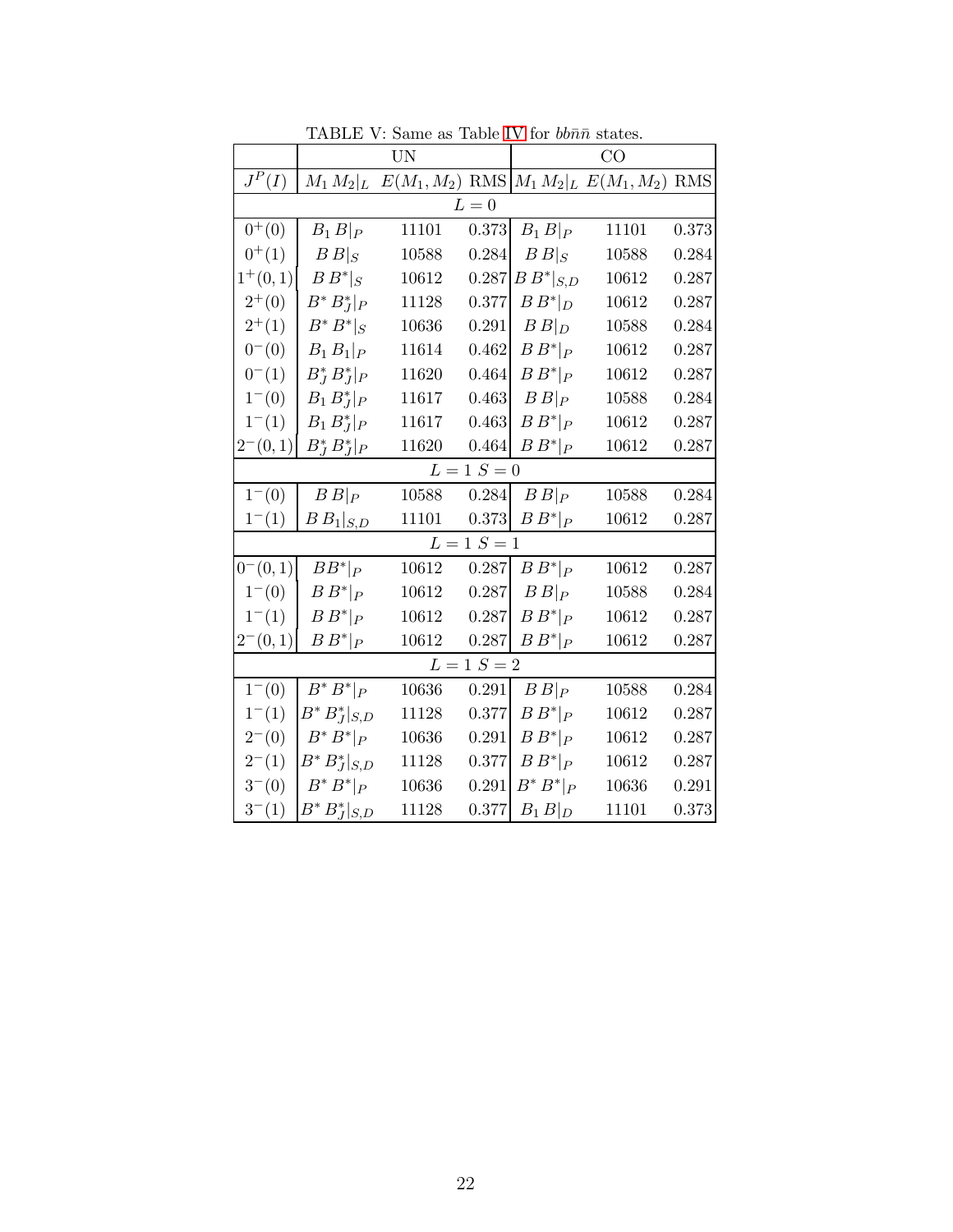|            |                    | <b>UN</b>                                                 |               | CO             |           |       |  |
|------------|--------------------|-----------------------------------------------------------|---------------|----------------|-----------|-------|--|
| $J^P(I)$   |                    | $M_1 M_2 _L E(M_1, M_2)$ RMS $M_1 M_2 _L E(M_1, M_2)$ RMS |               |                |           |       |  |
|            |                    |                                                           | $L=0$         |                |           |       |  |
| $0^{+}(0)$ | $B_1 B _P$         | 11101                                                     | 0.373         | $B_1 B _P$     | 11101     | 0.373 |  |
| $0^{+}(1)$ | $B _S$             | $10588\,$                                                 | 0.284         | $B _S$         | 10588     | 0.284 |  |
| $1^+(0,1)$ | $B B^* _S$         | $10612\,$                                                 | 0.287         | $B B^* _{S,D}$ | 10612     | 0.287 |  |
| $2^{+}(0)$ | $B^* B_J^* _P$     | 11128                                                     | 0.377         | $B B^* _D$     | 10612     | 0.287 |  |
| $2^{+}(1)$ | $B^*B^* _S$        | 10636                                                     | 0.291         | $B B _D$       | 10588     | 0.284 |  |
| $0^-(0)$   | $B_1 B_1   P$      | 11614                                                     | 0.462         | $B B^* _P$     | 10612     | 0.287 |  |
| $0^{-}(1)$ | $B_J^* B_J^* _P$   | 11620                                                     | 0.464         | $B B^* _P$     | 10612     | 0.287 |  |
| $1^-(0)$   | $B_1 B_I^* _P$     | 11617                                                     | 0.463         | $B B _P$       | 10588     | 0.284 |  |
| $1^-(1)$   | $B_1 B_I^* _P$     | 11617                                                     | 0.463         | $B B^* _P$     | 10612     | 0.287 |  |
| $2^-(0,1)$ | $B_I^* B_I^* _P$   | 11620                                                     | 0.464         | $B B^* _P$     | 10612     | 0.287 |  |
|            |                    |                                                           | $L = 1 S = 0$ |                |           |       |  |
| $1^-(0)$   | $B B _P$           | 10588                                                     | 0.284         | $B B _P$       | 10588     | 0.284 |  |
| $1^-(1)$   | $B B_1 _{S,D}$     | 11101                                                     | 0.373         | $B B^* _P$     | 10612     | 0.287 |  |
|            |                    |                                                           | $L = 1 S = 1$ |                |           |       |  |
| $0^-(0,1)$ | $BB^* _P$          | 10612                                                     | 0.287         | $B B^* _P$     | 10612     | 0.287 |  |
| $1^-(0)$   | $B B^* _P$         | 10612                                                     | 0.287         | $B B _P$       | 10588     | 0.284 |  |
| $1^-(1)$   | $B B^* _P$         | 10612                                                     | 0.287         | $B B^* _P$     | 10612     | 0.287 |  |
| $2^-(0,1)$ | $B\,B^* _P$        | 10612                                                     | 0.287         | $B B^* _P$     | 10612     | 0.287 |  |
|            |                    |                                                           | $L = 1 S = 2$ |                |           |       |  |
| $1^-(0)$   | $B^*B^* _P$        | 10636                                                     | 0.291         | B P            | 10588     | 0.284 |  |
| $1^-(1)$   | $B^* B_J^* _{S,D}$ | 11128                                                     | 0.377         | $B B^* _P$     | $10612\,$ | 0.287 |  |
| $2^-(0)$   | $B^*B^* _P$        | 10636                                                     | 0.291         | $B B^* _P$     | 10612     | 0.287 |  |
| $2^-(1)$   | $B^*B_J^* _{S,D}$  | 11128                                                     | 0.377         | $B B^* _P$     | 10612     | 0.287 |  |
| $3^-(0)$   | $B^*B^* _P$        | 10636                                                     | 0.291         | $B^*B^* _P$    | 10636     | 0.291 |  |
| $3^-(1)$   | $B^* B_J^* _{S,D}$ | 11128                                                     | 0.377         | $B_1B _D$      | 11101     | 0.373 |  |

<span id="page-21-0"></span>TABLE V: Same as Table [IV](#page-20-0) for  $bb\bar n\bar n$  states.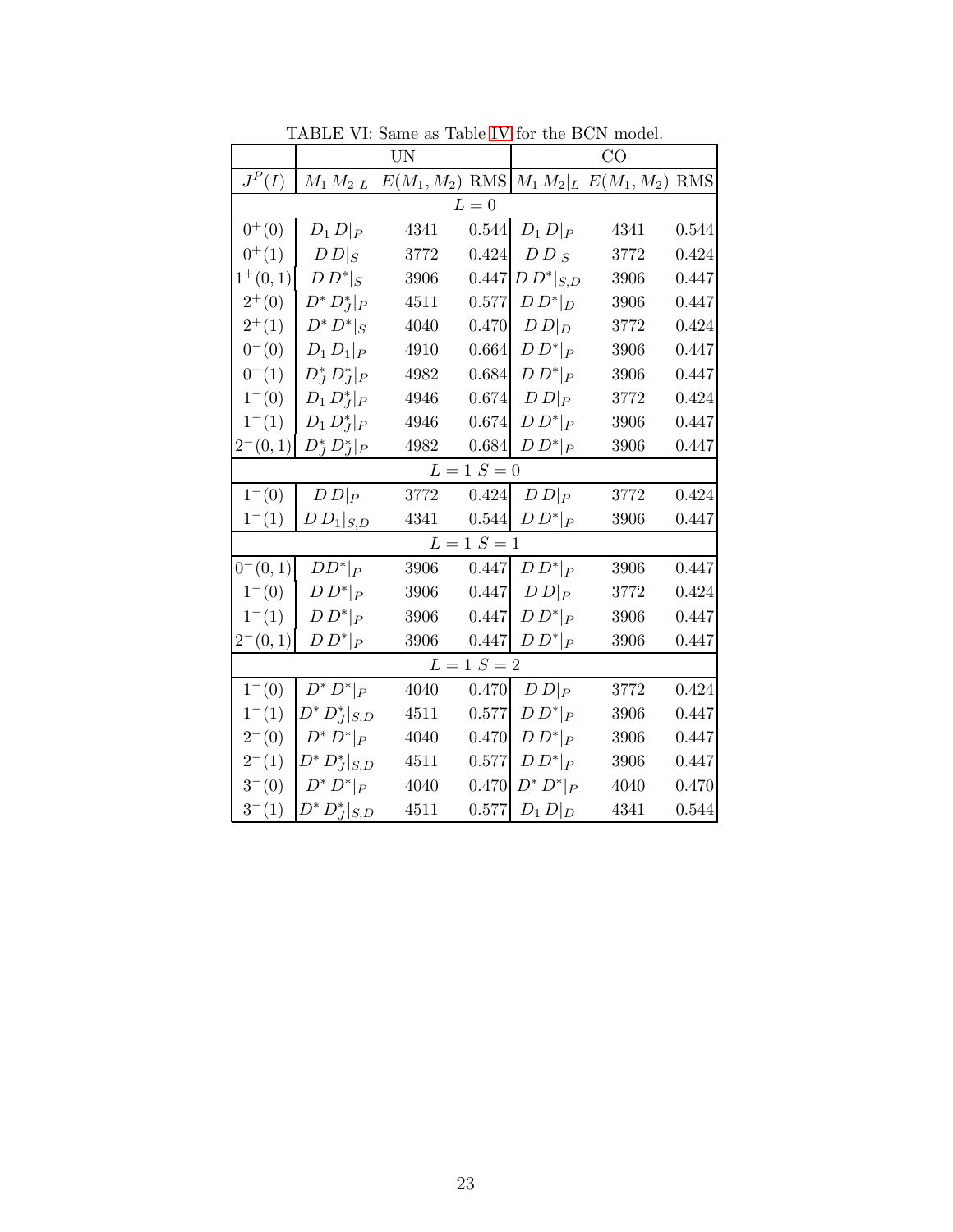|            |                    | <b>UN</b> |               | CO              |                                                 |       |  |
|------------|--------------------|-----------|---------------|-----------------|-------------------------------------------------|-------|--|
| $J^P(I)$   | $M_1 M_2 _L$       |           |               |                 | $E(M_1, M_2)$ RMS $M_1 M_2$ $L E(M_1, M_2)$ RMS |       |  |
|            |                    |           | $L=0$         |                 |                                                 |       |  |
| $0^{+}(0)$ | $D_1 D _P$         | 4341      | 0.544         | $D_1 D _P$      | 4341                                            | 0.544 |  |
| $0^{+}(1)$ | $D\,D _S$          | 3772      | 0.424         | $D\,D _S$       | 3772                                            | 0.424 |  |
| $1^+(0,1)$ | $D D^* _S$         | 3906      | 0.447         | $D\,D^* _{S,D}$ | 3906                                            | 0.447 |  |
| $2^{+}(0)$ | $D^* D_I^* _P$     | 4511      | 0.577         | $D D^* _D$      | 3906                                            | 0.447 |  |
| $2^{+}(1)$ | $D^* D^* _S$       | 4040      | 0.470         | $D D _D$        | 3772                                            | 0.424 |  |
| $0^-(0)$   | $D_1 D_1  _{P}$    | 4910      | 0.664         | $D D^* _P$      | 3906                                            | 0.447 |  |
| $0^{-}(1)$ | $D_J^* D_J^* _P$   | 4982      | 0.684         | $D D^* _P$      | 3906                                            | 0.447 |  |
| $1^-(0)$   | $D_1 D_I^* _P$     | 4946      | 0.674         | $D D _P$        | 3772                                            | 0.424 |  |
| $1^-(1)$   | $D_1 D_J^* _P$     | 4946      | 0.674         | $D D^* _P$      | 3906                                            | 0.447 |  |
| $2^-(0,1)$ | $D_J^* D_J^* _P$   | 4982      | 0.684         | $D D^* _P$      | 3906                                            | 0.447 |  |
|            |                    |           | $L = 1 S = 0$ |                 |                                                 |       |  |
| $1^-(0)$   | $D D _P$           | 3772      | 0.424         | $D D _P$        | 3772                                            | 0.424 |  |
| $1^-(1)$   | $D\,D_1 _{S,D}$    | 4341      | 0.544         | $D D^* _P$      | 3906                                            | 0.447 |  |
|            |                    |           | $L = 1 S = 1$ |                 |                                                 |       |  |
| $0^-(0,1)$ | $DD^* _P$          | 3906      | 0.447         | $D D^* _P$      | 3906                                            | 0.447 |  |
| $1^-(0)$   | $D D^* _P$         | 3906      | 0.447         | $D D _P$        | 3772                                            | 0.424 |  |
| $1^-(1)$   | $D D^* _P$         | 3906      | 0.447         | $D D^* _P$      | 3906                                            | 0.447 |  |
| $2^-(0,1)$ | $D\,D^* _P$        | 3906      | 0.447         | $D D^* _P$      | 3906                                            | 0.447 |  |
|            |                    |           | $L = 1 S = 2$ |                 |                                                 |       |  |
| $1^-(0)$   | $D^* D^* _P$       | 4040      | 0.470         | $D D _P$        | 3772                                            | 0.424 |  |
| $1^-(1)$   | $D^* D_J^* _{S,D}$ | 4511      | 0.577         | $D D^* _P$      | 3906                                            | 0.447 |  |
| $2^-(0)$   | $D^* D^* _P$       | 4040      | 0.470         | $D D^* _P$      | 3906                                            | 0.447 |  |
| $2^-(1)$   | $D^* D_J^* _{S,D}$ | 4511      | 0.577         | $D D^* _P$      | 3906                                            | 0.447 |  |
| $3^-(0)$   | $D^* D^* _P$       | 4040      | 0.470         | $D^* D^* _P$    | 4040                                            | 0.470 |  |
| $3^-(1)$   | $D^* D_J^* _{S,D}$ | 4511      | 0.577         | $D_1 D _D$      | $\!341$                                         | 0.544 |  |

<span id="page-22-0"></span>TABLE VI: Same as Table [IV](#page-20-0) for the BCN model.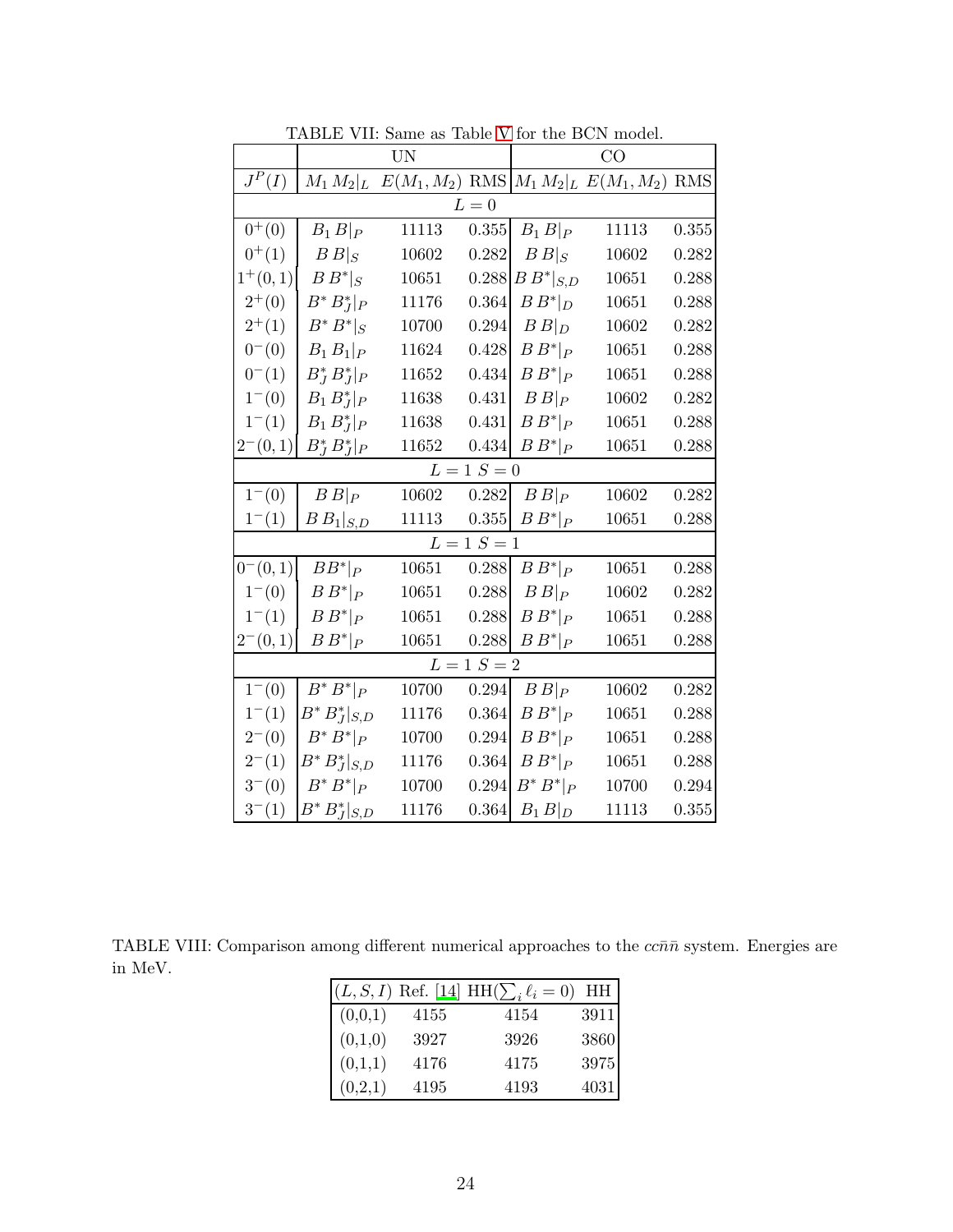|            |                    | <b>UN</b>                                                 |               | CO             |       |           |  |  |
|------------|--------------------|-----------------------------------------------------------|---------------|----------------|-------|-----------|--|--|
| $J^P(I)$   |                    | $M_1 M_2 _L E(M_1, M_2)$ RMS $M_1 M_2 _L E(M_1, M_2)$ RMS |               |                |       |           |  |  |
|            |                    |                                                           | $L=0$         |                |       |           |  |  |
| $0^{+}(0)$ | $B_1 B _P$         | 11113                                                     | 0.355         | $B_1 B _P$     | 11113 | 0.355     |  |  |
| $0^{+}(1)$ | $B _S$             | 10602                                                     | 0.282         | $B _S$         | 10602 | 0.282     |  |  |
| $1^+(0,1)$ | $B B^* _S$         | 10651                                                     | 0.288         | $B B^* _{S,D}$ | 10651 | 0.288     |  |  |
| $2^{+}(0)$ | $B^* B_J^* _P$     | 11176                                                     | 0.364         | $B B^* _D$     | 10651 | 0.288     |  |  |
| $2^{+}(1)$ | $B^*B^* _S$        | 10700                                                     | 0.294         | $B B _D$       | 10602 | 0.282     |  |  |
| $0^-(0)$   | $B_1B_1 _P$        | 11624                                                     | 0.428         | $B B^* _P$     | 10651 | 0.288     |  |  |
| $0^{-}(1)$ | $B_I^* B_I^* _P$   | 11652                                                     | 0.434         | $B B^* _P$     | 10651 | 0.288     |  |  |
| $1^-(0)$   | $B_1 B_I^* _P$     | 11638                                                     | 0.431         | $B B _P$       | 10602 | 0.282     |  |  |
| $1^-(1)$   | $B_1 B_J^* _P$     | 11638                                                     | 0.431         | $B B^* _P$     | 10651 | 0.288     |  |  |
| $2^-(0,1)$ | $B_J^* B_J^* _P$   | 11652                                                     | 0.434         | $B B^* _P$     | 10651 | 0.288     |  |  |
|            |                    |                                                           | $L = 1 S = 0$ |                |       |           |  |  |
| $1^-(0)$   | $B B _P$           | 10602                                                     | 0.282         | $B B _P$       | 10602 | 0.282     |  |  |
| $1^-(1)$   | $B B_1 _{S,D}$     | 11113                                                     | $0.355\,$     | $B B^* _P$     | 10651 | 0.288     |  |  |
|            |                    |                                                           | $L = 1 S = 1$ |                |       |           |  |  |
| $0^-(0,1)$ | $BB^* _P$          | 10651                                                     | 0.288         | $B B^* _P$     | 10651 | 0.288     |  |  |
| $1^-(0)$   | $B B^* _P$         | 10651                                                     | 0.288         | $B B _P$       | 10602 | 0.282     |  |  |
| $1^-(1)$   | $B B^* _P$         | 10651                                                     | 0.288         | $B B^* _P$     | 10651 | 0.288     |  |  |
| $2^-(0,1)$ | $B B^* _P$         | 10651                                                     | 0.288         | $B B^* _P$     | 10651 | 0.288     |  |  |
|            |                    |                                                           | $L = 1 S = 2$ |                |       |           |  |  |
| $1^-(0)$   | $B^*B^* _P$        | 10700                                                     | 0.294         | $B B _P$       | 10602 | 0.282     |  |  |
| $1^-(1)$   | $B^* B_J^* _{S,D}$ | 11176                                                     | 0.364         | $B B^* _P$     | 10651 | 0.288     |  |  |
| $2^-(0)$   | $B^*B^* _P$        | 10700                                                     | 0.294         | $B B^* _P$     | 10651 | 0.288     |  |  |
| $2^-(1)$   | $B^*B_J^* _{S,D}$  | 11176                                                     | 0.364         | $B B^* _P$     | 10651 | 0.288     |  |  |
| $3^-(0)$   | $B^*B^* _P$        | 10700                                                     | 0.294         | $B^*B^* _P$    | 10700 | 0.294     |  |  |
| $3^-(1)$   | $B^* B_J^* _{S,D}$ | 11176                                                     | 0.364         | $B_1B _D$      | 11113 | $0.355\,$ |  |  |

<span id="page-23-0"></span>TABLE VII: Same as Table [V](#page-21-0) for the BCN model.

<span id="page-23-1"></span>TABLE VIII: Comparison among different numerical approaches to the  $cc\bar{n}\bar{n}$  system. Energies are in MeV.

|         |      | $(L, S, I)$ Ref. [14] HH $(\sum_i \ell_i = 0)$ | HH       |
|---------|------|------------------------------------------------|----------|
| (0,0,1) | 4155 | 4154                                           | $3911\,$ |
| (0,1,0) | 3927 | 3926                                           | 3860     |
| (0,1,1) | 4176 | 4175                                           | 3975     |
| (0,2,1) | 4195 | 4193                                           | 4031     |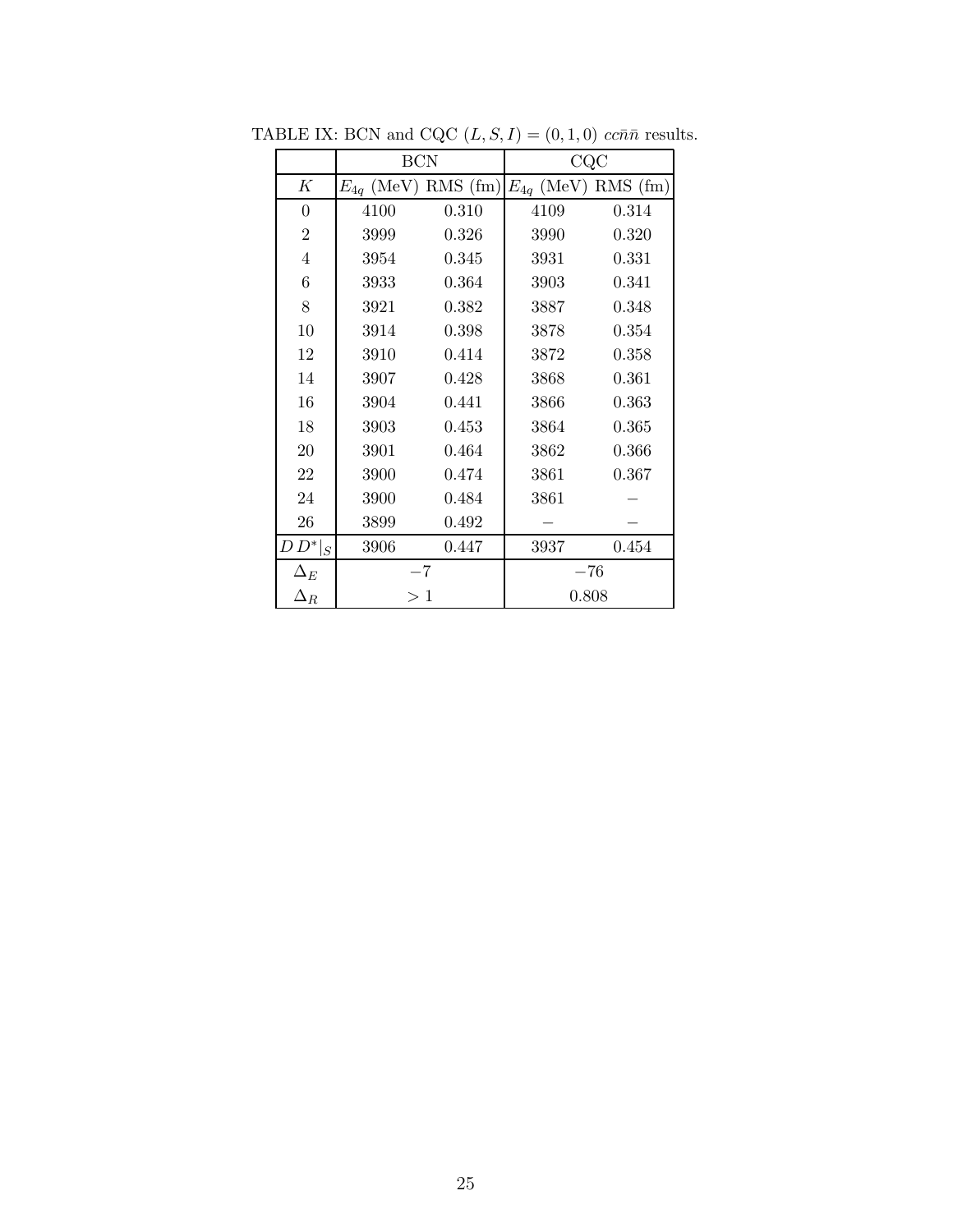<span id="page-24-0"></span>

|                | <b>BCN</b>              |       | CQC                     |          |  |  |
|----------------|-------------------------|-------|-------------------------|----------|--|--|
| K              | $E_{4q}$ (MeV) RMS (fm) |       | $E_{4q}$ (MeV) RMS (fm) |          |  |  |
| 0              | 4100                    | 0.310 | 4109                    | 0.314    |  |  |
| $\overline{2}$ | 3999                    | 0.326 | 3990                    | 0.320    |  |  |
| $\overline{4}$ | 3954                    | 0.345 | 3931                    | 0.331    |  |  |
| 6              | 3933                    | 0.364 | 3903                    | 0.341    |  |  |
| 8              | 3921                    | 0.382 | 3887                    | 0.348    |  |  |
| 10             | 3914                    | 0.398 | 3878                    | 0.354    |  |  |
| 12             | 3910                    | 0.414 | 3872                    | 0.358    |  |  |
| 14             | 3907                    | 0.428 | 3868                    | 0.361    |  |  |
| 16             | 3904                    | 0.441 | 3866                    | 0.363    |  |  |
| 18             | 3903                    | 0.453 | 3864                    | 0.365    |  |  |
| 20             | 3901                    | 0.464 | 3862                    | 0.366    |  |  |
| 22             | 3900                    | 0.474 | 3861                    | 0.367    |  |  |
| 24             | 3900                    | 0.484 | 3861                    |          |  |  |
| 26             | 3899                    | 0.492 |                         |          |  |  |
| $D\,D^* _S$    | 3906                    | 0.447 | 3937                    | 0.454    |  |  |
| $\Delta_E$     | $-7$                    |       |                         | $^{-76}$ |  |  |
| $\Delta_R$     | >1                      |       | 0.808                   |          |  |  |

TABLE IX: BCN and CQC  $(L, S, I) = (0, 1, 0)$   $cc\bar{n}\bar{n}$  results.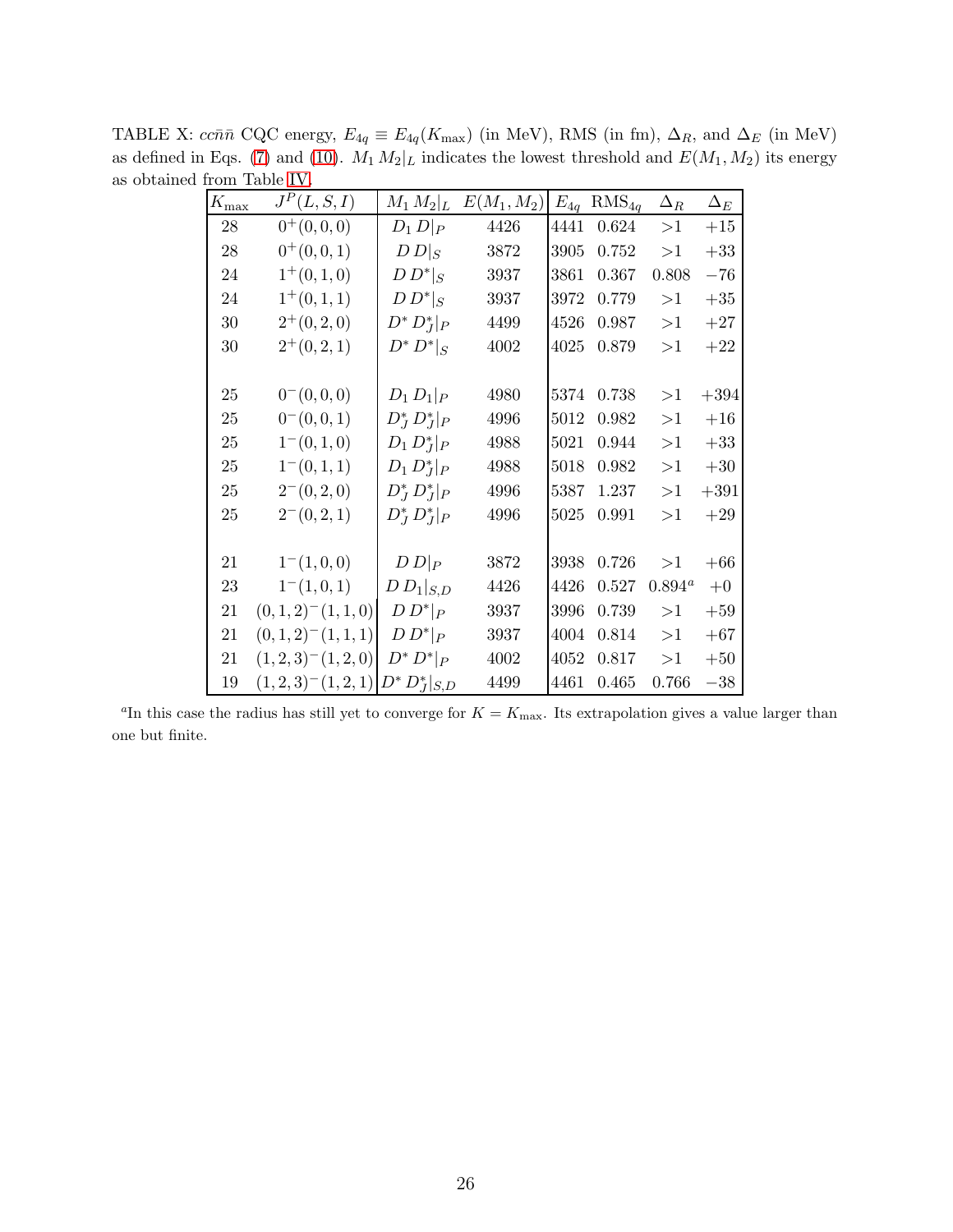<span id="page-25-0"></span>

| $K_{\rm max}$ | $J^P(L, S, I)$                   | $M_1 M_2 _L$       | $E(M_1,M_2)$ | $E_{4q}$ | $RMS_{4q}$  | $\Delta_R$      | $\Delta_E$ |
|---------------|----------------------------------|--------------------|--------------|----------|-------------|-----------------|------------|
| 28            | $0^+(0,0,0)$                     | $D_1 D _P$         | 4426         | 4441     | $\,0.624\,$ | >1              | $+15$      |
| 28            | $0^+(0,0,1)$                     | $D\,D _S$          | 3872         | 3905     | 0.752       | >1              | $+33$      |
| 24            | $1^+(0,1,0)$                     | $D D^* _S$         | 3937         | 3861     | 0.367       | 0.808           | $-76$      |
| 24            | $1^+(0,1,1)$                     | $D D^* _S$         | 3937         | 3972     | 0.779       | >1              | $+35$      |
| 30            | $2^+(0,2,0)$                     | $D^* D_J^* _P$     | 4499         | 4526     | 0.987       | >1              | $+27$      |
| 30            | $2^+(0,2,1)$                     | $D^* D^* _S$       | 4002         | 4025     | 0.879       | >1              | $+22$      |
|               |                                  |                    |              |          |             |                 |            |
| 25            | $0^-(0,0,0)$                     | $D_1 D_1 _P$       | 4980         | 5374     | 0.738       | >1              | $+394$     |
| 25            | $0^-(0,0,1)$                     | $D_I^* D_I^* _P$   | 4996         | 5012     | 0.982       | >1              | $+16\,$    |
| 25            | $1^-(0,1,0)$                     | $D_1 D_I^* _P$     | 4988         | 5021     | 0.944       | >1              | $+33$      |
| 25            | $1^-(0,1,1)$                     | $D_1 D_I^* _P$     | 4988         | 5018     | 0.982       | >1              | $+30$      |
| 25            | $2^-(0,2,0)$                     | $D_I^* D_I^* _P$   | 4996         | 5387     | 1.237       | >1              | $+391$     |
| 25            | $2^-(0,2,1)$                     | $D_J^* D_J^* _P$   | 4996         | 5025     | 0.991       | >1              | $+29$      |
|               |                                  |                    |              |          |             |                 |            |
| 21            | $1^-(1,0,0)$                     | $D D _P$           | 3872         | 3938     | 0.726       | >1              | $+66$      |
| 23            | $1^-(1,0,1)$                     | $D\,D_1 _{S,D}$    | 4426         | 4426     | 0.527       | $0.894^{\circ}$ | $+0$       |
| 21            | $(0,1,2)$ <sup>-</sup> $(1,1,0)$ | $D D^* _P$         | 3937         | 3996     | $0.739\,$   | >1              | $+59$      |
| 21            | $(0,1,2)^{-}(1,1,1)$             | $D D^* _P$         | 3937         | 4004     | 0.814       | >1              | $+67$      |
| 21            | $(1,2,3)$ <sup>-</sup> $(1,2,0)$ | $D^* D^* _P$       | 4002         | 4052     | 0.817       | >1              | $+50$      |
| 19            | $(1,2,3)$ <sup>-</sup> $(1,2,1)$ | $D^* D_J^* _{S,D}$ | 4499         | 4461     | 0.465       | 0.766           | $-38$      |

TABLE X:  $cc\bar{n}\bar{n}$  CQC energy,  $E_{4q} \equiv E_{4q}(K_{\text{max}})$  (in MeV), RMS (in fm),  $\Delta_R$ , and  $\Delta_E$  (in MeV) as defined in Eqs. [\(7\)](#page-5-1) and [\(10\)](#page-5-2).  $M_1 M_2|_L$  indicates the lowest threshold and  $E(M_1,M_2)$  its energy as obtained from Table [IV.](#page-20-0)

<sup>a</sup>In this case the radius has still yet to converge for  $K = K_{\text{max}}$ . Its extrapolation gives a value larger than one but finite.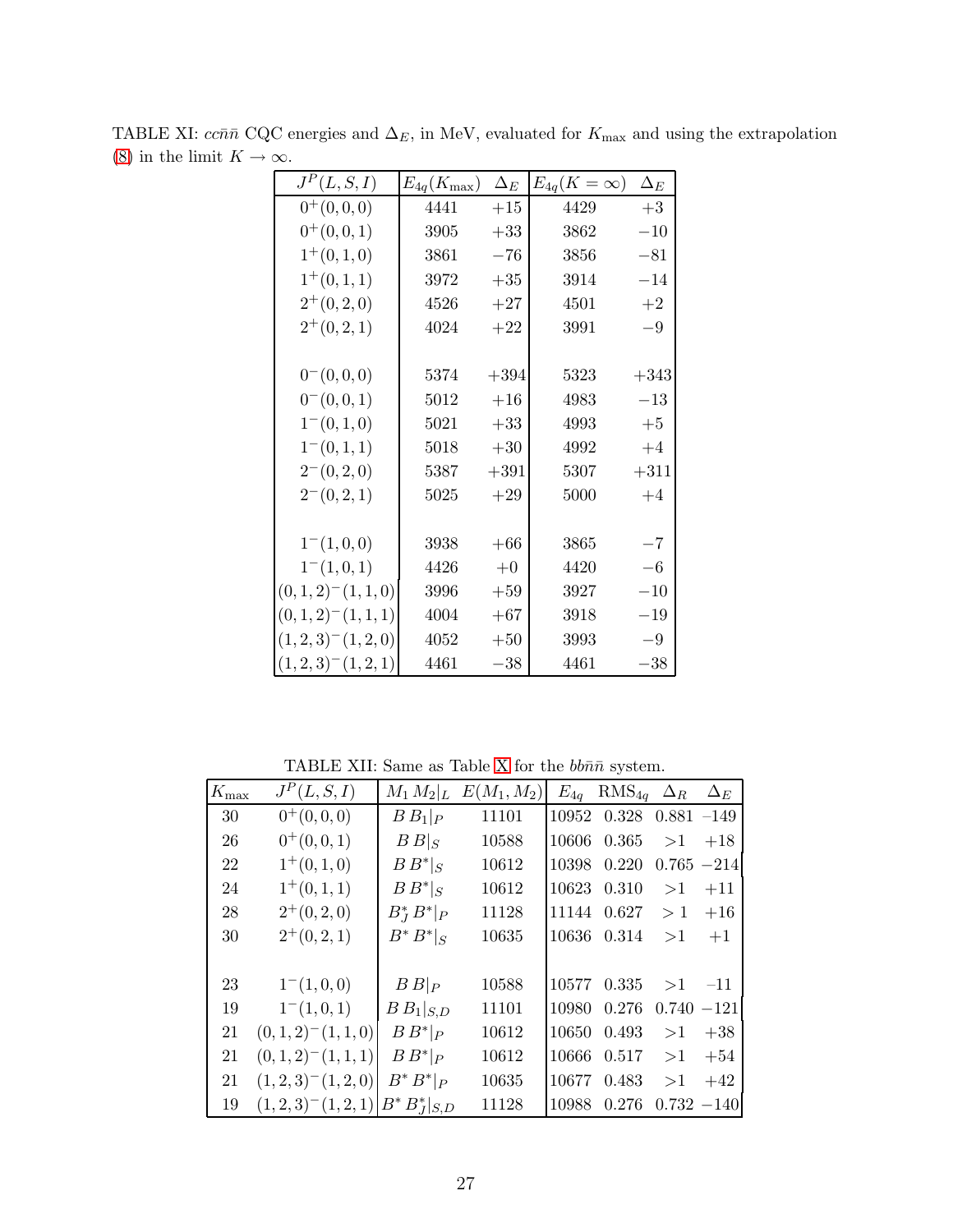<span id="page-26-0"></span>

| $J^P(L, S, I)$                   | $E_{4q}(K_{\rm max})$ | $\Delta_E$ | $E_{4q}(K=\infty)$ | $\Delta_E$ |
|----------------------------------|-----------------------|------------|--------------------|------------|
| $0^+(0,0,0)$                     | 4441                  | $+15$      | 4429               | $+3$       |
| $0^+(0,0,1)$                     | 3905                  | $+33$      | 3862               | $-10$      |
| $1^+(0,1,0)$                     | 3861                  | $-76$      | 3856               | $-81$      |
| $1^+(0,1,1)$                     | 3972                  | $+35$      | 3914               | $-14$      |
| $2^+(0,2,0)$                     | 4526                  | $+27$      | 4501               | $+2$       |
| $2^+(0,2,1)$                     | 4024                  | $+22$      | 3991               | $-9$       |
|                                  |                       |            |                    |            |
| $0^-(0,0,0)$                     | 5374                  | $+394$     | 5323               | $+343$     |
| $0^-(0,0,1)$                     | 5012                  | $+16$      | 4983               | $-13$      |
| $1^-(0,1,0)$                     | 5021                  | $+33$      | 4993               | $+5$       |
| $1^-(0,1,1)$                     | 5018                  | $+30$      | 4992               | $+4$       |
| $2^-(0,2,0)$                     | 5387                  | $+391$     | 5307               | $+311$     |
| $2^-(0,2,1)$                     | 5025                  | $+29$      | 5000               | $+4$       |
|                                  |                       |            |                    |            |
| $1^-(1,0,0)$                     | 3938                  | $+66$      | 3865               | $-7$       |
| $1^-(1,0,1)$                     | 4426                  | $+0$       | 4420               | $-6$       |
| $(0,1,2)$ <sup>-</sup> $(1,1,0)$ | 3996                  | $+59$      | 3927               | $-10$      |
| $(0,1,2)$ <sup>-</sup> $(1,1,1)$ | 4004                  | $+67$      | 3918               | $-19$      |
| $(1,2,3)$ <sup>-</sup> $(1,2,0)$ | 4052                  | $+50$      | 3993               | $-9$       |
| $(1,2,3)$ <sup>-</sup> $(1,2,1)$ | 4461                  | $-38$      | 4461               | $-38$      |

TABLE XI:  $cc\bar{n}\bar{n}$  CQC energies and  $\Delta_E$ , in MeV, evaluated for  $K_{\text{max}}$  and using the extrapolation [\(8\)](#page-5-0) in the limit  $K\to\infty.$ 

<span id="page-26-1"></span>TABLE [X](#page-25-0)II: Same as Table X for the  $bb\bar n\bar n$  system.

 $\mathbf{r}$ 

| $K_{\rm max}$ | $J^P(L, S, I)$                   | $M_1 M_2$ <sub>L</sub> | $E(M_1, M_2)$ | $E_{4q}$ | $RMS_{4q}$ $\Delta_R$          |               | $\Delta_E$    |
|---------------|----------------------------------|------------------------|---------------|----------|--------------------------------|---------------|---------------|
| 30            | $0^+(0,0,0)$                     | $B B_1 _P$             | 11101         |          | $10952$ $0.328$ $0.881$ $-149$ |               |               |
| 26            | $0^+(0,0,1)$                     | $B _S$                 | 10588         | 10606    | 0.365                          | >1            | $+18$         |
| 22            | $1^+(0,1,0)$                     | $B B^* _S$             | 10612         | 10398    | 0.220                          | $0.765 - 214$ |               |
| 24            | $1^+(0,1,1)$                     | $B B^* _S$             | 10612         |          | 10623 0.310                    | >1            | $+11$         |
| 28            | $2^+(0,2,0)$                     | $B_I^* B^* _P$         | 11128         |          | 11144 0.627                    | >1            | $+16$         |
| 30            | $2^+(0,2,1)$                     | $B^*B^* _S$            | 10635         |          | 10636 0.314                    | >1            | $+1$          |
|               |                                  |                        |               |          |                                |               |               |
| 23            | $1^-(1,0,0)$                     | $B B _P$               | 10588         | 10577    | 0.335                          | >1            | $-11$         |
| 19            | $1^-(1,0,1)$                     | $B B_1 _{S,D}$         | 11101         | 10980    | 0.276                          |               | $0.740 - 121$ |
| 21            | $(0,1,2)$ <sup>-</sup> $(1,1,0)$ | $B B^* _P$             | 10612         | 10650    | 0.493                          | >1            | $+38$         |
| 21            | $(0,1,2)^{-}(1,1,1)$             | $B B^* _P$             | 10612         | 10666    | 0.517                          | >1            | $+54$         |
| 21            | $(1,2,3)$ <sup>-</sup> $(1,2,0)$ | $B^*B^* _P$            | 10635         | 10677    | 0.483                          | >1            | $+42$         |
| 19            | $(1,2,3)$ <sup>-</sup> $(1,2,1)$ | $B^*B_I^* _{S,D}$      | 11128         | 10988    | 0.276                          |               | $0.732 - 140$ |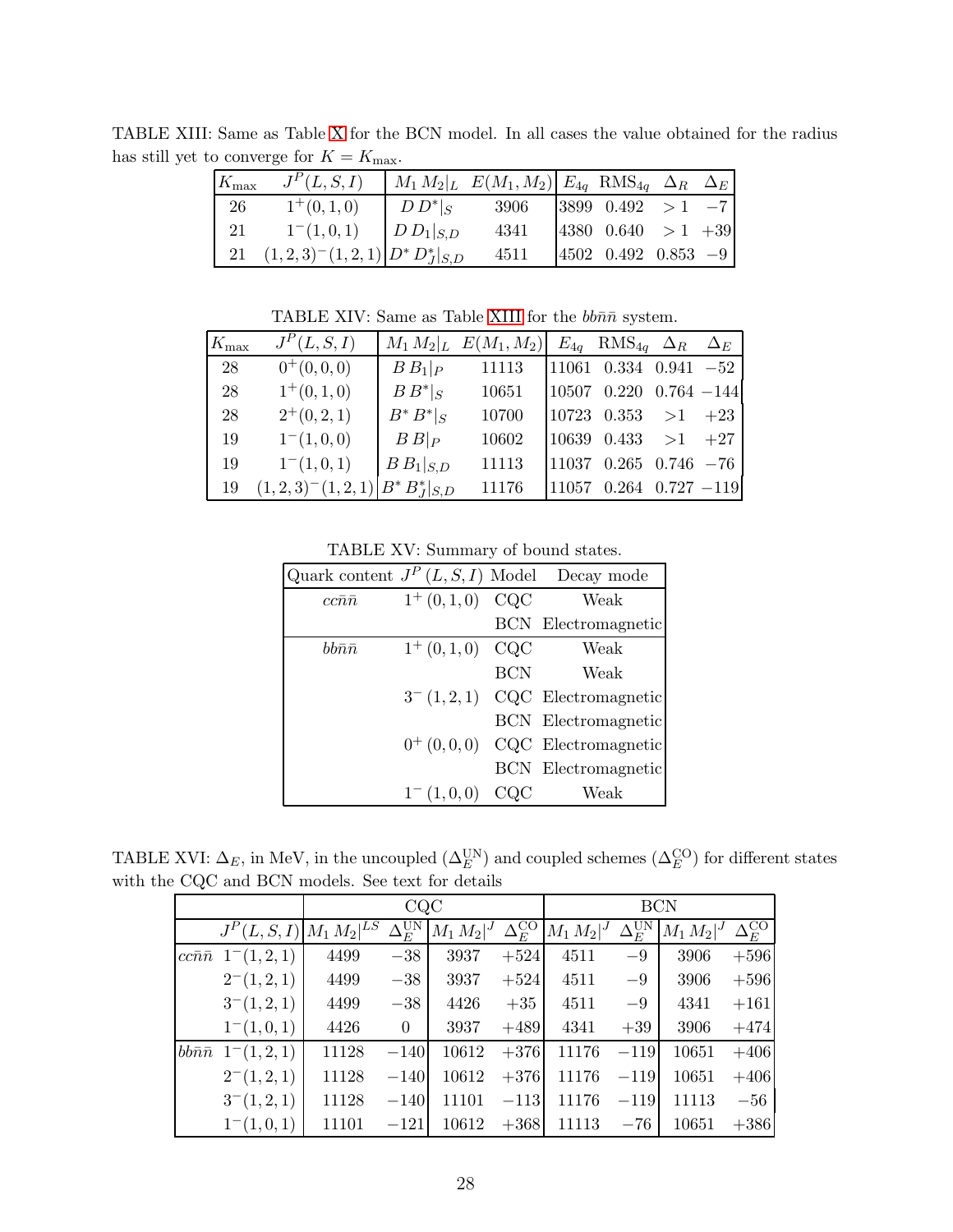<span id="page-27-0"></span>

| $K_{\rm max}$ | $J^P(L, S, I)$                               |                 | $M_1 M_2 _L E(M_1, M_2)$ $E_{4q}$ RMS <sub>4g</sub> $\Delta_R$ $\Delta_E$ |                            |  |
|---------------|----------------------------------------------|-----------------|---------------------------------------------------------------------------|----------------------------|--|
| 26            | $1^+(0,1,0)$                                 | $D D^* _S$      | 3906                                                                      | $ 3899 \t0.492 \t>1 -7$    |  |
| 21            | $1^-(1,0,1)$                                 | $ D D_1 _{S,D}$ | 4341                                                                      | $ 4380 \t0.640 > 1 +39$    |  |
|               | 21 $(1,2,3)^{-}(1,2,1)$ $D^*D_J^*$ $ _{S,D}$ |                 | 4511                                                                      | $ 4502 \t0.492 \t0.853 -9$ |  |

TABLE XIII: Same as Table [X](#page-25-0) for the BCN model. In all cases the value obtained for the radius has still yet to converge for  $K = K_{\text{max}}$ .

<span id="page-27-1"></span>TABLE XIV: Same as Table [XIII](#page-27-0) for the  $bb\bar{n}\bar{n}$  system.

| $K_{\rm max}$ | $J^P(L, S, I)$                             |                | $M_1 M_2 _L E(M_1, M_2)$ | $E_{4q}$ RMS <sub>4g</sub> $\Delta_R$ $\Delta_E$ |  |
|---------------|--------------------------------------------|----------------|--------------------------|--------------------------------------------------|--|
| 28            | $0^+(0,0,0)$                               | $B B_1 _P$     | 11113                    | $11061$ 0.334 0.941 -52                          |  |
| 28            | $1^+(0,1,0)$                               | $B B^* _S$     | 10651                    | $10507$ 0.220 0.764 -144                         |  |
| 28            | $2^+(0,2,1)$                               | $B^*B^* _S$    | 10700                    | $ 10723 \t0.353 \t>1 +23$                        |  |
| 19            | $1^-(1,0,0)$                               | $B B _{P}$     | 10602                    | $10639$ 0.433 > 1 +27                            |  |
| 19            | $1^-(1,0,1)$                               | $B B_1 _{S,D}$ | 11113                    | $11037$ 0.265 0.746 -76                          |  |
| 19            | $(1,2,3)^{-}(1,2,1)$ $B^* B_I^*$ $ _{S,D}$ |                | 11176                    | $11057$ 0.264 0.727 -119                         |  |

<span id="page-27-2"></span>TABLE XV: Summary of bound states.

|                    |                  |            | Quark content $J^P(L, S, I)$ Model Decay mode |
|--------------------|------------------|------------|-----------------------------------------------|
| $cc\bar{n}\bar{n}$ | $1^+(0,1,0)$ CQC |            | Weak                                          |
|                    |                  |            | <b>BCN</b> Electromagnetic                    |
| $bb\bar n\bar n$   | $1^+(0,1,0)$     | CQC        | Weak                                          |
|                    |                  | <b>BCN</b> | Weak                                          |
|                    |                  |            | $3^-(1,2,1)$ CQC Electromagnetic              |
|                    |                  |            | <b>BCN</b> Electromagnetic                    |
|                    |                  |            | $0^+(0,0,0)$ CQC Electromagnetic              |
|                    |                  |            | <b>BCN</b> Electromagnetic                    |
|                    | $1^-(1,0,0)$     | COC        | Weak                                          |

TABLE XVI:  $\Delta_E$ , in MeV, in the uncoupled  $(\Delta_E^{\text{UN}})$  and coupled schemes  $(\Delta_E^{\text{CO}})$  for different states with the CQC and BCN models. See text for details

<span id="page-27-3"></span>

|                                                     | CQC   |                |       | <b>BCN</b> |                                                                                             |        |       |        |
|-----------------------------------------------------|-------|----------------|-------|------------|---------------------------------------------------------------------------------------------|--------|-------|--------|
| $J^{P}(L, S, I) M_1 M_2 ^{LS} \Delta_E^{\text{UN}}$ |       |                |       |            | $ M_1 M_2 ^J \Delta_E^{\rm CO}  M_1 M_2 ^J \Delta_E^{\rm UN}  M_1 M_2 ^J \Delta_E^{\rm CO}$ |        |       |        |
| $cc\bar{n}\bar{n}$ 1 <sup>-</sup> (1,2,1)           | 4499  | $-38$          | 3937  | $+524$     | 4511                                                                                        | $-9$   | 3906  | $+596$ |
| $2^-(1,2,1)$                                        | 4499  | $-38$          | 3937  | $+524$     | 4511                                                                                        | $-9$   | 3906  | $+596$ |
| $3^-(1,2,1)$                                        | 4499  | $-38$          | 4426  | $+35$      | 4511                                                                                        | $-9$   | 4341  | $+161$ |
| $1^-(1,0,1)$                                        | 4426  | $\overline{0}$ | 3937  | $+489$     | 4341                                                                                        | $+39$  | 3906  | $+474$ |
| $bb\bar{n}\bar{n}$ 1 <sup>-</sup> (1, 2, 1)         | 11128 | $-140$         | 10612 | $+376$     | 11176                                                                                       | $-119$ | 10651 | $+406$ |
| $2^-(1,2,1)$                                        | 11128 | $-140$         | 10612 | $+376$     | 11176                                                                                       | $-119$ | 10651 | $+406$ |
| $3^-(1,2,1)$                                        | 11128 | $-140$         | 11101 | $-113$     | 11176                                                                                       | $-119$ | 11113 | $-56$  |
| $1^-(1,0,1)$                                        | 11101 | $-121$         | 10612 |            | $+368$ 11113                                                                                | $-76$  | 10651 | $+386$ |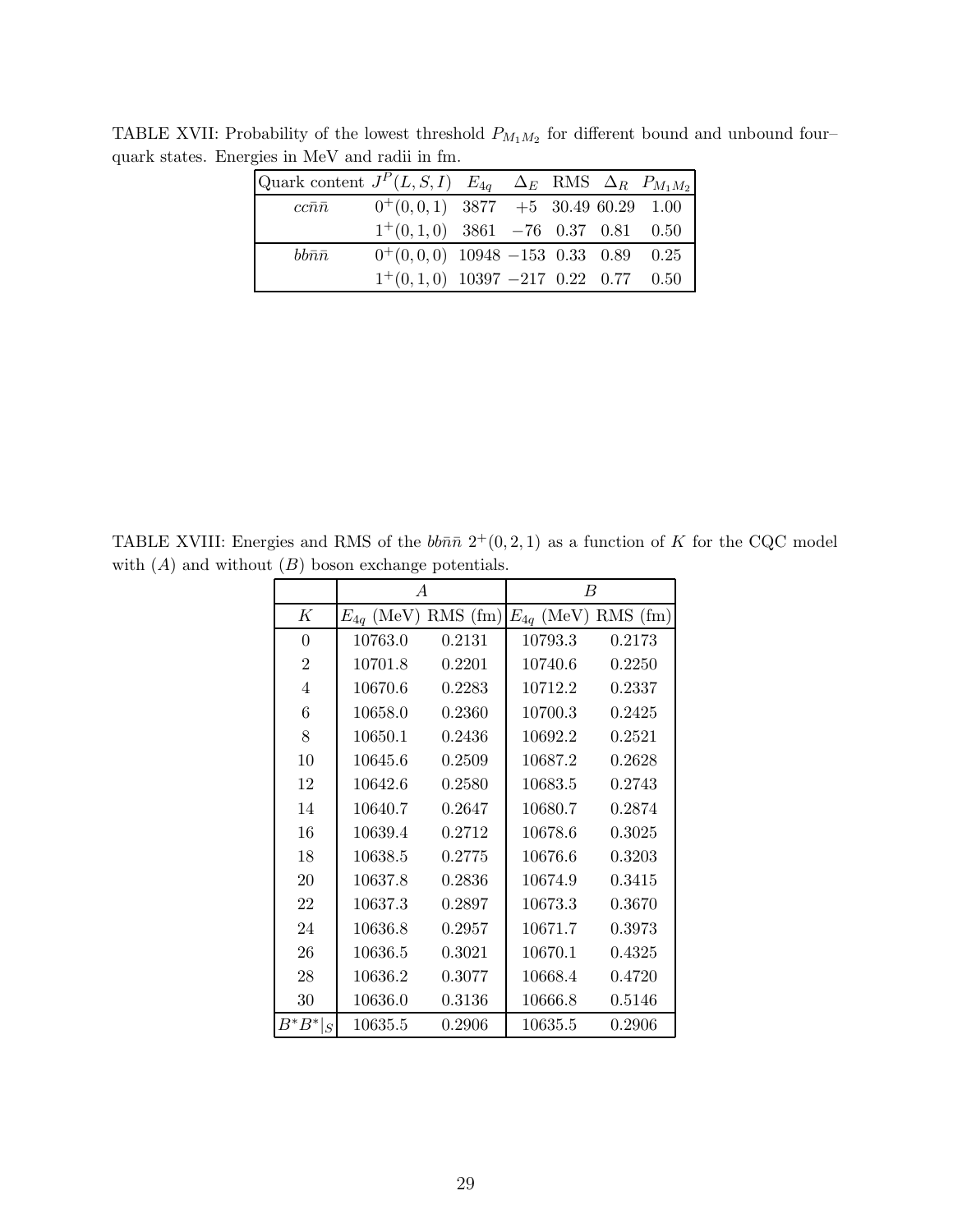<span id="page-28-0"></span>

| Quark content $J^P(L, S, I)$ $E_{4q}$ $\Delta_E$ RMS $\Delta_R$ $P_{M_1M_2}$ |                                        |  |  |  |
|------------------------------------------------------------------------------|----------------------------------------|--|--|--|
| $cc\bar n\bar n$                                                             | $0^+(0,0,1)$ 3877 +5 30.49 60.29 1.00  |  |  |  |
|                                                                              | $1^+(0,1,0)$ 3861 -76 0.37 0.81 0.50   |  |  |  |
| $bb\bar n\bar n$                                                             | $0^+(0,0,0)$ 10948 -153 0.33 0.89 0.25 |  |  |  |
|                                                                              | $1^+(0,1,0)$ 10397 -217 0.22 0.77 0.50 |  |  |  |

TABLE XVII: Probability of the lowest threshold  $P_{M_1M_2}$  for different bound and unbound fourquark states. Energies in MeV and radii in fm.

TABLE XVIII: Energies and RMS of the  $bb\bar{n}\bar{n} 2^+(0, 2, 1)$  as a function of K for the CQC model with  $(A)$  and without  $(B)$  boson exchange potentials.

<span id="page-28-1"></span>

|                | $\overline{A}$ |            | B                       |        |  |  |
|----------------|----------------|------------|-------------------------|--------|--|--|
| K              | $E_{4q}$ (MeV) | $RMS$ (fm) | $E_{4q}$ (MeV) RMS (fm) |        |  |  |
| $\theta$       | 10763.0        | 0.2131     | 10793.3                 | 0.2173 |  |  |
| $\overline{2}$ | 10701.8        | 0.2201     | 10740.6                 | 0.2250 |  |  |
| $\overline{4}$ | 10670.6        | 0.2283     | 10712.2                 | 0.2337 |  |  |
| 6              | 10658.0        | 0.2360     | 10700.3                 | 0.2425 |  |  |
| 8              | 10650.1        | 0.2436     | 10692.2                 | 0.2521 |  |  |
| 10             | 10645.6        | 0.2509     | 10687.2                 | 0.2628 |  |  |
| 12             | 10642.6        | 0.2580     | 10683.5                 | 0.2743 |  |  |
| 14             | 10640.7        | 0.2647     | 10680.7                 | 0.2874 |  |  |
| 16             | 10639.4        | 0.2712     | 10678.6                 | 0.3025 |  |  |
| 18             | 10638.5        | 0.2775     | 10676.6                 | 0.3203 |  |  |
| 20             | 10637.8        | 0.2836     | 10674.9                 | 0.3415 |  |  |
| 22             | 10637.3        | 0.2897     | 10673.3                 | 0.3670 |  |  |
| 24             | 10636.8        | 0.2957     | 10671.7                 | 0.3973 |  |  |
| 26             | 10636.5        | 0.3021     | 10670.1                 | 0.4325 |  |  |
| 28             | 10636.2        | 0.3077     | 10668.4                 | 0.4720 |  |  |
| 30             | 10636.0        | 0.3136     | 10666.8                 | 0.5146 |  |  |
| $B^*B^* _S$    | 10635.5        | 0.2906     | 10635.5                 | 0.2906 |  |  |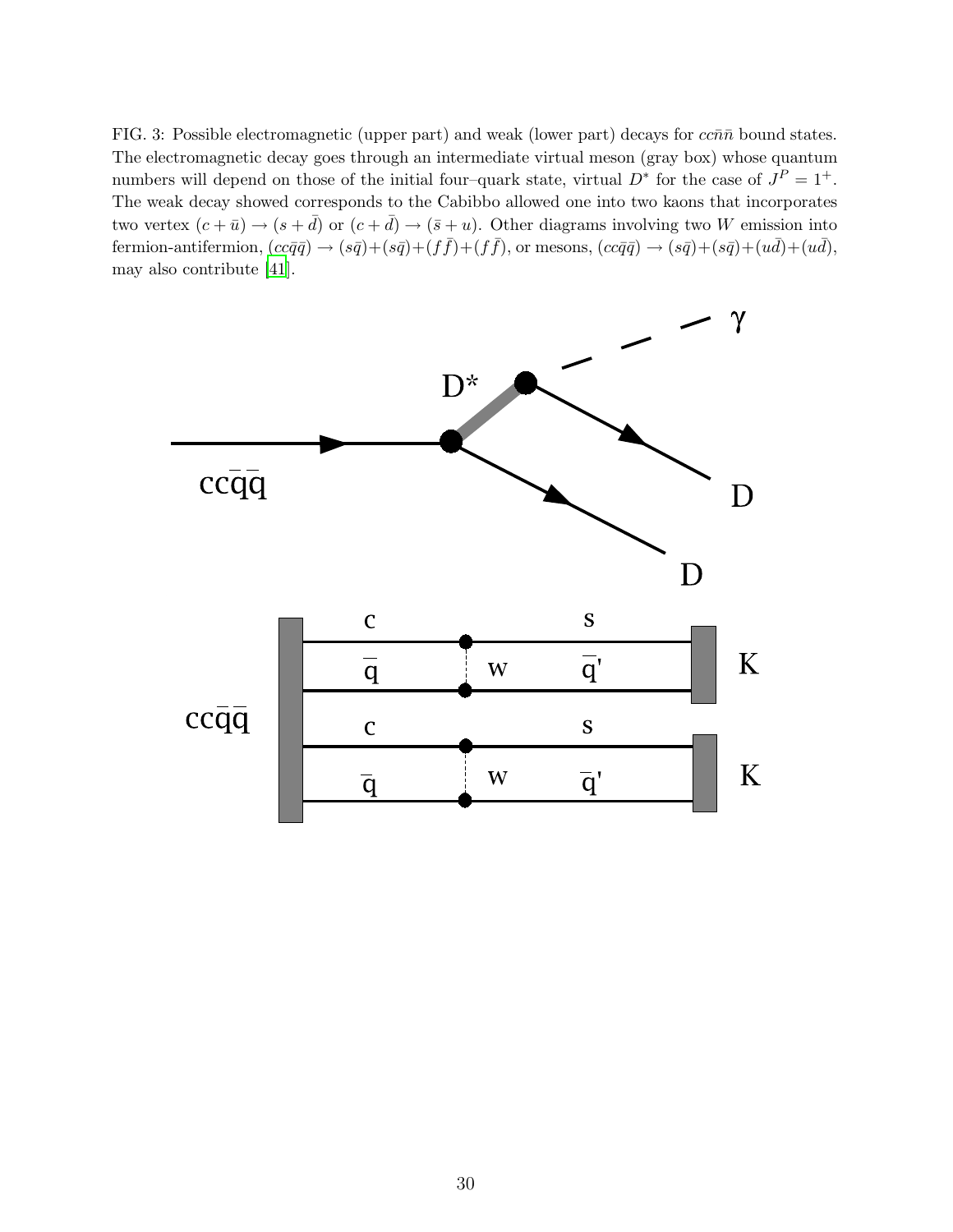<span id="page-29-0"></span>FIG. 3: Possible electromagnetic (upper part) and weak (lower part) decays for  $cc\bar{n}\bar{n}$  bound states. The electromagnetic decay goes through an intermediate virtual meson (gray box) whose quantum numbers will depend on those of the initial four–quark state, virtual  $D^*$  for the case of  $J^P = 1^+$ . The weak decay showed corresponds to the Cabibbo allowed one into two kaons that incorporates two vertex  $(c + \bar{u}) \rightarrow (s + \bar{d})$  or  $(c + \bar{d}) \rightarrow (\bar{s} + u)$ . Other diagrams involving two W emission into fermion-antifermion,  $(cc\bar{q}\bar{q}) \rightarrow (s\bar{q}) + (s\bar{q}) + (f\bar{f}) + (f\bar{f})$ , or mesons,  $(cc\bar{q}\bar{q}) \rightarrow (s\bar{q}) + (s\bar{q}) + (u\bar{d}) + (u\bar{d})$ , may also contribute [\[41\]](#page-16-30).

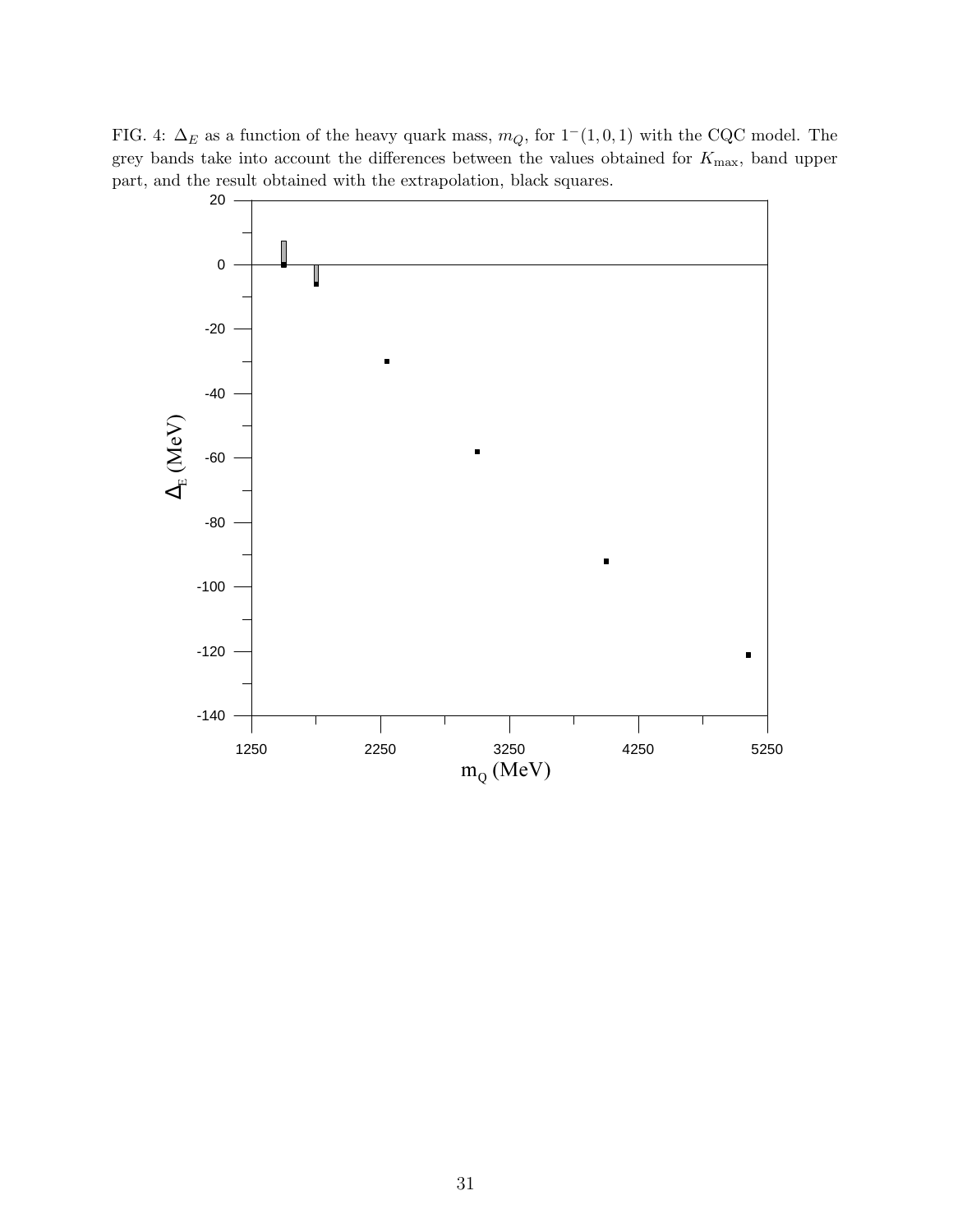FIG. 4:  $\Delta_E$  as a function of the heavy quark mass,  $m_Q$ , for  $1^-(1, 0, 1)$  with the CQC model. The grey bands take into account the differences between the values obtained for  $K_{\text{max}}$ , band upper part, and the result obtained with the extrapolation, black squares.

<span id="page-30-0"></span>